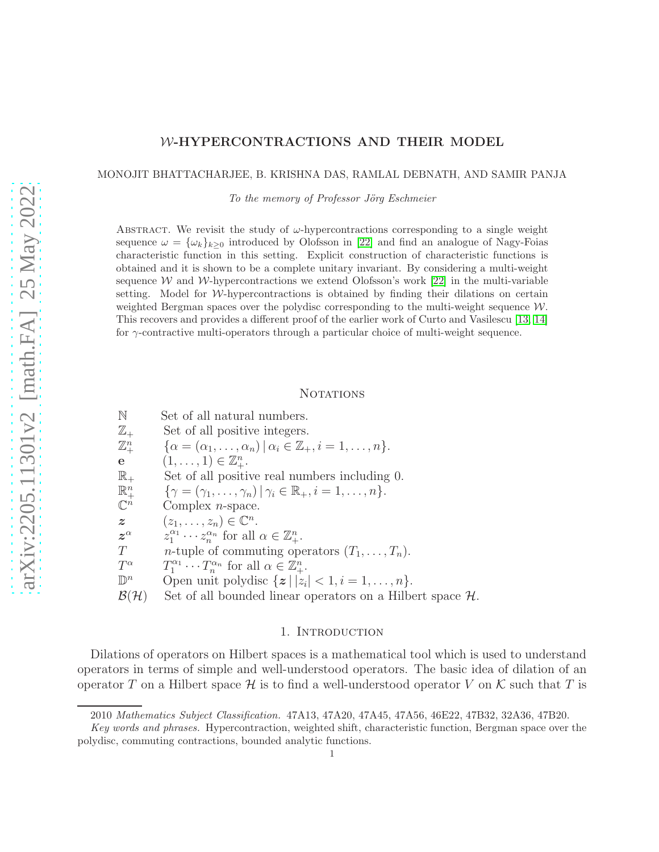# W-HYPERCONTRACTIONS AND THEIR MODEL

#### MONOJIT BHATTACHARJEE, B. KRISHNA DAS, RAMLAL DEBNATH, AND SAMIR PANJA

*To the memory of Professor Jörg Eschmeier* 

ABSTRACT. We revisit the study of  $\omega$ -hypercontractions corresponding to a single weight sequence  $\omega = {\{\omega_k\}}_{k\geq 0}$  introduced by Olofsson in [\[22\]](#page-30-0) and find an analogue of Nagy-Foias characteristic function in this setting. Explicit construction of characteristic functions is obtained and it is shown to be a complete unitary invariant. By considering a multi-weight sequence W and W-hypercontractions we extend Olofsson's work [\[22\]](#page-30-0) in the multi-variable setting. Model for  $W$ -hypercontractions is obtained by finding their dilations on certain weighted Bergman spaces over the polydisc corresponding to the multi-weight sequence  $\mathcal{W}$ . This recovers and provides a different proof of the earlier work of Curto and Vasilescu [\[13,](#page-29-0) [14\]](#page-29-1) for  $\gamma$ -contractive multi-operators through a particular choice of multi-weight sequence.

## **NOTATIONS**

N Set of all natural numbers.  $\mathbb{Z}_+$  Set of all positive integers.  $\mathbb{Z}^n$  $\mathbb{Z}_{+}^{n}$   $\{\alpha = (\alpha_{1}, \ldots, \alpha_{n}) | \alpha_{i} \in \mathbb{Z}_{+}, i = 1, \ldots, n\}.$ <br> **e**  $(1, \ldots, 1) \in \mathbb{Z}_{+}^{n}$ .  $\mathbf{e} \quad (\mathbf{1}, \ldots, \mathbf{1}) \in \mathbb{Z}_{+}^{n}.$  $\mathbb{R}_+$  Set of all positive real numbers including 0.  $\mathbb{R}^n$  ${\gamma = (\gamma_1, \ldots, \gamma_n) | \gamma_i \in \mathbb{R}_+, i = 1, \ldots, n}.$  $\mathbb{C}^n$ Complex  $n$ -space.  $z \qquad (z_1, \ldots, z_n) \in \mathbb{C}^n.$  $z^{\alpha}$  $z_1^{\alpha_1} \cdots z_n^{\alpha_n}$  for all  $\alpha \in \mathbb{Z}_+^n$ .  $T$  n-tuple of commuting operators  $(T_1, \ldots, T_n)$ .  $T^{\alpha}$  $\alpha$   $T_1^{\alpha_1} \cdots T_n^{\alpha_n}$  for all  $\alpha \in \mathbb{Z}_+^n$ .  $\mathbb{D}^n$ <sup>n</sup> Open unit polydisc  $\{z \mid |z_i| < 1, i = 1, \ldots, n\}.$ 

 $\mathcal{B}(\mathcal{H})$  Set of all bounded linear operators on a Hilbert space  $\mathcal{H}$ .

### 1. INTRODUCTION

Dilations of operators on Hilbert spaces is a mathematical tool which is used to understand operators in terms of simple and well-understood operators. The basic idea of dilation of an operator T on a Hilbert space H is to find a well-understood operator V on K such that T is

<sup>2010</sup> *Mathematics Subject Classification.* 47A13, 47A20, 47A45, 47A56, 46E22, 47B32, 32A36, 47B20.

*Key words and phrases.* Hypercontraction, weighted shift, characteristic function, Bergman space over the polydisc, commuting contractions, bounded analytic functions.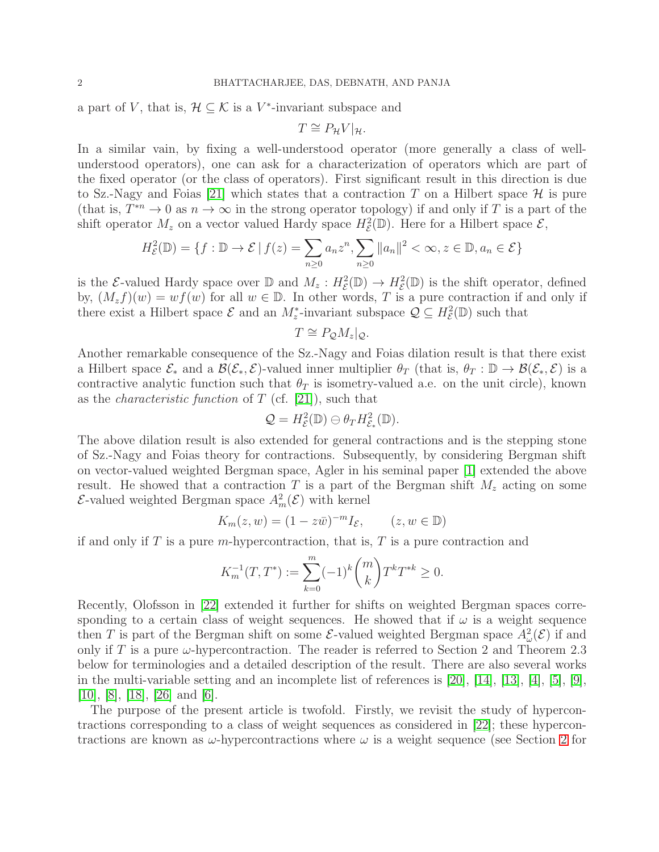a part of V, that is,  $\mathcal{H} \subseteq \mathcal{K}$  is a V<sup>\*</sup>-invariant subspace and

$$
T \cong P_{\mathcal{H}} V|_{\mathcal{H}}.
$$

In a similar vain, by fixing a well-understood operator (more generally a class of wellunderstood operators), one can ask for a characterization of operators which are part of the fixed operator (or the class of operators). First significant result in this direction is due to Sz.-Nagy and Foias [\[21\]](#page-30-1) which states that a contraction T on a Hilbert space  $\mathcal H$  is pure (that is,  $T^{*n} \to 0$  as  $n \to \infty$  in the strong operator topology) if and only if T is a part of the shift operator  $M_z$  on a vector valued Hardy space  $H_{\mathcal{E}}^2(\mathbb{D})$ . Here for a Hilbert space  $\mathcal{E}$ ,

$$
H_{\mathcal{E}}^2(\mathbb{D}) = \{ f : \mathbb{D} \to \mathcal{E} \mid f(z) = \sum_{n \ge 0} a_n z^n, \sum_{n \ge 0} ||a_n||^2 < \infty, z \in \mathbb{D}, a_n \in \mathcal{E} \}
$$

is the E-valued Hardy space over  $\mathbb{D}$  and  $M_z$ :  $H^2_{\mathcal{E}}(\mathbb{D}) \to H^2_{\mathcal{E}}(\mathbb{D})$  is the shift operator, defined by,  $(M_z f)(w) = wf(w)$  for all  $w \in \mathbb{D}$ . In other words, T is a pure contraction if and only if there exist a Hilbert space  $\mathcal{E}$  and an  $M_z^*$ -invariant subspace  $\mathcal{Q} \subseteq H_{\mathcal{E}}^2(\mathbb{D})$  such that

$$
T \cong P_{\mathcal{Q}} M_z|_{\mathcal{Q}}.
$$

Another remarkable consequence of the Sz.-Nagy and Foias dilation result is that there exist a Hilbert space  $\mathcal{E}_*$  and a  $\mathcal{B}(\mathcal{E}_*, \mathcal{E})$ -valued inner multiplier  $\theta_T$  (that is,  $\theta_T : \mathbb{D} \to \mathcal{B}(\mathcal{E}_*, \mathcal{E})$  is a contractive analytic function such that  $\theta_T$  is isometry-valued a.e. on the unit circle), known as the *characteristic function* of T (cf. [\[21\]](#page-30-1)), such that

$$
\mathcal{Q}=H_{\mathcal{E}}^2(\mathbb{D})\ominus \theta_T H_{\mathcal{E}_*}^2(\mathbb{D}).
$$

The above dilation result is also extended for general contractions and is the stepping stone of Sz.-Nagy and Foias theory for contractions. Subsequently, by considering Bergman shift on vector-valued weighted Bergman space, Agler in his seminal paper [\[1\]](#page-29-2) extended the above result. He showed that a contraction T is a part of the Bergman shift  $M_z$  acting on some  $\mathcal{E}$ -valued weighted Bergman space  $A_m^2(\mathcal{E})$  with kernel

$$
K_m(z, w) = (1 - z\overline{w})^{-m} I_{\mathcal{E}}, \qquad (z, w \in \mathbb{D})
$$

if and only if T is a pure m-hypercontraction, that is, T is a pure contraction and

$$
K_m^{-1}(T,T^*):=\sum_{k=0}^m(-1)^k\binom{m}{k}T^kT^{*k}\geq 0.
$$

Recently, Olofsson in [\[22\]](#page-30-0) extended it further for shifts on weighted Bergman spaces corresponding to a certain class of weight sequences. He showed that if  $\omega$  is a weight sequence then T is part of the Bergman shift on some  $\mathcal{E}$ -valued weighted Bergman space  $A^2_\omega(\mathcal{E})$  if and only if T is a pure  $\omega$ -hypercontraction. The reader is referred to Section 2 and Theorem 2.3 below for terminologies and a detailed description of the result. There are also several works in the multi-variable setting and an incomplete list of references is  $[20]$ ,  $[14]$ ,  $[13]$ ,  $[4]$ ,  $[5]$ ,  $[9]$ , [\[10\]](#page-29-6), [\[8\]](#page-29-7), [\[18\]](#page-30-3), [\[26\]](#page-30-4) and [\[6\]](#page-29-8).

The purpose of the present article is twofold. Firstly, we revisit the study of hypercontractions corresponding to a class of weight sequences as considered in [\[22\]](#page-30-0); these hypercontractions are known as  $\omega$ -hypercontractions where  $\omega$  is a weight sequence (see Section [2](#page-4-0) for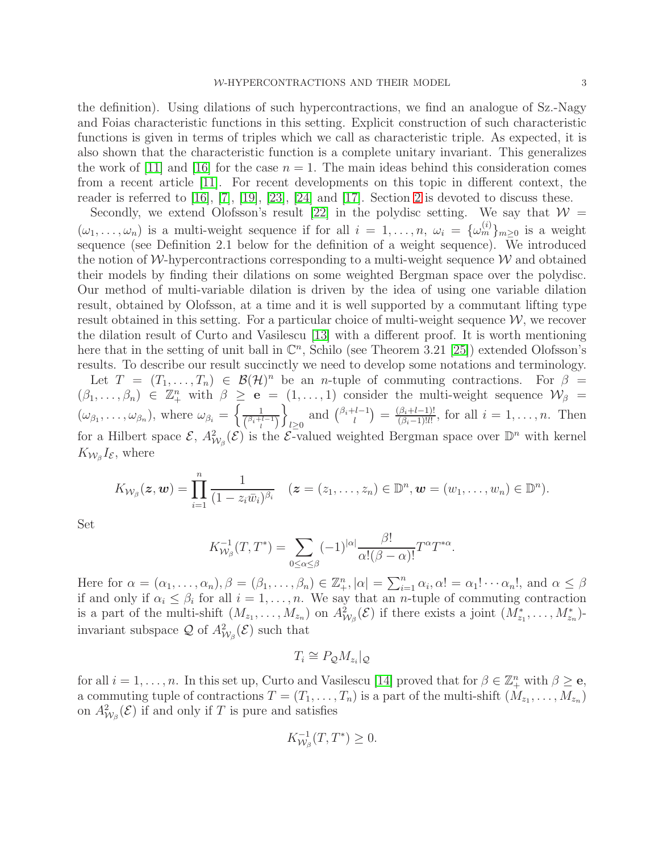the definition). Using dilations of such hypercontractions, we find an analogue of Sz.-Nagy and Foias characteristic functions in this setting. Explicit construction of such characteristic functions is given in terms of triples which we call as characteristic triple. As expected, it is also shown that the characteristic function is a complete unitary invariant. This generalizes the work of [\[11\]](#page-29-9) and [\[16\]](#page-29-10) for the case  $n = 1$ . The main ideas behind this consideration comes from a recent article [\[11\]](#page-29-9). For recent developments on this topic in different context, the reader is referred to [\[16\]](#page-29-10), [\[7\]](#page-29-11), [\[19\]](#page-30-5), [\[23\]](#page-30-6), [\[24\]](#page-30-7) and [\[17\]](#page-29-12). Section [2](#page-4-0) is devoted to discuss these.

Secondly, we extend Olofsson's result [\[22\]](#page-30-0) in the polydisc setting. We say that  $\mathcal{W} =$  $(\omega_1, \ldots, \omega_n)$  is a multi-weight sequence if for all  $i = 1, \ldots, n$ ,  $\omega_i = {\{\omega_m^{(i)}\}}_{m \geq 0}$  is a weight sequence (see Definition 2.1 below for the definition of a weight sequence). We introduced the notion of W-hypercontractions corresponding to a multi-weight sequence  $\mathcal W$  and obtained their models by finding their dilations on some weighted Bergman space over the polydisc. Our method of multi-variable dilation is driven by the idea of using one variable dilation result, obtained by Olofsson, at a time and it is well supported by a commutant lifting type result obtained in this setting. For a particular choice of multi-weight sequence  $W$ , we recover the dilation result of Curto and Vasilescu [\[13\]](#page-29-0) with a different proof. It is worth mentioning here that in the setting of unit ball in  $\mathbb{C}^n$ , Schilo (see Theorem 3.21 [\[25\]](#page-30-8)) extended Olofsson's results. To describe our result succinctly we need to develop some notations and terminology. Let  $T = (T_1, \ldots, T_n) \in \mathcal{B}(\mathcal{H})^n$  be an *n*-tuple of commuting contractions. For  $\beta =$  $(\beta_1,\ldots,\beta_n) \in \mathbb{Z}_+^n$  with  $\beta \geq e = (1,\ldots,1)$  consider the multi-weight sequence  $\mathcal{W}_{\beta} =$  $(\omega_{\beta_1}, \ldots, \omega_{\beta_n}),$  where  $\omega_{\beta_i} = \begin{cases} \frac{1}{(\beta_i + i)} \end{cases}$ o  $\sum_{l\geq 0}$  and  $\binom{\beta_i+l-1}{l}$  $\binom{l-l-1}{l} = \frac{(\beta_i + l-1)!}{(\beta_i - 1)! l!}$  $\frac{(\beta_i + l - 1)!}{(\beta_i - 1)!l!}$ , for all  $i = 1, \ldots, n$ . Then

 $\binom{\beta_i+l-1}{l}$ for a Hilbert space  $\mathcal{E}, A^2_{W_\beta}(\mathcal{E})$  is the  $\mathcal{E}\text{-valued weighted Bergman space over } \mathbb{D}^n$  with kernel  $K_{\mathcal{W}_{\beta}}I_{\mathcal{E}}$ , where

$$
K_{\mathcal{W}_{\beta}}(\boldsymbol{z},\boldsymbol{w})=\prod_{i=1}^n\frac{1}{(1-z_i\bar{w}_i)^{\beta_i}}\quad(\boldsymbol{z}=(z_1,\ldots,z_n)\in\mathbb{D}^n,\boldsymbol{w}=(w_1,\ldots,w_n)\in\mathbb{D}^n).
$$

Set

$$
K_{\mathcal{W}_{\beta}}^{-1}(T,T^*) = \sum_{0 \leq \alpha \leq \beta} (-1)^{|\alpha|} \frac{\beta!}{\alpha!(\beta-\alpha)!} T^{\alpha} T^{*\alpha}.
$$

Here for  $\alpha = (\alpha_1, \ldots, \alpha_n), \beta = (\beta_1, \ldots, \beta_n) \in \mathbb{Z}_+^n, |\alpha| = \sum_{i=1}^n \alpha_i, \alpha! = \alpha_1! \cdots \alpha_n!$ , and  $\alpha \leq \beta$ if and only if  $\alpha_i \leq \beta_i$  for all  $i = 1, \ldots, n$ . We say that an *n*-tuple of commuting contraction is a part of the multi-shift  $(M_{z_1},...,M_{z_n})$  on  $A^2_{W_\beta}(\mathcal{E})$  if there exists a joint  $(M^*_{z_1},...,M^*_{z_n})$ invariant subspace  $\mathcal Q$  of  $A^2_{\mathcal W_\beta}(\mathcal E)$  such that

$$
T_i \cong P_{\mathcal{Q}} M_{z_i}|_{\mathcal{Q}}
$$

for all  $i = 1, \ldots, n$ . In this set up, Curto and Vasilescu [\[14\]](#page-29-1) proved that for  $\beta \in \mathbb{Z}_+^n$  with  $\beta \geq \mathbf{e}$ , a commuting tuple of contractions  $T = (T_1, \ldots, T_n)$  is a part of the multi-shift  $(M_{z_1}, \ldots, M_{z_n})$ on  $A^2_{\mathcal{W}_{\beta}}(\mathcal{E})$  if and only if T is pure and satisfies

$$
K_{\mathcal{W}_{\beta}}^{-1}(T,T^*)\geq 0.
$$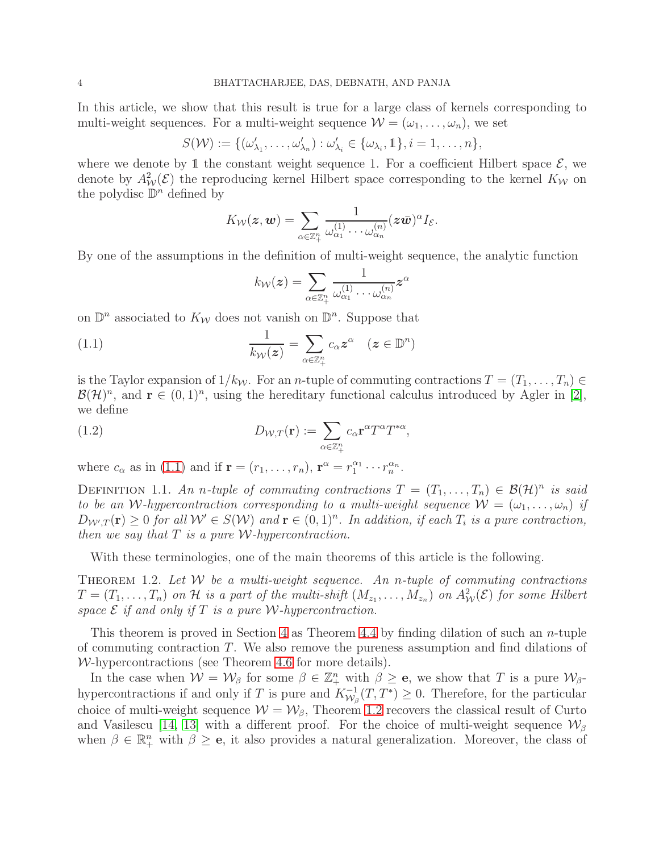In this article, we show that this result is true for a large class of kernels corresponding to multi-weight sequences. For a multi-weight sequence  $\mathcal{W} = (\omega_1, \dots, \omega_n)$ , we set

$$
S(\mathcal{W}) := \{ (\omega'_{\lambda_1}, \dots, \omega'_{\lambda_n}) : \omega'_{\lambda_i} \in \{ \omega_{\lambda_i}, 1 \}, i = 1, \dots, n \},
$$

where we denote by 1 the constant weight sequence 1. For a coefficient Hilbert space  $\mathcal{E}$ , we denote by  $A^2_{\mathcal{W}}(\mathcal{E})$  the reproducing kernel Hilbert space corresponding to the kernel  $K_{\mathcal{W}}$  on the polydisc  $\mathbb{D}^n$  defined by

$$
K_{\mathcal{W}}(\boldsymbol{z},\boldsymbol{w})=\sum_{\alpha\in\mathbb{Z}_{+}^{n}}\frac{1}{\omega_{\alpha_{1}}^{(1)}\cdots\omega_{\alpha_{n}}^{(n)}}(\boldsymbol{z}\bar{\boldsymbol{w}})^{\alpha}I_{\mathcal{E}}.
$$

By one of the assumptions in the definition of multi-weight sequence, the analytic function

<span id="page-3-0"></span>
$$
k_{\mathcal{W}}(\boldsymbol{z}) = \sum_{\alpha \in \mathbb{Z}_+^n} \frac{1}{\omega_{\alpha_1}^{(1)} \cdots \omega_{\alpha_n}^{(n)}} \boldsymbol{z}^\alpha
$$

on  $\mathbb{D}^n$  associated to  $K_{\mathcal{W}}$  does not vanish on  $\mathbb{D}^n$ . Suppose that

(1.1) 
$$
\frac{1}{k_{\mathcal{W}}(z)} = \sum_{\alpha \in \mathbb{Z}_{+}^{n}} c_{\alpha} z^{\alpha} \quad (z \in \mathbb{D}^{n})
$$

is the Taylor expansion of  $1/k_W$ . For an *n*-tuple of commuting contractions  $T = (T_1, \ldots, T_n) \in$  $\mathcal{B}(\mathcal{H})^n$ , and  $\mathbf{r} \in (0,1)^n$ , using the hereditary functional calculus introduced by Agler in [\[2\]](#page-29-13), we define

(1.2) 
$$
D_{\mathcal{W},T}(\mathbf{r}) := \sum_{\alpha \in \mathbb{Z}_{+}^{n}} c_{\alpha} \mathbf{r}^{\alpha} T^{\alpha} T^{*\alpha},
$$

where  $c_{\alpha}$  as in [\(1.1\)](#page-3-0) and if  $\mathbf{r} = (r_1, \ldots, r_n)$ ,  $\mathbf{r}^{\alpha} = r_1^{\alpha_1} \cdots r_n^{\alpha_n}$ .

DEFINITION 1.1. An n-tuple of commuting contractions  $T = (T_1, \ldots, T_n) \in \mathcal{B}(\mathcal{H})^n$  is said *to be an W*-hypercontraction corresponding to a multi-weight sequence  $W = (\omega_1, \dots, \omega_n)$  *if*  $D_{\mathcal{W}',T}(\mathbf{r}) \geq 0$  for all  $\mathcal{W}' \in S(\mathcal{W})$  and  $\mathbf{r} \in (0,1)^n$ . In addition, if each  $T_i$  is a pure contraction, *then we say that* T *is a pure* W*-hypercontraction.*

With these terminologies, one of the main theorems of this article is the following.

<span id="page-3-1"></span>Theorem 1.2. *Let* W *be a multi-weight sequence. An* n*-tuple of commuting contractions*  $T=(T_1,\ldots,T_n)$  on H is a part of the multi-shift  $(M_{z_1},\ldots,M_{z_n})$  on  $A^2_W(\mathcal{E})$  for some Hilbert *space*  $\mathcal{E}$  *if and only if*  $T$  *is a pure W*-hypercontraction.

This theorem is proved in Section [4](#page-19-0) as Theorem [4.4](#page-23-0) by finding dilation of such an *n*-tuple of commuting contraction  $T$ . We also remove the pureness assumption and find dilations of W-hypercontractions (see Theorem [4.6](#page-24-0) for more details).

In the case when  $\mathcal{W} = \mathcal{W}_{\beta}$  for some  $\beta \in \mathbb{Z}_{+}^{n}$  with  $\beta \geq e$ , we show that T is a pure  $\mathcal{W}_{\beta}$ hypercontractions if and only if T is pure and  $K_{\mathcal{W}_{c}}^{-1}$  $\overline{\mathcal{W}}_{\beta}^{-1}(T, T^*) \geq 0$ . Therefore, for the particular choice of multi-weight sequence  $W = W_{\beta}$ , Theorem [1.2](#page-3-1) recovers the classical result of Curto and Vasilescu [\[14,](#page-29-1) [13\]](#page-29-0) with a different proof. For the choice of multi-weight sequence  $\mathcal{W}_{\beta}$ when  $\beta \in \mathbb{R}^n_+$  with  $\beta \geq e$ , it also provides a natural generalization. Moreover, the class of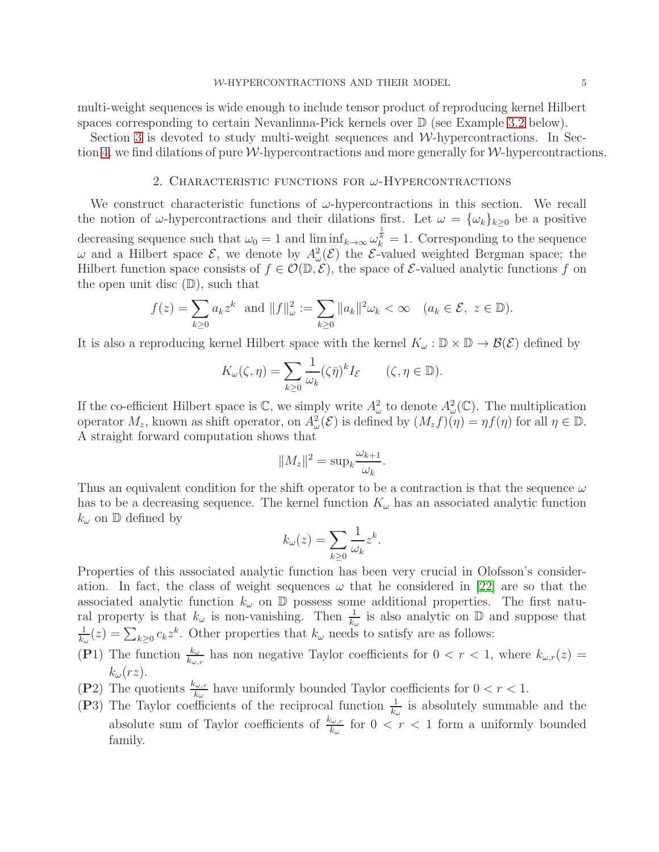multi-weight sequences is wide enough to include tensor product of reproducing kernel Hilbert spaces corresponding to certain Nevanlinna-Pick kernels over  $\mathbb D$  (see Example [3.2](#page-12-0) below).

<span id="page-4-0"></span>Section [3](#page-10-0) is devoted to study multi-weight sequences and  $W$ -hypercontractions. In Sec-tion [4,](#page-19-0) we find dilations of pure  $W$ -hypercontractions and more generally for  $W$ -hypercontractions.

#### 2. CHARACTERISTIC FUNCTIONS FOR  $\omega$ -HYPERCONTRACTIONS

We construct characteristic functions of  $\omega$ -hypercontractions in this section. We recall the notion of  $\omega$ -hypercontractions and their dilations first. Let  $\omega = {\{\omega_k\}}_{k\geq 0}$  be a positive decreasing sequence such that  $\omega_0 = 1$  and  $\liminf_{k \to \infty} \omega_k^{\frac{1}{k}} = 1$ . Corresponding to the sequence  $\omega$  and a Hilbert space  $\mathcal{E}$ , we denote by  $A^2_{\omega}(\mathcal{E})$  the  $\mathcal{E}$ -valued weighted Bergman space; the Hilbert function space consists of  $f \in \mathcal{O}(\mathbb{D}, \mathcal{E})$ , the space of  $\mathcal{E}\text{-valued analytic functions } f$  on the open unit disc  $(D)$ , such that

$$
f(z) = \sum_{k \ge 0} a_k z^k \text{ and } ||f||_{\omega}^2 := \sum_{k \ge 0} ||a_k||^2 \omega_k < \infty \quad (a_k \in \mathcal{E}, \ z \in \mathbb{D}).
$$

It is also a reproducing kernel Hilbert space with the kernel  $K_{\omega}: \mathbb{D} \times \mathbb{D} \to \mathcal{B}(\mathcal{E})$  defined by

$$
K_{\omega}(\zeta, \eta) = \sum_{k \ge 0} \frac{1}{\omega_k} (\zeta \bar{\eta})^k I_{\mathcal{E}} \qquad (\zeta, \eta \in \mathbb{D}).
$$

If the co-efficient Hilbert space is  $\mathbb{C}$ , we simply write  $A^2_\omega$  to denote  $A^2_\omega(\mathbb{C})$ . The multiplication operator  $M_z$ , known as shift operator, on  $A^2_\omega(\mathcal{E})$  is defined by  $(M_z f)(\eta) = \eta f(\eta)$  for all  $\eta \in \mathbb{D}$ . A straight forward computation shows that

$$
||M_z||^2 = \sup_k \frac{\omega_{k+1}}{\omega_k}.
$$

Thus an equivalent condition for the shift operator to be a contraction is that the sequence  $\omega$ has to be a decreasing sequence. The kernel function  $K_{\omega}$  has an associated analytic function  $k_{\omega}$  on  $\mathbb{D}$  defined by

$$
k_{\omega}(z) = \sum_{k \ge 0} \frac{1}{\omega_k} z^k.
$$

Properties of this associated analytic function has been very crucial in Olofsson's consideration. In fact, the class of weight sequences  $\omega$  that he considered in [\[22\]](#page-30-0) are so that the associated analytic function  $k_{\omega}$  on  $\mathbb{D}$  possess some additional properties. The first natural property is that  $k_{\omega}$  is non-vanishing. Then  $\frac{1}{k_{\omega}}$  is also analytic on  $\mathbb D$  and suppose that 1  $\frac{1}{k_{\omega}}(z) = \sum_{k \geq 0} c_k z^k$ . Other properties that  $k_{\omega}$  needs to satisfy are as follows:

- (P1) The function  $\frac{k_{\omega}}{k_{\omega,r}}$  has non negative Taylor coefficients for  $0 < r < 1$ , where  $k_{\omega,r}(z) =$  $k_{\omega}(rz)$ .
- (P2) The quotients  $\frac{k_{\omega,r}}{k_{\omega}}$  have uniformly bounded Taylor coefficients for  $0 < r < 1$ .
- (P3) The Taylor coefficients of the reciprocal function  $\frac{1}{k_{\omega}}$  is absolutely summable and the absolute sum of Taylor coefficients of  $\frac{k_{\omega,r}}{k_{\omega}}$  for  $0 < r < 1$  form a uniformly bounded family.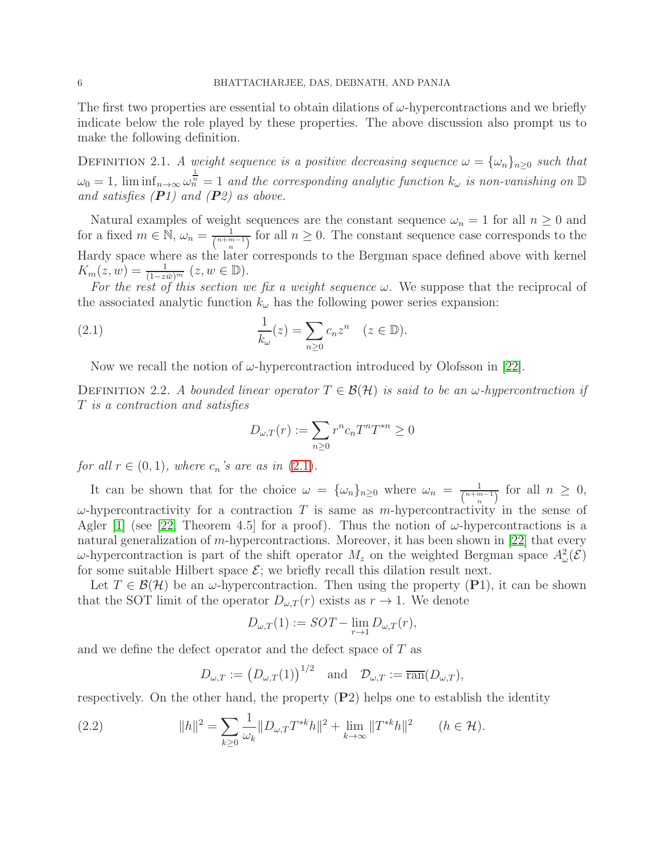The first two properties are essential to obtain dilations of  $\omega$ -hypercontractions and we briefly indicate below the role played by these properties. The above discussion also prompt us to make the following definition.

DEFINITION 2.1. *A weight sequence is a positive decreasing sequence*  $\omega = {\{\omega_n\}}_{n\geq 0}$  *such that*  $\omega_0 = 1$ ,  $\liminf_{n \to \infty} \omega_n^{\frac{1}{n}} = 1$  and the corresponding analytic function  $k_\omega$  is non-vanishing on  $\mathbb D$ *and satisfies (*P*1) and (*P*2) as above.*

Natural examples of weight sequences are the constant sequence  $\omega_n = 1$  for all  $n \geq 0$  and for a fixed  $m \in \mathbb{N}$ ,  $\omega_n = \frac{1}{\binom{n+m}{n}}$  $\frac{1}{\binom{n+m-1}{n}}$  for all  $n \geq 0$ . The constant sequence case corresponds to the Hardy space where as the later corresponds to the Bergman space defined above with kernel  $K_m(z, w) = \frac{1}{(1 - z\bar{w})^m} (z, w \in \mathbb{D}).$ 

*For the rest of this section we fix a weight sequence*  $\omega$ . We suppose that the reciprocal of the associated analytic function  $k_{\omega}$  has the following power series expansion:

(2.1) 
$$
\frac{1}{k_{\omega}}(z) = \sum_{n\geq 0} c_n z^n \quad (z \in \mathbb{D}).
$$

Now we recall the notion of  $\omega$ -hypercontraction introduced by Olofsson in [\[22\]](#page-30-0).

DEFINITION 2.2. *A bounded linear operator*  $T \in \mathcal{B}(\mathcal{H})$  *is said to be an*  $\omega$ -*hypercontraction if* T *is a contraction and satisfies*

<span id="page-5-0"></span>
$$
D_{\omega,T}(r) := \sum_{n\geq 0} r^n c_n T^n T^{*n} \geq 0
$$

*for all*  $r \in (0, 1)$ *, where*  $c_n$ *'s are as in*  $(2.1)$ *.* 

It can be shown that for the choice  $\omega = {\{\omega_n\}}_{n\geq 0}$  where  $\omega_n = \frac{1}{\binom{n+m}{n}}$  $\frac{1}{\binom{n+m-1}{n}}$  for all  $n \geq 0$ ,  $\omega$ -hypercontractivity for a contraction T is same as m-hypercontractivity in the sense of Agler [\[1\]](#page-29-2) (see [\[22,](#page-30-0) Theorem 4.5] for a proof). Thus the notion of  $\omega$ -hypercontractions is a natural generalization of m-hypercontractions. Moreover, it has been shown in [\[22\]](#page-30-0) that every  $ω$ -hypercontraction is part of the shift operator  $M_z$  on the weighted Bergman space  $A^2_ω(\mathcal{E})$ for some suitable Hilbert space  $\mathcal{E}$ ; we briefly recall this dilation result next.

Let  $T \in \mathcal{B}(\mathcal{H})$  be an  $\omega$ -hypercontraction. Then using the property (P1), it can be shown that the SOT limit of the operator  $D_{\omega,T}(r)$  exists as  $r \to 1$ . We denote

$$
D_{\omega,T}(1) := SOT - \lim_{r \to 1} D_{\omega,T}(r),
$$

and we define the defect operator and the defect space of T as

<span id="page-5-1"></span>
$$
D_{\omega,T} := (D_{\omega,T}(1))^{1/2}
$$
 and  $\mathcal{D}_{\omega,T} := \overline{\text{ran}}(D_{\omega,T}),$ 

respectively. On the other hand, the property  $(P2)$  helps one to establish the identity

(2.2) 
$$
||h||^2 = \sum_{k\geq 0} \frac{1}{\omega_k} ||D_{\omega,T} T^{*k} h||^2 + \lim_{k\to\infty} ||T^{*k} h||^2 \qquad (h \in \mathcal{H}).
$$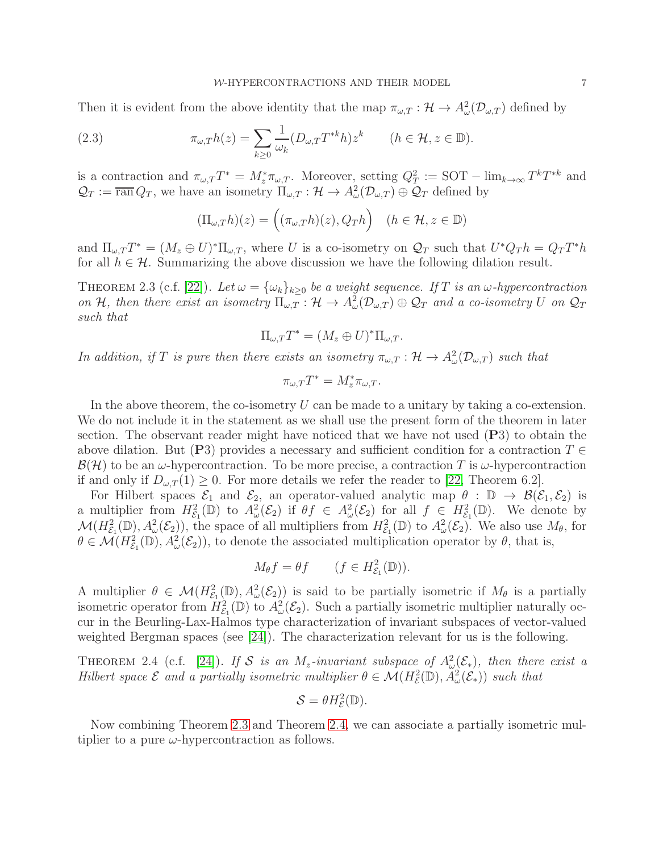Then it is evident from the above identity that the map  $\pi_{\omega,T} : \mathcal{H} \to A^2_{\omega}(\mathcal{D}_{\omega,T})$  defined by

(2.3) 
$$
\pi_{\omega,T}h(z) = \sum_{k\geq 0} \frac{1}{\omega_k} (D_{\omega,T} T^{*k} h) z^k \qquad (h \in \mathcal{H}, z \in \mathbb{D}).
$$

is a contraction and  $\pi_{\omega,T}T^* = M_z^*\pi_{\omega,T}$ . Moreover, setting  $Q_T^2 := \text{SOT} - \lim_{k\to\infty} T^kT^{*k}$  and  $\mathcal{Q}_T := \overline{\text{ran}} Q_T$ , we have an isometry  $\Pi_{\omega,T} : \mathcal{H} \to A^2_{\omega}(\mathcal{D}_{\omega,T}) \oplus \mathcal{Q}_T$  defined by

$$
(\Pi_{\omega,T}h)(z) = ((\pi_{\omega,T}h)(z), Q_Th) \quad (h \in \mathcal{H}, z \in \mathbb{D})
$$

and  $\Pi_{\omega,T}T^* = (M_z \oplus U)^* \Pi_{\omega,T}$ , where U is a co-isometry on  $\mathcal{Q}_T$  such that  $U^*Q_T h = Q_T T^* h$ for all  $h \in \mathcal{H}$ . Summarizing the above discussion we have the following dilation result.

<span id="page-6-0"></span>THEOREM 2.3 (c.f. [\[22\]](#page-30-0)). Let  $\omega = {\omega_k}_{k>0}$  be a weight sequence. If T is an  $\omega$ -hypercontraction *on* H, then there exist an isometry  $\Pi_{\omega,T}$ :  $H \to A^2_{\omega}(\mathcal{D}_{\omega,T}) \oplus \mathcal{Q}_T$  and a co-isometry U on  $\mathcal{Q}_T$ *such that*

$$
\Pi_{\omega,T}T^* = (M_z \oplus U)^* \Pi_{\omega,T}.
$$

*In addition, if T is pure then there exists an isometry*  $\pi_{\omega,T} : \mathcal{H} \to A^2_{\omega}(\mathcal{D}_{\omega,T})$  *such that* 

$$
\pi_{\omega,T}T^*=M_z^*\pi_{\omega,T}.
$$

In the above theorem, the co-isometry  $U$  can be made to a unitary by taking a co-extension. We do not include it in the statement as we shall use the present form of the theorem in later section. The observant reader might have noticed that we have not used  $(P3)$  to obtain the above dilation. But (P3) provides a necessary and sufficient condition for a contraction  $T \in$  $\mathcal{B}(\mathcal{H})$  to be an  $\omega$ -hypercontraction. To be more precise, a contraction T is  $\omega$ -hypercontraction if and only if  $D_{\omega,T}(1) \geq 0$ . For more details we refer the reader to [\[22,](#page-30-0) Theorem 6.2].

For Hilbert spaces  $\mathcal{E}_1$  and  $\mathcal{E}_2$ , an operator-valued analytic map  $\theta : \mathbb{D} \to \mathcal{B}(\mathcal{E}_1, \mathcal{E}_2)$  is a multiplier from  $H^2_{\mathcal{E}_1}(\mathbb{D})$  to  $A^2_{\omega}(\mathcal{E}_2)$  if  $\theta f \in A^2_{\omega}(\mathcal{E}_2)$  for all  $f \in H^2_{\mathcal{E}_1}(\mathbb{D})$ . We denote by  $\mathcal{M}(H_{\mathcal{E}_1}^2(\mathbb{D}), A_{\omega}^2(\mathcal{E}_2))$ , the space of all multipliers from  $H_{\mathcal{E}_1}^2(\mathbb{D})$  to  $A_{\omega}^2(\mathcal{E}_2)$ . We also use  $M_{\theta}$ , for  $\theta \in \mathcal{M}(H_{\mathcal{E}_1}^2(\mathbb{D}), A_{\omega}^2(\mathcal{E}_2))$ , to denote the associated multiplication operator by  $\theta$ , that is,

$$
M_{\theta}f = \theta f \qquad (f \in H_{\mathcal{E}_1}^2(\mathbb{D})).
$$

A multiplier  $\theta \in \mathcal{M}(H_{\mathcal{E}_1}^2(\mathbb{D}), A_{\omega}^2(\mathcal{E}_2))$  is said to be partially isometric if  $M_{\theta}$  is a partially isometric operator from  $H_{\mathcal{E}_1}^2(\mathbb{D})$  to  $A_{\omega}^2(\mathcal{E}_2)$ . Such a partially isometric multiplier naturally occur in the Beurling-Lax-Halmos type characterization of invariant subspaces of vector-valued weighted Bergman spaces (see [\[24\]](#page-30-7)). The characterization relevant for us is the following.

<span id="page-6-1"></span>THEOREM 2.4 (c.f. [\[24\]](#page-30-7)). *If* S *is an*  $M_z$ -invariant subspace of  $A^2_{\omega}(\mathcal{E}_*)$ , then there exist a *Hilbert space*  $\mathcal{E}$  *and a partially isometric multiplier*  $\theta \in \mathcal{M}(H_{\varepsilon}^2(\mathbb{D}), \tilde{A}_{\omega}^2(\mathcal{E}_*))$  *such that* 

$$
\mathcal{S}=\theta H_{\mathcal{E}}^2(\mathbb{D}).
$$

Now combining Theorem [2.3](#page-6-0) and Theorem [2.4,](#page-6-1) we can associate a partially isometric multiplier to a pure  $\omega$ -hypercontraction as follows.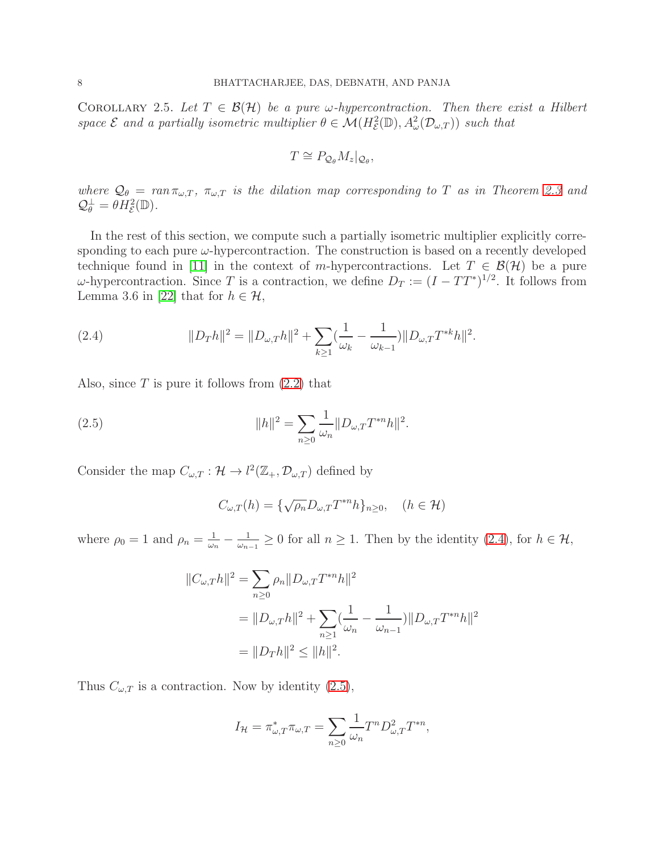COROLLARY 2.5. Let  $T \in \mathcal{B}(\mathcal{H})$  be a pure  $\omega$ -hypercontraction. Then there exist a Hilbert *space*  $\mathcal E$  *and a partially isometric multiplier*  $\theta \in \mathcal M(H^2_{\mathcal E}(\mathbb D), A^2_{\omega}(\mathcal D_{\omega,T}))$  *such that* 

$$
T \cong P_{\mathcal{Q}_{\theta}} M_z|_{\mathcal{Q}_{\theta}},
$$

*where*  $Q_{\theta} = ran \pi_{\omega,T}$ ,  $\pi_{\omega,T}$  *is the dilation map corresponding to T as in Theorem* [2.3](#page-6-0) *and*  $\mathcal{Q}_{\theta}^{\perp} = \theta H_{\mathcal{E}}^2(\mathbb{D}).$ 

In the rest of this section, we compute such a partially isometric multiplier explicitly corresponding to each pure  $\omega$ -hypercontraction. The construction is based on a recently developed technique found in [\[11\]](#page-29-9) in the context of m-hypercontractions. Let  $T \in \mathcal{B}(\mathcal{H})$  be a pure  $\omega$ -hypercontraction. Since T is a contraction, we define  $D_T := (I - TT^*)^{1/2}$ . It follows from Lemma 3.6 in [\[22\]](#page-30-0) that for  $h \in \mathcal{H}$ ,

<span id="page-7-0"></span>(2.4) 
$$
||D_{T}h||^{2} = ||D_{\omega,T}h||^{2} + \sum_{k\geq 1} \left(\frac{1}{\omega_{k}} - \frac{1}{\omega_{k-1}}\right)||D_{\omega,T}T^{*k}h||^{2}.
$$

Also, since  $T$  is pure it follows from  $(2.2)$  that

(2.5) 
$$
||h||^2 = \sum_{n\geq 0} \frac{1}{\omega_n} ||D_{\omega,T} T^{*n} h||^2.
$$

Consider the map  $C_{\omega,T}: \mathcal{H} \to l^2(\mathbb{Z}_+,\mathcal{D}_{\omega,T})$  defined by

<span id="page-7-1"></span>
$$
C_{\omega,T}(h) = \{\sqrt{\rho_n}D_{\omega,T}T^{*n}h\}_{n\geq 0}, \quad (h \in \mathcal{H})
$$

where  $\rho_0 = 1$  and  $\rho_n = \frac{1}{\omega_n}$  $\frac{1}{\omega_n}-\frac{1}{\omega_n}$  $\frac{1}{\omega_{n-1}}$  ≥ 0 for all  $n \ge 1$ . Then by the identity [\(2.4\)](#page-7-0), for  $h \in \mathcal{H}$ ,

$$
||C_{\omega,T}h||^2 = \sum_{n\geq 0} \rho_n ||D_{\omega,T}T^{*n}h||^2
$$
  
=  $||D_{\omega,T}h||^2 + \sum_{n\geq 1} \left(\frac{1}{\omega_n} - \frac{1}{\omega_{n-1}}\right) ||D_{\omega,T}T^{*n}h||^2$   
=  $||D_{T}h||^2 \leq ||h||^2$ .

Thus  $C_{\omega,T}$  is a contraction. Now by identity [\(2.5\)](#page-7-1),

$$
I_{\mathcal{H}} = \pi_{\omega,T}^* \pi_{\omega,T} = \sum_{n \ge 0} \frac{1}{\omega_n} T^n D_{\omega,T}^2 T^{*n},
$$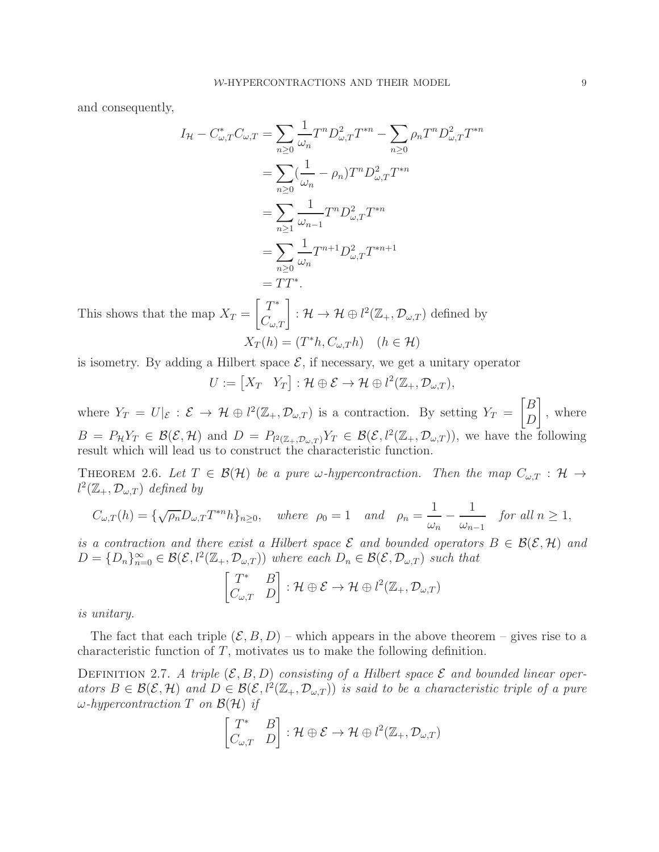and consequently,

$$
I_{\mathcal{H}} - C_{\omega,T}^* C_{\omega,T} = \sum_{n\geq 0} \frac{1}{\omega_n} T^n D_{\omega,T}^2 T^{*n} - \sum_{n\geq 0} \rho_n T^n D_{\omega,T}^2 T^{*n}
$$
  
= 
$$
\sum_{n\geq 0} \left(\frac{1}{\omega_n} - \rho_n\right) T^n D_{\omega,T}^2 T^{*n}
$$
  
= 
$$
\sum_{n\geq 1} \frac{1}{\omega_{n-1}} T^n D_{\omega,T}^2 T^{*n}
$$
  
= 
$$
\sum_{n\geq 0} \frac{1}{\omega_n} T^{n+1} D_{\omega,T}^2 T^{*n+1}
$$
  
= 
$$
TT^*.
$$

This shows that the map  $X_T =$  $\begin{bmatrix} T^* \\ C_{\omega,T} \end{bmatrix} : \mathcal{H} \to \mathcal{H} \oplus l^2(\mathbb{Z}_+,\mathcal{D}_{\omega,T})$  defined by  $X_T(h) = (T^*h, C_{\omega,T}h)$   $(h \in \mathcal{H})$ 

is isometry. By adding a Hilbert space  $\mathcal{E}$ , if necessary, we get a unitary operator

$$
U := [X_T \quad Y_T] : \mathcal{H} \oplus \mathcal{E} \to \mathcal{H} \oplus l^2(\mathbb{Z}_+, \mathcal{D}_{\omega,T}),
$$

where  $Y_T = U|_{\mathcal{E}} : \mathcal{E} \to \mathcal{H} \oplus l^2(\mathbb{Z}_+, \mathcal{D}_{\omega,T})$  is a contraction. By setting  $Y_T = \begin{bmatrix} B \\ D \end{bmatrix}$  $\boldsymbol{D}$ 1 , where  $B = P_{\mathcal{H}}Y_T \in \mathcal{B}(\mathcal{E},\mathcal{H})$  and  $D = P_{l^2(\mathbb{Z}_+,\mathcal{D}_{\omega,T})}Y_T \in \mathcal{B}(\mathcal{E},l^2(\mathbb{Z}_+,\mathcal{D}_{\omega,T}))$ , we have the following result which will lead us to construct the characteristic function.

THEOREM 2.6. Let  $T \in \mathcal{B}(\mathcal{H})$  be a pure w-hypercontraction. Then the map  $C_{\omega,T} : \mathcal{H} \to$  $l^2(\mathbb{Z}_+,\mathcal{D}_{\omega,T})$  *defined by* 

$$
C_{\omega,T}(h) = \{\sqrt{\rho_n}D_{\omega,T}T^{*n}h\}_{n\geq 0}, \quad \text{where} \quad \rho_0 = 1 \quad \text{and} \quad \rho_n = \frac{1}{\omega_n} - \frac{1}{\omega_{n-1}} \quad \text{for all } n \geq 1,
$$

*is a contraction and there exist a Hilbert space*  $\mathcal{E}$  *and bounded operators*  $B \in \mathcal{B}(\mathcal{E}, \mathcal{H})$  *and*  $D = \{D_n\}_{n=0}^{\infty} \in \mathcal{B}(\mathcal{E}, l^2(\mathbb{Z}_+, \mathcal{D}_{\omega,T}))$  where each  $D_n \in \mathcal{B}(\mathcal{E}, \mathcal{D}_{\omega,T})$  such that

$$
\begin{bmatrix} T^* & B \\ C_{\omega,T} & D \end{bmatrix} : \mathcal{H} \oplus \mathcal{E} \to \mathcal{H} \oplus l^2(\mathbb{Z}_+, \mathcal{D}_{\omega,T})
$$

*is unitary.*

The fact that each triple  $(\mathcal{E}, B, D)$  – which appears in the above theorem – gives rise to a characteristic function of  $T$ , motivates us to make the following definition.

DEFINITION 2.7. A triple  $(\mathcal{E}, B, D)$  consisting of a Hilbert space  $\mathcal E$  and bounded linear oper- $\textit{ators } B \in \mathcal{B}(\mathcal{E}, \mathcal{H})$  and  $D \in \mathcal{B}(\mathcal{E}, l^2(\mathbb{Z}_+, \mathcal{D}_{\omega,T}))$  *is said to be a characteristic triple of a pure* ω*-hypercontraction* T *on* B(H) *if*

$$
\begin{bmatrix} T^* & B \\ C_{\omega,T} & D \end{bmatrix} : \mathcal{H} \oplus \mathcal{E} \to \mathcal{H} \oplus l^2(\mathbb{Z}_+, \mathcal{D}_{\omega,T})
$$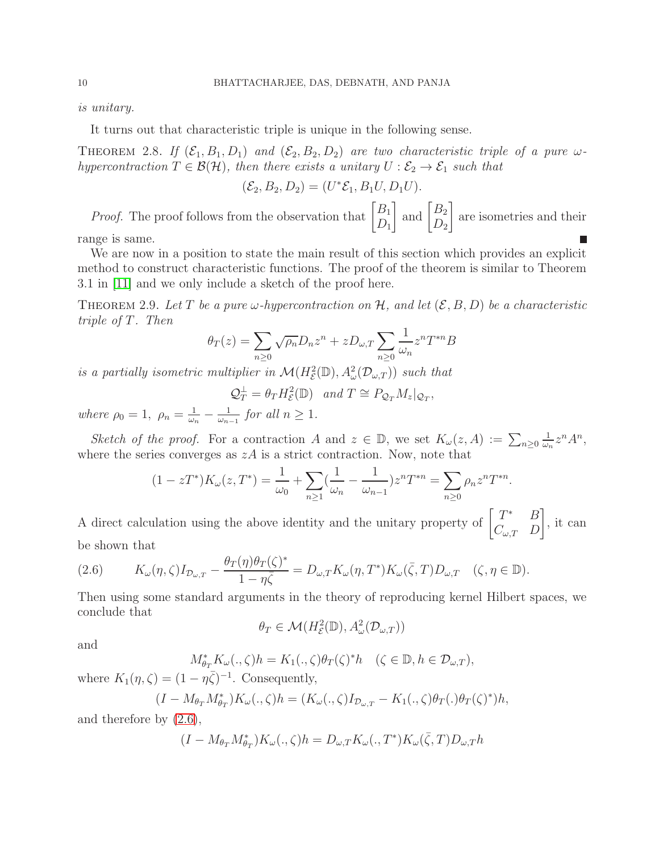*is unitary.*

It turns out that characteristic triple is unique in the following sense.

THEOREM 2.8. If  $(\mathcal{E}_1, B_1, D_1)$  and  $(\mathcal{E}_2, B_2, D_2)$  are two characteristic triple of a pure  $\omega$ *hypercontraction*  $T \in \mathcal{B}(\mathcal{H})$ *, then there exists a unitary*  $U : \mathcal{E}_2 \to \mathcal{E}_1$  *such that* 

$$
(\mathcal{E}_2, B_2, D_2) = (U^* \mathcal{E}_1, B_1 U, D_1 U).
$$

*Proof.* The proof follows from the observation that  $\begin{bmatrix} B_1 \\ D \end{bmatrix}$ and  $\begin{bmatrix} B_2 \\ D \end{bmatrix}$ 1 are isometries and their  $D_1$  $D_2$ П

range is same.

We are now in a position to state the main result of this section which provides an explicit method to construct characteristic functions. The proof of the theorem is similar to Theorem 3.1 in [\[11\]](#page-29-9) and we only include a sketch of the proof here.

THEOREM 2.9. Let T be a pure  $\omega$ -hypercontraction on H, and let  $(\mathcal{E}, B, D)$  be a characteristic *triple of* T*. Then*

$$
\theta_T(z) = \sum_{n\geq 0} \sqrt{\rho_n} D_n z^n + z D_{\omega,T} \sum_{n\geq 0} \frac{1}{\omega_n} z^n T^{*n} B
$$

*is a partially isometric multiplier in*  $\mathcal{M}(H^2_{\mathcal{E}}(\mathbb{D}), A^2_{\omega}(\mathcal{D}_{\omega,T}))$  *such that* 

$$
Q_T^{\perp} = \theta_T H_{\mathcal{E}}^2(\mathbb{D})
$$
 and  $T \cong P_{Q_T} M_z|_{Q_T}$ ,

*where*  $\rho_0 = 1$ ,  $\rho_n = \frac{1}{\omega_n}$  $\frac{1}{\omega_n} - \frac{1}{\omega_n}$  $\frac{1}{\omega_{n-1}}$  *for all*  $n \geq 1$ *.* 

*Sketch of the proof.* For a contraction A and  $z \in \mathbb{D}$ , we set  $K_{\omega}(z, A) := \sum_{n \geq 0}$ 1  $\frac{1}{\omega_n} z^n A^n$ , where the series converges as  $zA$  is a strict contraction. Now, note that

$$
(1 - zT^*)K_{\omega}(z, T^*) = \frac{1}{\omega_0} + \sum_{n \ge 1} \left(\frac{1}{\omega_n} - \frac{1}{\omega_{n-1}}\right)z^n T^{*n} = \sum_{n \ge 0} \rho_n z^n T^{*n}.
$$

A direct calculation using the above identity and the unitary property of  $\begin{bmatrix} T^* & B \\ C & D \end{bmatrix}$  $C_{\omega,T}$  D 1 , it can be shown that

<span id="page-9-0"></span>(2.6) 
$$
K_{\omega}(\eta,\zeta)I_{\mathcal{D}_{\omega,T}} - \frac{\theta_T(\eta)\theta_T(\zeta)^*}{1-\eta\overline{\zeta}} = D_{\omega,T}K_{\omega}(\eta,T^*)K_{\omega}(\overline{\zeta},T)D_{\omega,T} \quad (\zeta,\eta \in \mathbb{D}).
$$

Then using some standard arguments in the theory of reproducing kernel Hilbert spaces, we conclude that

$$
\theta_T \in \mathcal{M}(H^2_{\mathcal{E}}(\mathbb{D}), A^2_{\omega}(\mathcal{D}_{\omega,T}))
$$

and

$$
M_{\theta_T}^* K_\omega(.,\zeta)h = K_1(.,\zeta)\theta_T(\zeta)^* h \quad (\zeta \in \mathbb{D}, h \in \mathcal{D}_{\omega,T}),
$$

where  $K_1(\eta, \zeta) = (1 - \eta \overline{\zeta})^{-1}$ . Consequently,

$$
(I - M_{\theta_T} M_{\theta_T}^*) K_{\omega}(., \zeta) h = (K_{\omega}(., \zeta) I_{\mathcal{D}_{\omega,T}} - K_1(., \zeta) \theta_T(.) \theta_T(\zeta)^*) h,
$$

and therefore by [\(2.6\)](#page-9-0),

$$
(I - M_{\theta_T} M_{\theta_T}^*) K_{\omega}(., \zeta) h = D_{\omega,T} K_{\omega}(., T^*) K_{\omega}(\bar{\zeta}, T) D_{\omega,T} h
$$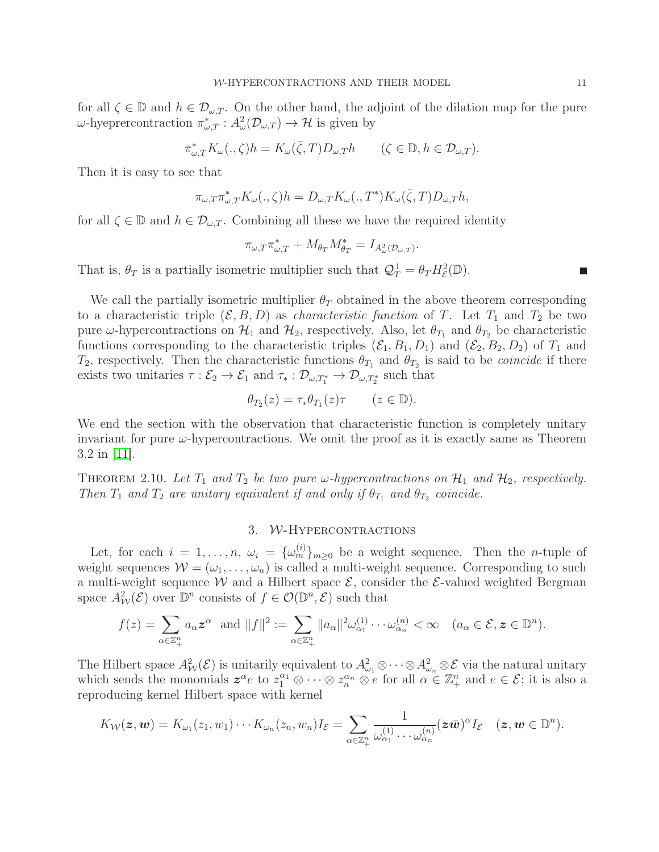for all  $\zeta \in \mathbb{D}$  and  $h \in \mathcal{D}_{\omega,T}$ . On the other hand, the adjoint of the dilation map for the pure  $\omega$ -hyeprercontraction  $\pi^*_{\omega,T} : A^2_{\omega}(\mathcal{D}_{\omega,T}) \to \mathcal{H}$  is given by

$$
\pi_{\omega,T}^* K_{\omega}(.,\zeta)h = K_{\omega}(\bar{\zeta},T)D_{\omega,T}h \qquad (\zeta \in \mathbb{D}, h \in \mathcal{D}_{\omega,T}).
$$

Then it is easy to see that

$$
\pi_{\omega,T}\pi_{\omega,T}^*K_\omega(.,\zeta)h=D_{\omega,T}K_\omega(.,T^*)K_\omega(\bar\zeta,T)D_{\omega,T}h,
$$

for all  $\zeta \in \mathbb{D}$  and  $h \in \mathcal{D}_{\omega,T}$ . Combining all these we have the required identity

$$
\pi_{\omega,T}\pi_{\omega,T}^* + M_{\theta_T}M_{\theta_T}^* = I_{A_{\omega}^2(\mathcal{D}_{\omega,T})}.
$$

That is,  $\theta_T$  is a partially isometric multiplier such that  $\mathcal{Q}_T^{\perp} = \theta_T H_{\mathcal{E}}^2(\mathbb{D})$ .

We call the partially isometric multiplier  $\theta_T$  obtained in the above theorem corresponding to a characteristic triple  $(\mathcal{E}, B, D)$  as *characteristic function* of T. Let  $T_1$  and  $T_2$  be two pure  $\omega$ -hypercontractions on  $\mathcal{H}_1$  and  $\mathcal{H}_2$ , respectively. Also, let  $\theta_{T_1}$  and  $\theta_{T_2}$  be characteristic functions corresponding to the characteristic triples  $(\mathcal{E}_1, B_1, D_1)$  and  $(\mathcal{E}_2, B_2, D_2)$  of  $T_1$  and  $T_2$ , respectively. Then the characteristic functions  $\theta_{T_1}$  and  $\theta_{T_2}$  is said to be *coincide* if there exists two unitaries  $\tau : \mathcal{E}_2 \to \mathcal{E}_1$  and  $\tau_* : \mathcal{D}_{\omega, T_1^*} \to \mathcal{D}_{\omega, T_2^*}$  such that

$$
\theta_{T_2}(z) = \tau_* \theta_{T_1}(z) \tau \qquad (z \in \mathbb{D}).
$$

We end the section with the observation that characteristic function is completely unitary invariant for pure  $\omega$ -hypercontractions. We omit the proof as it is exactly same as Theorem 3.2 in [\[11\]](#page-29-9).

THEOREM 2.10. Let  $T_1$  and  $T_2$  be two pure  $\omega$ -hypercontractions on  $\mathcal{H}_1$  and  $\mathcal{H}_2$ , respectively. *Then*  $T_1$  *and*  $T_2$  *are unitary equivalent if and only if*  $\theta_{T_1}$  *and*  $\theta_{T_2}$  *coincide.* 

#### 3. W-Hypercontractions

<span id="page-10-0"></span>Let, for each  $i = 1, \ldots, n$ ,  $\omega_i = {\{\omega_m^{(i)}\}}_{m \geq 0}$  be a weight sequence. Then the *n*-tuple of weight sequences  $W = (\omega_1, \ldots, \omega_n)$  is called a multi-weight sequence. Corresponding to such a multi-weight sequence W and a Hilbert space  $\mathcal{E}$ , consider the  $\mathcal{E}$ -valued weighted Bergman space  $A^2_{\mathcal{W}}(\mathcal{E})$  over  $\mathbb{D}^n$  consists of  $f \in \mathcal{O}(\mathbb{D}^n, \mathcal{E})$  such that

$$
f(z) = \sum_{\alpha \in \mathbb{Z}_+^n} a_\alpha \mathbf{z}^\alpha \text{ and } ||f||^2 := \sum_{\alpha \in \mathbb{Z}_+^n} ||a_\alpha||^2 \omega_{\alpha_1}^{(1)} \cdots \omega_{\alpha_n}^{(n)} < \infty \quad (a_\alpha \in \mathcal{E}, \mathbf{z} \in \mathbb{D}^n).
$$

The Hilbert space  $A^2_{\mathcal{W}}(\mathcal{E})$  is unitarily equivalent to  $A^2_{\omega_1} \otimes \cdots \otimes A^2_{\omega_n} \otimes \mathcal{E}$  via the natural unitary which sends the monomials  $z^{\alpha}e$  to  $z_1^{\alpha_1} \otimes \cdots \otimes z_n^{\alpha_n} \otimes e$  for all  $\alpha \in \mathbb{Z}_+^n$  and  $e \in \mathcal{E}$ ; it is also a reproducing kernel Hilbert space with kernel

$$
K_{\mathcal{W}}(\boldsymbol{z},\boldsymbol{w})=K_{\omega_1}(z_1,w_1)\cdots K_{\omega_n}(z_n,w_n)I_{\mathcal{E}}=\sum_{\alpha\in\mathbb{Z}_+^n}\frac{1}{\omega_{\alpha_1}^{(1)}\cdots\omega_{\alpha_n}^{(n)}}(\boldsymbol{z}\bar{\boldsymbol{w}})^{\alpha}I_{\mathcal{E}}\quad(\boldsymbol{z},\boldsymbol{w}\in\mathbb{D}^n).
$$

 $\blacksquare$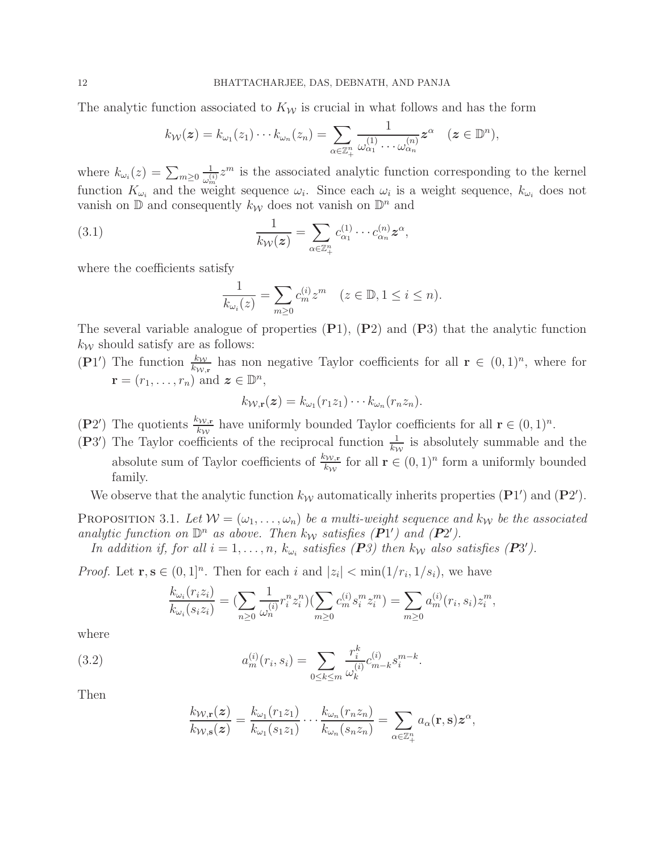The analytic function associated to  $K_W$  is crucial in what follows and has the form

$$
k_{\mathcal{W}}(\boldsymbol{z})=k_{\omega_1}(z_1)\cdots k_{\omega_n}(z_n)=\sum_{\alpha\in\mathbb{Z}_+^n}\frac{1}{\omega_{\alpha_1}^{(1)}\cdots\omega_{\alpha_n}^{(n)}}\boldsymbol{z}^{\alpha}\quad(\boldsymbol{z}\in\mathbb{D}^n),
$$

where  $k_{\omega_i}(z) = \sum_{m \geq 0}$ 1  $\frac{1}{\omega_m^{(i)}} z^m$  is the associated analytic function corresponding to the kernel function  $K_{\omega_i}$  and the weight sequence  $\omega_i$ . Since each  $\omega_i$  is a weight sequence,  $k_{\omega_i}$  does not vanish on  $\mathbb{D}$  and consequently  $k_{\mathcal{W}}$  does not vanish on  $\mathbb{D}^n$  and

<span id="page-11-0"></span>(3.1) 
$$
\frac{1}{k_{\mathcal{W}}(z)} = \sum_{\alpha \in \mathbb{Z}_{+}^{n}} c_{\alpha_{1}}^{(1)} \cdots c_{\alpha_{n}}^{(n)} z^{\alpha},
$$

where the coefficients satisfy

$$
\frac{1}{k_{\omega_i}(z)} = \sum_{m \ge 0} c_m^{(i)} z^m \quad (z \in \mathbb{D}, 1 \le i \le n).
$$

The several variable analogue of properties  $(P1)$ ,  $(P2)$  and  $(P3)$  that the analytic function  $k_{\mathcal{W}}$  should satisfy are as follows:

(P1') The function  $\frac{k_W}{k_{W,r}}$  has non negative Taylor coefficients for all  $\mathbf{r} \in (0,1)^n$ , where for  $\mathbf{r} = (r_1, \ldots, r_n)$  and  $\mathbf{z} \in \mathbb{D}^n$ ,

$$
k_{\mathcal{W},\mathbf{r}}(\boldsymbol{z})=k_{\omega_1}(r_1z_1)\cdots k_{\omega_n}(r_nz_n).
$$

- (P2') The quotients  $\frac{k_{\mathcal{W},\mathbf{r}}}{k_{\mathcal{W}}}$  have uniformly bounded Taylor coefficients for all  $\mathbf{r} \in (0,1)^n$ .
- (P3<sup>'</sup>) The Taylor coefficients of the reciprocal function  $\frac{1}{k_W}$  is absolutely summable and the absolute sum of Taylor coefficients of  $\frac{k_{\mathcal{W},\mathbf{r}}}{k_{\mathcal{W}}}$  for all  $\mathbf{r} \in (0,1)^n$  form a uniformly bounded family.

We observe that the analytic function  $k_W$  automatically inherits properties  $(\mathbf{P}1')$  and  $(\mathbf{P}2')$ .

<span id="page-11-1"></span>PROPOSITION 3.1. Let  $W = (\omega_1, \ldots, \omega_n)$  be a multi-weight sequence and  $k_W$  be the associated analytic function on  $\mathbb{D}^n$  as above. Then  $k_W$  satisfies  $(P1')$  and  $(P2')$ .

*In addition if, for all*  $i = 1, \ldots, n$ ,  $k_{\omega_i}$  satisfies  $(P3)$  then  $k_{\mathcal{W}}$  also satisfies  $(P3')$ .

*Proof.* Let **r**, **s**  $\in (0,1]^n$ . Then for each i and  $|z_i| < \min(1/r_i, 1/s_i)$ , we have

$$
\frac{k_{\omega_i}(r_iz_i)}{k_{\omega_i}(s_iz_i)} = \left(\sum_{n\geq 0} \frac{1}{\omega_n^{(i)}} r_i^n z_i^n\right) \left(\sum_{m\geq 0} c_m^{(i)} s_i^m z_i^m\right) = \sum_{m\geq 0} a_m^{(i)}(r_i, s_i) z_i^m,
$$

where

(3.2) 
$$
a_m^{(i)}(r_i, s_i) = \sum_{0 \le k \le m} \frac{r_i^k}{\omega_k^{(i)}} c_{m-k}^{(i)} s_i^{m-k}.
$$

Then

<span id="page-11-2"></span>
$$
\frac{k_{\mathcal{W},\mathbf{r}}(z)}{k_{\mathcal{W},\mathbf{s}}(z)} = \frac{k_{\omega_1}(r_1z_1)}{k_{\omega_1}(s_1z_1)} \cdots \frac{k_{\omega_n}(r_nz_n)}{k_{\omega_n}(s_nz_n)} = \sum_{\alpha \in \mathbb{Z}_+^n} a_{\alpha}(\mathbf{r},\mathbf{s}) z^{\alpha},
$$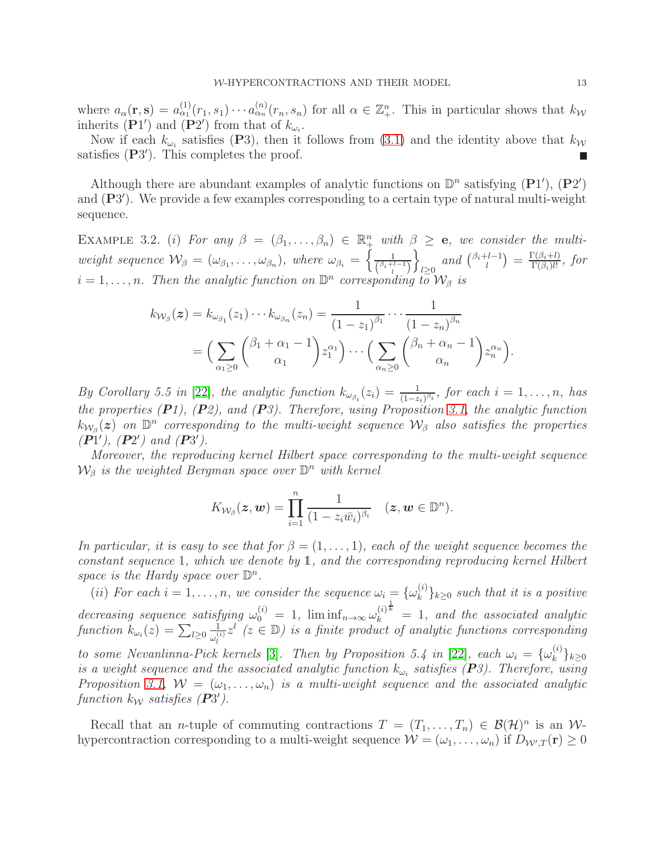where  $a_{\alpha}(\mathbf{r}, \mathbf{s}) = a_{\alpha_1}^{(1)}(r_1, s_1) \cdots a_{\alpha_n}^{(n)}(r_n, s_n)$  for all  $\alpha \in \mathbb{Z}_{+}^n$ . This in particular shows that  $k_{\mathcal{W}}$ inherits (P1') and (P2') from that of  $k_{\omega_i}$ .

Now if each  $k_{\omega_i}$  satisfies (P3), then it follows from [\(3.1\)](#page-11-0) and the identity above that  $k_{\mathcal{W}}$ satisfies (P3'). This completes the proof.

Although there are abundant examples of analytic functions on  $\mathbb{D}^n$  satisfying  $(\mathbf{P}1'), (\mathbf{P}2')$ and (P3'). We provide a few examples corresponding to a certain type of natural multi-weight sequence.

<span id="page-12-0"></span>EXAMPLE 3.2. (i) For any  $\beta = (\beta_1, \ldots, \beta_n) \in \mathbb{R}^n_+$  with  $\beta \geq e$ , we consider the multi*weight sequence*  $\mathcal{W}_{\beta} = (\omega_{\beta_1}, \ldots, \omega_{\beta_n}),$  *where*  $\omega_{\beta_i} = \left\{ \frac{1}{\binom{\beta_i + 1}{\cdots}} \right\}$  $\binom{\beta_i+l-1}{l}$ o  $\sum_{l\geq 0}$  and  $\binom{\beta_i+l-1}{l}$  $\binom{l-1}{l} = \frac{\Gamma(\beta_i + l)}{\Gamma(\beta_i)l!}$  $\frac{\Gamma(\beta_i+1)}{\Gamma(\beta_i)l!}, for$  $i = 1, \ldots, n$ . Then the analytic function on  $\mathbb{D}^n$  corresponding to  $\mathcal{W}_{\beta}$  is

$$
k_{\mathcal{W}_{\beta}}(\boldsymbol{z}) = k_{\omega_{\beta_1}}(z_1) \cdots k_{\omega_{\beta_n}}(z_n) = \frac{1}{(1-z_1)^{\beta_1}} \cdots \frac{1}{(1-z_n)^{\beta_n}}
$$
  
= 
$$
\Big(\sum_{\alpha_1 \geq 0} {\beta_1 + \alpha_1 - 1 \choose \alpha_1} z_1^{\alpha_1} \Big) \cdots \Big(\sum_{\alpha_n \geq 0} {\beta_n + \alpha_n - 1 \choose \alpha_n} z_n^{\alpha_n} \Big).
$$

*By Corollary 5.5 in* [\[22\]](#page-30-0), the analytic function  $k_{\omega_{\beta_i}}(z_i) = \frac{1}{(1-z_i)^{\beta_i}}$ , for each  $i = 1, \ldots, n$ , has *the properties (*P*1), (*P*2), and (*P*3). Therefore, using Proposition [3.1,](#page-11-1) the analytic function*  $k_{W_\beta}(z)$  on  $\mathbb{D}^n$  corresponding to the multi-weight sequence  $\mathcal{W}_\beta$  also satisfies the properties  $(P_1^{\prime\prime})$ *,*  $(P_2^{\prime})$  *and*  $(P_3^{\prime})$ *.* 

*Moreover, the reproducing kernel Hilbert space corresponding to the multi-weight sequence*  $\mathcal{W}_{\beta}$  *is the weighted Bergman space over*  $\mathbb{D}^{n}$  *with kernel* 

$$
K_{\mathcal{W}_{\beta}}(\boldsymbol{z},\boldsymbol{w})=\prod_{i=1}^n\frac{1}{(1-z_i\bar{w}_i)^{\beta_i}}\quad(\boldsymbol{z},\boldsymbol{w}\in\mathbb{D}^n).
$$

*In particular, it is easy to see that for*  $\beta = (1, \ldots, 1)$ *, each of the weight sequence becomes the constant sequence* 1*, which we denote by* 1*, and the corresponding reproducing kernel Hilbert* space is the Hardy space over  $\mathbb{D}^n$ .

(*ii*) *For each*  $i = 1, ..., n$ , we consider the sequence  $\omega_i = {\omega_k^{(i)}}$  ${k \choose k}$ <sub>k</sub> $\geq$ <sup>0</sup> *such that it is a positive* decreasing sequence satisfying  $\omega_0^{(i)} = 1$ ,  $\liminf_{n \to \infty} \omega_k^{(i) \frac{1}{k}} = 1$ , and the associated analytic  $\textit{function } k_{\omega_i}(z) = \sum_{l \geq 0}$ 1  $\frac{1}{\omega_l^{(i)}} z^l$  ( $z \in \mathbb{D}$ ) is a finite product of analytic functions corresponding *to some Nevanlinna-Pick kernels* [\[3\]](#page-29-14)*. Then by Proposition 5.4 in* [\[22\]](#page-30-0)*, each*  $\omega_i = {\omega_k^{(i)}}$  $\hat{k}$   $\hat{j}$  $k \geq 0$ *is a weight sequence and the associated analytic function*  $k_{\omega_i}$  satisfies  $(P3)$ . Therefore, using *Proposition* [3.1,](#page-11-1)  $W = (\omega_1, \ldots, \omega_n)$  *is a multi-weight sequence and the associated analytic*  $function \ k_{\mathcal{W}} \ satisfies (\vec{P3}')$ .

Recall that an *n*-tuple of commuting contractions  $T = (T_1, \ldots, T_n) \in \mathcal{B}(\mathcal{H})^n$  is an *W*hypercontraction corresponding to a multi-weight sequence  $\mathcal{W} = (\omega_1, \dots, \omega_n)$  if  $D_{\mathcal{W}',T}(\mathbf{r}) \geq 0$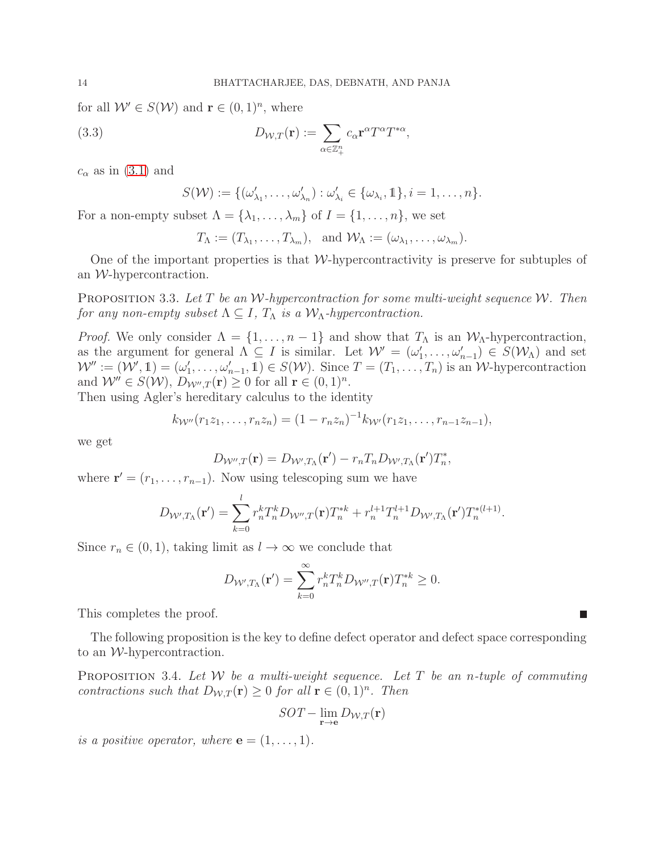for all  $W' \in S(W)$  and  $\mathbf{r} \in (0,1)^n$ , where

(3.3) 
$$
D_{\mathcal{W},T}(\mathbf{r}) := \sum_{\alpha \in \mathbb{Z}_{+}^{n}} c_{\alpha} \mathbf{r}^{\alpha} T^{\alpha} T^{*\alpha},
$$

 $c_{\alpha}$  as in [\(3.1\)](#page-11-0) and

$$
S(\mathcal{W}) := \{(\omega'_{\lambda_1}, \ldots, \omega'_{\lambda_n}) : \omega'_{\lambda_i} \in \{\omega_{\lambda_i}, 1\}, i = 1, \ldots, n\}.
$$

For a non-empty subset  $\Lambda = {\lambda_1, \ldots, \lambda_m}$  of  $I = {1, \ldots, n}$ , we set

$$
T_{\Lambda} := (T_{\lambda_1}, \ldots, T_{\lambda_m}), \text{ and } \mathcal{W}_{\Lambda} := (\omega_{\lambda_1}, \ldots, \omega_{\lambda_m}).
$$

One of the important properties is that  $W$ -hypercontractivity is preserve for subtuples of an W-hypercontraction.

<span id="page-13-1"></span>Proposition 3.3. *Let* T *be an* W*-hypercontraction for some multi-weight sequence* W*. Then for any non-empty subset*  $\Lambda \subseteq I$ ,  $T_{\Lambda}$  *is a*  $\mathcal{W}_{\Lambda}$ *-hypercontraction.* 

*Proof.* We only consider  $\Lambda = \{1, \ldots, n-1\}$  and show that  $T_{\Lambda}$  is an  $W_{\Lambda}$ -hypercontraction, as the argument for general  $\Lambda \subseteq I$  is similar. Let  $\mathcal{W}' = (\omega'_1, \ldots, \omega'_{n-1}) \in S(\mathcal{W}_{\Lambda})$  and set  $W'' := (W', \mathbb{1}) = (\omega'_1, \ldots, \omega'_{n-1}, \mathbb{1}) \in S(W)$ . Since  $T = (T_1, \ldots, T_n)$  is an W-hypercontraction and  $W'' \in S(W)$ ,  $D_{W'',T}(\mathbf{r}) \geq 0$  for all  $\mathbf{r} \in (0,1)^n$ .

Then using Agler's hereditary calculus to the identity

$$
k_{\mathcal{W}''}(r_1z_1,\ldots,r_nz_n)=(1-r_nz_n)^{-1}k_{\mathcal{W}'}(r_1z_1,\ldots,r_{n-1}z_{n-1}),
$$

we get

$$
D_{\mathcal{W}'',T}(\mathbf{r}) = D_{\mathcal{W}',T_{\Lambda}}(\mathbf{r}') - r_n T_n D_{\mathcal{W}',T_{\Lambda}}(\mathbf{r}') T_n^*,
$$

where  $\mathbf{r}' = (r_1, \ldots, r_{n-1})$ . Now using telescoping sum we have

$$
D_{\mathcal{W}',T_{\Lambda}}(\mathbf{r}') = \sum_{k=0}^{l} r_n^k T_n^k D_{\mathcal{W}'',T}(\mathbf{r}) T_n^{*k} + r_n^{l+1} T_n^{l+1} D_{\mathcal{W}',T_{\Lambda}}(\mathbf{r}') T_n^{*(l+1)}.
$$

Since  $r_n \in (0, 1)$ , taking limit as  $l \to \infty$  we conclude that

$$
D_{\mathcal{W}',T_{\Lambda}}(\mathbf{r}') = \sum_{k=0}^{\infty} r_n^k T_n^k D_{\mathcal{W}'',T}(\mathbf{r}) T_n^{*k} \ge 0.
$$

This completes the proof.

The following proposition is the key to define defect operator and defect space corresponding to an W-hypercontraction.

<span id="page-13-0"></span>Proposition 3.4. *Let* W *be a multi-weight sequence. Let* T *be an* n*-tuple of commuting contractions such that*  $D_{W,T}(\mathbf{r}) \geq 0$  *for all*  $\mathbf{r} \in (0,1)^n$ *. Then* 

$$
SOT-\lim_{\mathbf{r}\to\mathbf{e}}D_{\mathcal{W},T}(\mathbf{r})
$$

*is a positive operator, where*  $\mathbf{e} = (1, \ldots, 1)$ *.* 

П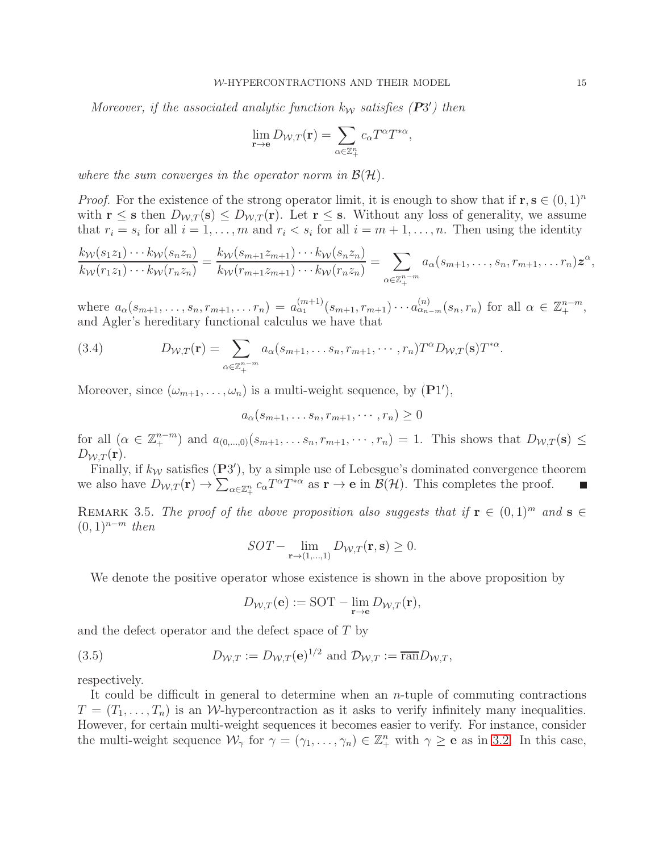*Moreover, if the associated analytic function*  $k_W$  *satisfies* ( $P3'$ ) *then* 

$$
\lim_{\mathbf{r}\to\mathbf{e}} D_{\mathcal{W},T}(\mathbf{r}) = \sum_{\alpha\in\mathbb{Z}_{+}^{n}} c_{\alpha} T^{\alpha} T^{*\alpha},
$$

*where the sum converges in the operator norm in*  $\mathcal{B}(\mathcal{H})$ *.* 

*Proof.* For the existence of the strong operator limit, it is enough to show that if  $\mathbf{r}, \mathbf{s} \in (0,1)^n$ with  $\mathbf{r} \leq \mathbf{s}$  then  $D_{W,T}(\mathbf{s}) \leq D_{W,T}(\mathbf{r})$ . Let  $\mathbf{r} \leq \mathbf{s}$ . Without any loss of generality, we assume that  $r_i = s_i$  for all  $i = 1, \ldots, m$  and  $r_i < s_i$  for all  $i = m + 1, \ldots, n$ . Then using the identity

$$
\frac{k_{\mathcal{W}}(s_1z_1)\cdots k_{\mathcal{W}}(s_nz_n)}{k_{\mathcal{W}}(r_1z_1)\cdots k_{\mathcal{W}}(r_nz_n)}=\frac{k_{\mathcal{W}}(s_{m+1}z_{m+1})\cdots k_{\mathcal{W}}(s_nz_n)}{k_{\mathcal{W}}(r_{m+1}z_{m+1})\cdots k_{\mathcal{W}}(r_nz_n)}=\sum_{\alpha\in\mathbb{Z}_{+}^{n-m}}a_{\alpha}(s_{m+1},\ldots,s_n,r_{m+1},\ldots r_n)\mathbf{z}^{\alpha},
$$

where  $a_{\alpha}(s_{m+1},...,s_n,r_{m+1},...,r_n) = a_{\alpha_1}^{(m+1)}(s_{m+1},r_{m+1})\cdots a_{\alpha_{n-m}}^{(n)}(s_n,r_n)$  for all  $\alpha \in \mathbb{Z}_+^{n-m}$ , and Agler's hereditary functional calculus we have that

(3.4) 
$$
D_{\mathcal{W},T}(\mathbf{r}) = \sum_{\alpha \in \mathbb{Z}_+^{n-m}} a_{\alpha}(s_{m+1},\ldots,s_n,r_{m+1},\cdots,r_n)T^{\alpha}D_{\mathcal{W},T}(\mathbf{s})T^{*\alpha}.
$$

Moreover, since  $(\omega_{m+1}, \ldots, \omega_n)$  is a multi-weight sequence, by  $(\mathbf{P}1'),$ 

$$
a_{\alpha}(s_{m+1},\ldots s_n,r_{m+1},\cdots,r_n)\geq 0
$$

for all  $(\alpha \in \mathbb{Z}_{+}^{n-m})$  and  $a_{(0,...,0)}(s_{m+1},\ldots,s_n,r_{m+1},\cdots,r_n) = 1$ . This shows that  $D_{\mathcal{W},T}(\mathbf{s}) \leq$  $D_{W,T}({\bf r}).$ 

Finally, if  $k_W$  satisfies  $(P3')$ , by a simple use of Lebesgue's dominated convergence theorem we also have  $D_{\mathcal{W},T}(\mathbf{r}) \to \sum_{\alpha \in \mathbb{Z}_{+}^{n}} c_{\alpha} T^{\alpha} T^{*\alpha}$  as  $\mathbf{r} \to \mathbf{e}$  in  $\mathcal{B}(\mathcal{H})$ . This completes the proof.

<span id="page-14-0"></span>REMARK 3.5. *The proof of the above proposition also suggests that if*  $\mathbf{r} \in (0,1)^m$  *and*  $\mathbf{s} \in$  $(0, 1)^{n-m}$  *then* 

$$
SOT - \lim_{\mathbf{r} \to (1,\dots,1)} D_{\mathcal{W},T}(\mathbf{r}, \mathbf{s}) \ge 0.
$$

We denote the positive operator whose existence is shown in the above proposition by

$$
D_{\mathcal{W},T}(\mathbf{e}):=\text{\rm SOT}-\lim_{\mathbf{r}\to\mathbf{e}}D_{\mathcal{W},T}(\mathbf{r}),
$$

and the defect operator and the defect space of T by

(3.5) 
$$
D_{\mathcal{W},T} := D_{\mathcal{W},T}(\mathbf{e})^{1/2} \text{ and } \mathcal{D}_{\mathcal{W},T} := \overline{\text{ran}} D_{\mathcal{W},T},
$$

respectively.

It could be difficult in general to determine when an n-tuple of commuting contractions  $T = (T_1, \ldots, T_n)$  is an W-hypercontraction as it asks to verify infinitely many inequalities. However, for certain multi-weight sequences it becomes easier to verify. For instance, consider the multi-weight sequence  $\mathcal{W}_{\gamma}$  for  $\gamma = (\gamma_1, \dots, \gamma_n) \in \mathbb{Z}_{+}^n$  with  $\gamma \geq e$  as in [3.2.](#page-12-0) In this case,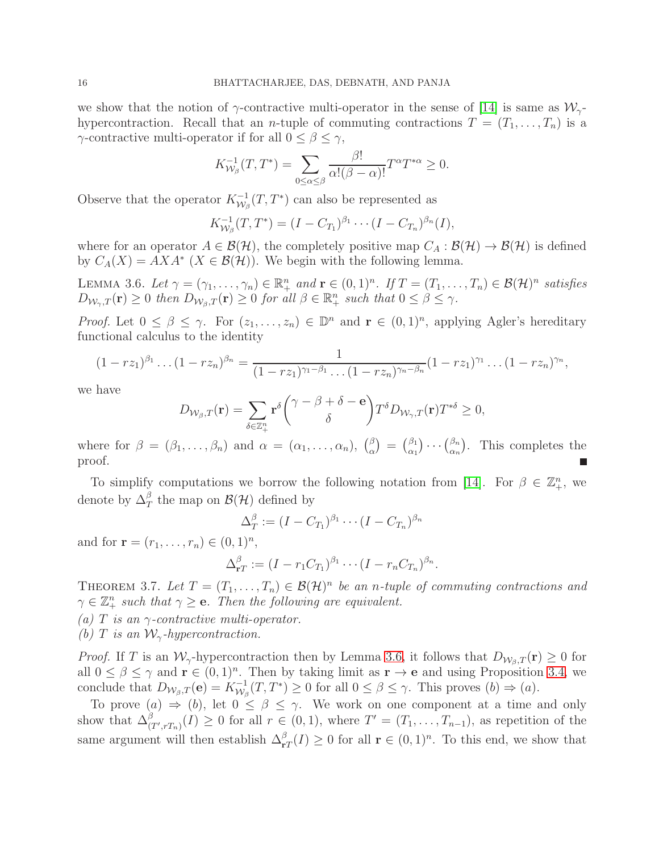we show that the notion of  $\gamma$ -contractive multi-operator in the sense of [\[14\]](#page-29-1) is same as  $\mathcal{W}_{\gamma}$ hypercontraction. Recall that an *n*-tuple of commuting contractions  $T = (T_1, \ldots, T_n)$  is a  $\gamma$ -contractive multi-operator if for all  $0 \leq \beta \leq \gamma$ ,

$$
K_{\mathcal{W}_{\beta}}^{-1}(T,T^*) = \sum_{0 \leq \alpha \leq \beta} \frac{\beta!}{\alpha!(\beta-\alpha)!} T^{\alpha} T^{*\alpha} \geq 0.
$$

Observe that the operator  $K_{\mathcal{W}_{c}}^{-1}$  $\chi_{\mathcal{W}_{\beta}}^{-1}(T,T^*)$  can also be represented as

$$
K_{\mathcal{W}_{\beta}}^{-1}(T, T^*) = (I - C_{T_1})^{\beta_1} \cdots (I - C_{T_n})^{\beta_n}(I),
$$

where for an operator  $A \in \mathcal{B}(\mathcal{H})$ , the completely positive map  $C_A : \mathcal{B}(\mathcal{H}) \to \mathcal{B}(\mathcal{H})$  is defined by  $C_A(X) = AXA^*$   $(X \in \mathcal{B}(\mathcal{H}))$ . We begin with the following lemma.

<span id="page-15-0"></span>LEMMA 3.6. Let  $\gamma = (\gamma_1, \dots, \gamma_n) \in \mathbb{R}^n_+$  and  $\mathbf{r} \in (0, 1)^n$ . If  $T = (T_1, \dots, T_n) \in \mathcal{B}(\mathcal{H})^n$  satisfies  $D_{\mathcal{W}_{\gamma},T}(\mathbf{r}) \geq 0$  then  $D_{\mathcal{W}_{\beta},T}(\mathbf{r}) \geq 0$  for all  $\beta \in \mathbb{R}^n_+$  such that  $0 \leq \beta \leq \gamma$ .

*Proof.* Let  $0 \le \beta \le \gamma$ . For  $(z_1, \ldots, z_n) \in \mathbb{D}^n$  and  $\mathbf{r} \in (0, 1)^n$ , applying Agler's hereditary functional calculus to the identity

$$
(1-rz_1)^{\beta_1}\dots(1-rz_n)^{\beta_n}=\frac{1}{(1-rz_1)^{\gamma_1-\beta_1}\dots(1-rz_n)^{\gamma_n-\beta_n}}(1-rz_1)^{\gamma_1}\dots(1-rz_n)^{\gamma_n},
$$

we have

$$
D_{\mathcal{W}_{\beta},T}(\mathbf{r}) = \sum_{\delta \in \mathbb{Z}_{+}^{n}} \mathbf{r}^{\delta} \binom{\gamma - \beta + \delta - \mathbf{e}}{\delta} T^{\delta} D_{\mathcal{W}_{\gamma},T}(\mathbf{r}) T^{*\delta} \ge 0,
$$

where for  $\beta = (\beta_1, \ldots, \beta_n)$  and  $\alpha = (\alpha_1, \ldots, \alpha_n)$ ,  $\binom{\beta}{\alpha}$  $\binom{\beta}{\alpha} = \binom{\beta_1}{\alpha_1}$  $\begin{pmatrix} \beta_1 \\ \alpha_1 \end{pmatrix} \cdots \begin{pmatrix} \beta_n \\ \alpha_n \end{pmatrix}$  $\binom{\beta_n}{\alpha_n}$ . This completes the proof.

To simplify computations we borrow the following notation from [\[14\]](#page-29-1). For  $\beta \in \mathbb{Z}_+^n$ , we denote by  $\Delta_T^{\beta}$  the map on  $\mathcal{B}(\mathcal{H})$  defined by

$$
\Delta_T^{\beta} := (I - C_{T_1})^{\beta_1} \cdots (I - C_{T_n})^{\beta_n}
$$

and for  $\mathbf{r} = (r_1, ..., r_n) \in (0, 1)^n$ ,

$$
\Delta_{\mathbf{r}T}^{\beta} := (I - r_1 C_{T_1})^{\beta_1} \cdots (I - r_n C_{T_n})^{\beta_n}.
$$

<span id="page-15-1"></span>THEOREM 3.7. Let  $T = (T_1, \ldots, T_n) \in \mathcal{B}(\mathcal{H})^n$  be an *n*-tuple of commuting contractions and  $\gamma \in \mathbb{Z}_+^n$  such that  $\gamma \geq e$ . Then the following are equivalent.

*(a)* T *is an* γ*-contractive multi-operator.*

*(b)* T is an  $W_{\gamma}$ -hypercontraction.

*Proof.* If T is an  $W_\gamma$ -hypercontraction then by Lemma [3.6,](#page-15-0) it follows that  $D_{W_\beta,T}(\mathbf{r}) \geq 0$  for all  $0 \leq \beta \leq \gamma$  and  $\mathbf{r} \in (0,1)^n$ . Then by taking limit as  $\mathbf{r} \to \mathbf{e}$  and using Proposition [3.4,](#page-13-0) we conclude that  $D_{\mathcal{W}_{\beta},T}(\mathbf{e}) = K_{\mathcal{W}_{\beta}}^{-1}(T,T^*) \ge 0$  for all  $0 \le \beta \le \gamma$ . This proves  $(b) \Rightarrow (a)$ .

To prove  $(a) \Rightarrow (b)$ , let  $0 \le \beta \le \gamma$ . We work on one component at a time and only show that  $\Delta^{\beta}_{(T',rT_n)}(I) \geq 0$  for all  $r \in (0,1)$ , where  $T' = (T_1,\ldots,T_{n-1})$ , as repetition of the same argument will then establish  $\Delta_{\mathbf{r}T}^{\beta}(I) \geq 0$  for all  $\mathbf{r} \in (0,1)^n$ . To this end, we show that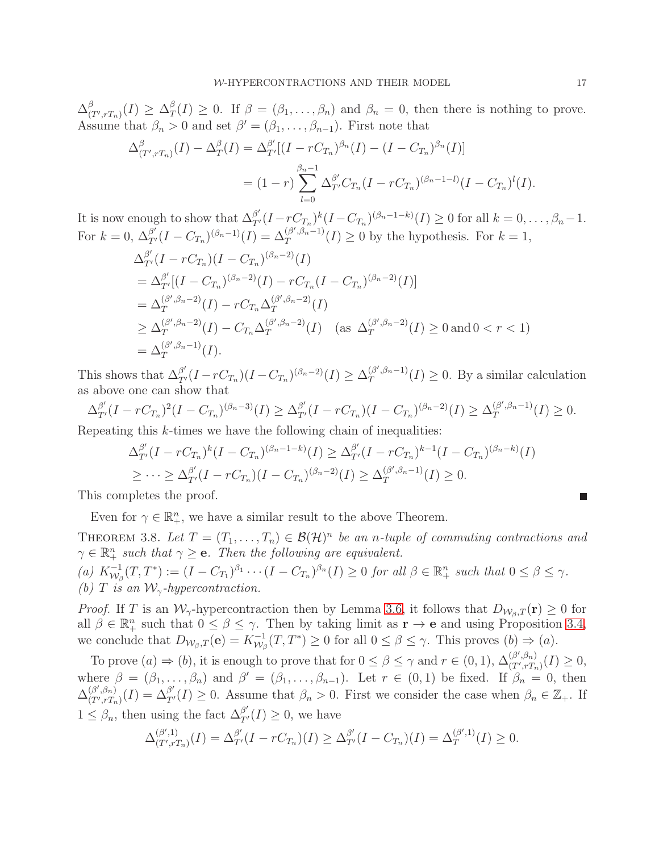$\Delta^\beta_{t'}$  $^{\beta}_{(T^{\prime},rT_{n})}(I)\geq\Delta_{T}^{\beta}$  $T(T) \geq 0$ . If  $\beta = (\beta_1, \ldots, \beta_n)$  and  $\beta_n = 0$ , then there is nothing to prove. Assume that  $\beta_n > 0$  and set  $\beta' = (\beta_1, \dots, \beta_{n-1})$ . First note that

$$
\Delta_{(T',rT_n)}^{\beta}(I) - \Delta_T^{\beta}(I) = \Delta_{T'}^{\beta'}[(I - rC_{T_n})^{\beta_n}(I) - (I - C_{T_n})^{\beta_n}(I)]
$$
  
= 
$$
(1 - r) \sum_{l=0}^{\beta_n - 1} \Delta_{T'}^{\beta'} C_{T_n}(I - rC_{T_n})^{(\beta_n - 1 - l)}(I - C_{T_n})^l(I).
$$

It is now enough to show that  $\Delta_{T'}^{\beta'}(I - rC_{T_n})^k(I - C_{T_n})^{(\beta_n - 1 - k)}(I) \geq 0$  for all  $k = 0, \ldots, \beta_n - 1$ . For  $k = 0$ ,  $\Delta_{T'}^{\beta'}(I - C_{T_n})^{(\beta_n - 1)}(I) = \Delta_T^{(\beta', \beta_n - 1)}$  $T^{(p_1,p_n-1)}(I) \geq 0$  by the hypothesis. For  $k=1$ ,

$$
\Delta_{T'}^{\beta'}(I - rC_{T_n})(I - C_{T_n})^{(\beta_n - 2)}(I)
$$
\n
$$
= \Delta_{T'}^{\beta'}[(I - C_{T_n})^{(\beta_n - 2)}(I) - rC_{T_n}(I - C_{T_n})^{(\beta_n - 2)}(I)]
$$
\n
$$
= \Delta_{T}^{(\beta', \beta_n - 2)}(I) - rC_{T_n}\Delta_{T}^{(\beta', \beta_n - 2)}(I)
$$
\n
$$
\geq \Delta_{T}^{(\beta', \beta_n - 2)}(I) - C_{T_n}\Delta_{T}^{(\beta', \beta_n - 2)}(I) \quad \text{(as } \Delta_{T}^{(\beta', \beta_n - 2)}(I) \geq 0 \text{ and } 0 < r < 1)
$$
\n
$$
= \Delta_{T}^{(\beta', \beta_n - 1)}(I).
$$

This shows that  $\Delta_{T'}^{\beta'}(I - rC_{T_n})(I - C_{T_n})^{(\beta_n - 2)}(I) \geq \Delta_T^{(\beta', \beta_n - 1)}$  $T^{(p_1,p_n-1)}(I) \geq 0$ . By a similar calculation as above one can show that

$$
\Delta_{T'}^{\beta'}(I - rC_{T_n})^2(I - C_{T_n})^{(\beta_n - 3)}(I) \ge \Delta_{T'}^{\beta'}(I - rC_{T_n})(I - C_{T_n})^{(\beta_n - 2)}(I) \ge \Delta_T^{(\beta', \beta_n - 1)}(I) \ge 0.
$$

Repeating this k-times we have the following chain of inequalities:

$$
\Delta_{T'}^{\beta'}(I - rC_{T_n})^k(I - C_{T_n})^{(\beta_n - 1 - k)}(I) \geq \Delta_{T'}^{\beta'}(I - rC_{T_n})^{k-1}(I - C_{T_n})^{(\beta_n - k)}(I)
$$
  

$$
\geq \cdots \geq \Delta_{T'}^{\beta'}(I - rC_{T_n})(I - C_{T_n})^{(\beta_n - 2)}(I) \geq \Delta_{T}^{(\beta', \beta_n - 1)}(I) \geq 0.
$$

This completes the proof.

Even for  $\gamma \in \mathbb{R}_+^n$ , we have a similar result to the above Theorem.

THEOREM 3.8. Let  $T = (T_1, \ldots, T_n) \in \mathcal{B}(\mathcal{H})^n$  be an *n*-tuple of commuting contractions and  $\gamma \in \mathbb{R}_+^n$  such that  $\gamma \geq e$ . Then the following are equivalent.

 $(a) K_{\mathcal{W}_{\beta}}^{-1}(T, T^*) := (I - C_{T_1})^{\beta_1} \cdots (I - C_{T_n})^{\beta_n}(I) \geq 0$  *for all*  $\beta \in \mathbb{R}^n_+$  *such that*  $0 \leq \beta \leq \gamma$ *. (b)* T is an  $\mathcal{W}_{\gamma}$ -hypercontraction.

*Proof.* If T is an  $W_\gamma$ -hypercontraction then by Lemma [3.6,](#page-15-0) it follows that  $D_{W_\beta,T}(\mathbf{r}) \geq 0$  for all  $\beta \in \mathbb{R}^n_+$  such that  $0 \leq \beta \leq \gamma$ . Then by taking limit as  $\mathbf{r} \to \mathbf{e}$  and using Proposition [3.4,](#page-13-0) we conclude that  $D_{\mathcal{W}_{\beta},T}(\mathbf{e}) = K_{\mathcal{W}_{\beta}}^{-1}(T,T^*) \ge 0$  for all  $0 \le \beta \le \gamma$ . This proves  $(b) \Rightarrow (a)$ .

To prove  $(a) \Rightarrow (b)$ , it is enough to prove that for  $0 \le \beta \le \gamma$  and  $r \in (0,1)$ ,  $\Delta_{(T',rT_r)}^{(\beta',\beta_n)}$  $(T',rT_n)(I) \geq 0,$ where  $\beta = (\beta_1, \dots, \beta_n)$  and  $\beta' = (\beta_1, \dots, \beta_{n-1})$ . Let  $r \in (0, 1)$  be fixed. If  $\beta_n = 0$ , then  $\Delta_{(T'\,rT)}^{(\beta',\beta_n)}$  $(\beta', \beta_n)$   $(I) = \Delta_{T'}^{\beta'}(I) \geq 0$ . Assume that  $\beta_n > 0$ . First we consider the case when  $\beta_n \in \mathbb{Z}_+$ . If  $1 \leq \beta_n$ , then using the fact  $\Delta_{T'}^{\beta'}(I) \geq 0$ , we have

$$
\Delta_{(T',rT_n)}^{(\beta',1)}(I) = \Delta_{T'}^{\beta'}(I - rC_{T_n})(I) \geq \Delta_{T'}^{\beta'}(I - C_{T_n})(I) = \Delta_T^{(\beta',1)}(I) \geq 0.
$$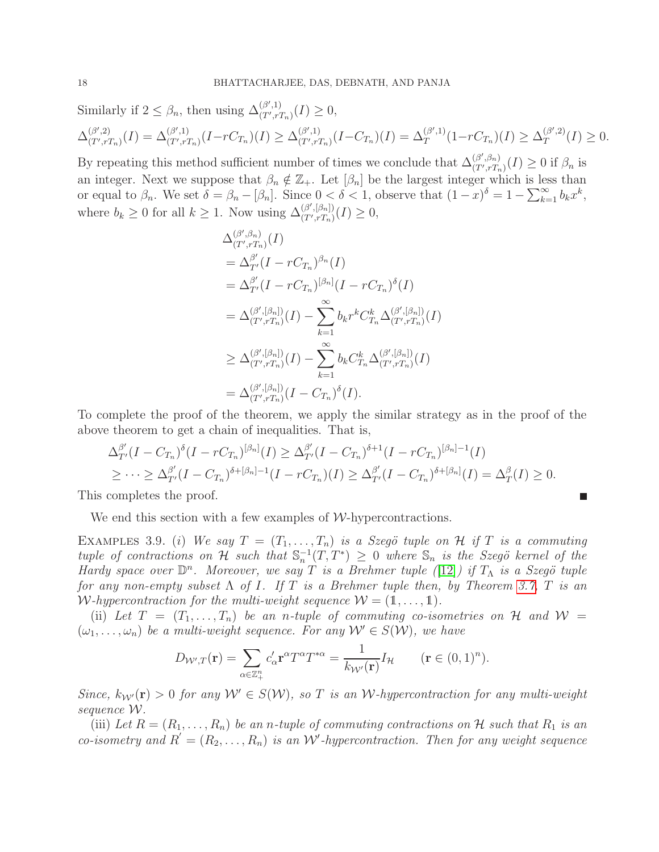Similarly if  $2 \leq \beta_n$ , then using  $\Delta_{(T',r)}^{(\beta',1)}$  $T^{(p_0,1)}_{(T',rT_n)}(I) \geq 0,$  $\Delta_{(T',r')}^{(\beta',2)}$  $\Delta_{(T',rT_n)}^{(\beta',2)}(I) = \Delta_{(T',rT_n)}^{(\beta',1)}$  $_{(T',rT_n)}^{(\beta',1)}(I - rC_{T_n})(I) \geq \Delta_{(T',rT_n)}^{(\beta',1)}$  $_{(T',rT_n)}^{(\beta',1)}(I-C_{T_n})(I)=\Delta_T^{(\beta',1)}$  $T_T^{(\beta',1)}(1-rC_{T_n})(I) \geq \Delta_T^{(\beta',2)}$  $T^{(\rho_0,2)}(I) \geq 0.$ 

By repeating this method sufficient number of times we conclude that  $\Delta_{(T',r',T')}^{(\beta',\beta_n)}$  $(T',T_n)(I) \geq 0$  if  $\beta_n$  is an integer. Next we suppose that  $\beta_n \notin \mathbb{Z}_+$ . Let  $[\beta_n]$  be the largest integer which is less than or equal to  $\beta_n$ . We set  $\delta = \beta_n - [\beta_n]$ . Since  $0 < \delta < 1$ , observe that  $(1-x)^{\delta} = 1 - \sum_{k=1}^{\infty} b_k x^k$ , where  $b_k \geq 0$  for all  $k \geq 1$ . Now using  $\Delta_{(T',rT_n)}^{(\beta',[\beta_n])}$  $(T',rT_n)(I) \geq 0,$ 

$$
\Delta_{(T',rT_n)}^{(\beta',\beta_n)}(I) \n= \Delta_{T'}^{\beta'}(I - rC_{T_n})^{\beta_n}(I) \n= \Delta_{T'}^{\beta'}(I - rC_{T_n})^{[\beta_n]}(I - rC_{T_n})^{\delta}(I) \n= \Delta_{(T',rT_n)}^{(\beta',[\beta_n])}(I) - \sum_{k=1}^{\infty} b_k r^k C_{T_n}^k \Delta_{(T',rT_n)}^{(\beta',[\beta_n])}(I) \n\geq \Delta_{(T',rT_n)}^{(\beta',[\beta_n])}(I) - \sum_{k=1}^{\infty} b_k C_{T_n}^k \Delta_{(T',rT_n)}^{(\beta',[\beta_n])}(I) \n= \Delta_{(T',rT_n)}^{(\beta',[\beta_n])}(I - C_{T_n})^{\delta}(I).
$$

To complete the proof of the theorem, we apply the similar strategy as in the proof of the above theorem to get a chain of inequalities. That is,

$$
\Delta_{T'}^{\beta'}(I - C_{T_n})^{\delta}(I - rC_{T_n})^{[\beta_n]}(I) \geq \Delta_{T'}^{\beta'}(I - C_{T_n})^{\delta+1}(I - rC_{T_n})^{[\beta_n]-1}(I)
$$
  

$$
\geq \cdots \geq \Delta_{T'}^{\beta'}(I - C_{T_n})^{\delta+[\beta_n]-1}(I - rC_{T_n})(I) \geq \Delta_{T'}^{\beta'}(I - C_{T_n})^{\delta+[\beta_n]}(I) = \Delta_T^{\beta}(I) \geq 0.
$$

П

This completes the proof.

We end this section with a few examples of  $W$ -hypercontractions.

EXAMPLES 3.9. (i) We say  $T = (T_1, \ldots, T_n)$  is a Szegö tuple on H if T is a commuting  $tuple$  of contractions on H such that  $\mathbb{S}_n^{-1}(T, T^*) \geq 0$  where  $\mathbb{S}_n$  is the Szegö kernel of the *Hardy space over*  $\mathbb{D}^n$ *. Moreover, we say T is a Brehmer tuple* ([\[12\]](#page-29-15)*) if T*<sup>*Λ*</sup> *is a Szegö tuple for any non-empty subset* Λ *of* I*. If* T *is a Brehmer tuple then, by Theorem [3.7,](#page-15-1)* T *is an* W-hypercontraction for the multi-weight sequence  $W = (1, \ldots, 1)$ .

(ii) Let  $T = (T_1, \ldots, T_n)$  be an *n*-tuple of commuting co-isometries on H and  $W =$  $(\omega_1, \ldots, \omega_n)$  be a multi-weight sequence. For any  $\mathcal{W}' \in S(\mathcal{W})$ , we have

$$
D_{\mathcal{W}',T}(\mathbf{r}) = \sum_{\alpha \in \mathbb{Z}_+^n} c_{\alpha}' \mathbf{r}^{\alpha} T^{\alpha} T^{*\alpha} = \frac{1}{k_{\mathcal{W}'}(\mathbf{r})} I_{\mathcal{H}} \qquad (\mathbf{r} \in (0,1)^n).
$$

*Since,*  $k_{\mathcal{W}}(\mathbf{r}) > 0$  *for any*  $\mathcal{W}' \in S(\mathcal{W})$ *, so T is an W*-*hypercontraction for any multi-weight sequence* W*.*

(iii) Let  $R = (R_1, \ldots, R_n)$  be an *n*-tuple of commuting contractions on H such that  $R_1$  is an *co-isometry and*  $R' = (R_2, \ldots, R_n)$  *is an W'*-hypercontraction. Then for any weight sequence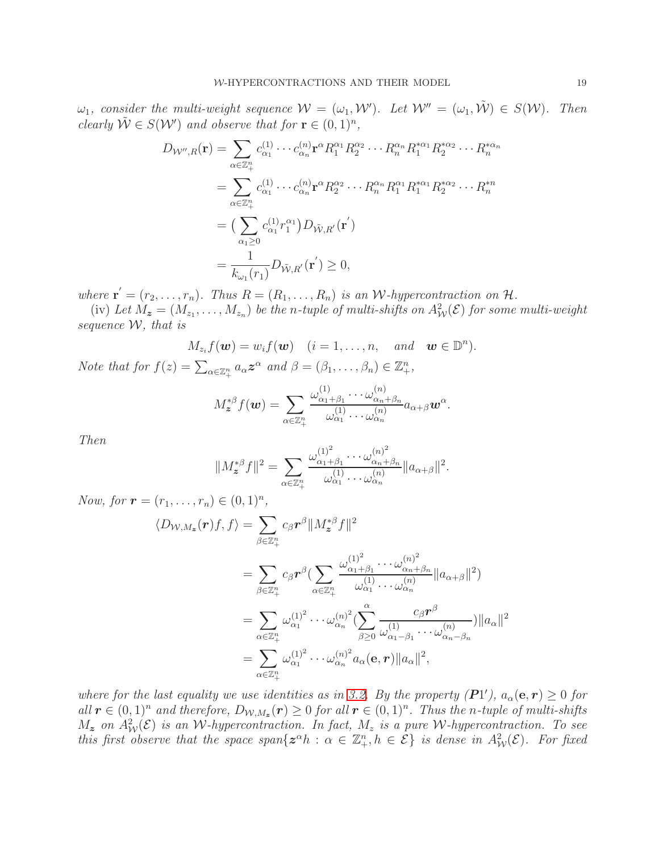$\omega_1$ , consider the multi-weight sequence  $\mathcal{W} = (\omega_1, \mathcal{W}')$ . Let  $\mathcal{W}'' = (\omega_1, \tilde{\mathcal{W}}) \in S(\mathcal{W})$ . Then *clearly*  $\tilde{\mathcal{W}} \in S(\mathcal{W}')$  *and observe that for*  $\mathbf{r} \in (0,1)^n$ *,* 

$$
D_{\mathcal{W}'',R}(\mathbf{r}) = \sum_{\alpha \in \mathbb{Z}_{+}^{n}} c_{\alpha_{1}}^{(1)} \cdots c_{\alpha_{n}}^{(n)} \mathbf{r}^{\alpha} R_{1}^{\alpha_{1}} R_{2}^{\alpha_{2}} \cdots R_{n}^{\alpha_{n}} R_{1}^{*\alpha_{1}} R_{2}^{*\alpha_{2}} \cdots R_{n}^{*\alpha_{n}}
$$
  
\n
$$
= \sum_{\alpha \in \mathbb{Z}_{+}^{n}} c_{\alpha_{1}}^{(1)} \cdots c_{\alpha_{n}}^{(n)} \mathbf{r}^{\alpha} R_{2}^{\alpha_{2}} \cdots R_{n}^{\alpha_{n}} R_{1}^{\alpha_{1}} R_{1}^{*\alpha_{1}} R_{2}^{*\alpha_{2}} \cdots R_{n}^{*\alpha_{n}}
$$
  
\n
$$
= \left( \sum_{\alpha_{1} \geq 0} c_{\alpha_{1}}^{(1)} r_{1}^{\alpha_{1}} \right) D_{\tilde{\mathcal{W}},R'}(\mathbf{r}')
$$
  
\n
$$
= \frac{1}{k_{\omega_{1}}(r_{1})} D_{\tilde{\mathcal{W}},R'}(\mathbf{r}') \geq 0,
$$

where  $\mathbf{r}' = (r_2, \ldots, r_n)$ . Thus  $R = (R_1, \ldots, R_n)$  is an W-hypercontraction on  $\mathcal{H}$ .

(iv) Let  $M_z = (M_{z_1}, \ldots, M_{z_n})$  be the *n*-tuple of multi-shifts on  $A^2_W(\mathcal{E})$  for some multi-weight *sequence* W*, that is*

 $\binom{n}{ }$ .

$$
M_{z_i} f(\boldsymbol{w}) = w_i f(\boldsymbol{w}) \quad (i = 1, \dots, n, \quad and \quad \boldsymbol{w} \in \mathbb{D}
$$
  
the that for  $f(z) = \sum_{\alpha \in \mathbb{Z}_+^n} a_{\alpha} \boldsymbol{z}^{\alpha}$  and  $\beta = (\beta_1, \dots, \beta_n) \in \mathbb{Z}_+^n$ ,

$$
M_{\boldsymbol{z}}^{*\beta}f(\boldsymbol{w})=\sum_{\alpha\in\mathbb{Z}_+^n}\frac{\omega_{\alpha_1+\beta_1}^{(1)}\cdots\omega_{\alpha_n+\beta_n}^{(n)}}{\omega_{\alpha_1}^{(1)}\cdots\omega_{\alpha_n}^{(n)}}a_{\alpha+\beta}\boldsymbol{w}^{\alpha}.
$$

*Then*

 $N$ *o* 

$$
||M_z^{*\beta}f||^2=\sum_{\alpha\in\mathbb{Z}_+^n}\frac{\omega_{\alpha_1+\beta_1}^{(1)^2}\cdots\omega_{\alpha_n+\beta_n}^{(n)^2}}{\omega_{\alpha_1}^{(1)}\cdots\omega_{\alpha_n}^{(n)}}||a_{\alpha+\beta}||^2.
$$

*Now, for*  $\mathbf{r} = (r_1, \ldots, r_n) \in (0, 1)^n$ ,  $\langle D_{\mathcal{W},M_{\bm{z}}}(\bm{r})f,f\rangle = \sum$  $\beta \in \mathbb{Z}_+^n$  $c_{\beta}r^{\beta}\Vert M_{\boldsymbol{z}}^{*\beta}f\Vert^{2}$  $=$   $\sum$  $\beta \in \mathbb{Z}_+^n$  $c_\beta \bm{r}^\beta (\sum)$  $\alpha \in \mathbb{Z}_+^n$  $\omega_{\alpha_1+}^{(1)^2}$  $\frac{(1)^2}{\alpha_1+\beta_1}\cdots\omega_{\alpha_n+}^{(n)^2}$  $\alpha_n+\beta_n$  $\frac{\omega_{\alpha_1+\beta_1}\omega_{\alpha_2+\beta_n}}{\omega_{\alpha_1}^{(1)}\cdots\omega_{\alpha_n}^{(n)}}\|a_{\alpha+\beta}\|^2)$  $=$   $\sum$  $\alpha \in \mathbb{Z}_+^n$  $\omega^{(1)^2}_{\alpha_1}$  $\frac{(1)^2}{\alpha_1} \cdots \omega_{\alpha_n}^{(n)^2}$  $\binom{(n)^2}{\alpha_n} \Bigl( \sum^{\alpha}$  $\beta \geq 0$  $c_\beta \bm{r}^\beta$  $\omega_{\alpha_1}^{(1)}$  $\frac{1}{\alpha_1-\beta_1}\cdots\omega_{\alpha_n}^{(n)}$  $\alpha_n-\beta_n$  $)||a_{\alpha}||^{2}$  $=$   $\sum$  $\alpha \in \mathbb{Z}_+^n$ +  $\omega^{(1)^2}_{\alpha_1}$  $\frac{(1)^2}{\alpha_1} \cdots \omega_{\alpha_n}^{(n)^2}$  $\int_{\alpha_n}^{(n)^2} a_\alpha(\mathbf{e}, \mathbf{r}) \|a_\alpha\|^2,$ 

*where for the last equality we use identities as in* [3.2.](#page-11-2) *By the property (P1'),*  $a_{\alpha}(\mathbf{e}, \mathbf{r}) \geq 0$  *for*  $all \mathbf{r} \in (0,1)^n$  and therefore,  $D_{\mathcal{W},M_z}(\mathbf{r}) \geq 0$  for all  $\mathbf{r} \in (0,1)^n$ . Thus the *n*-tuple of multi-shifts  $M_z$  *on*  $A^2_W(\mathcal{E})$  *is an W*-hypercontraction. In fact,  $M_z$  *is a pure W*-hypercontraction. To see *this first observe that the space span*{ $z^{\alpha}h$  :  $\alpha \in \mathbb{Z}_{+}^{n}$ ,  $h \in \mathcal{E}$ } *is dense in*  $A_{\mathcal{W}}^{2}(\mathcal{E})$ *. For fixed*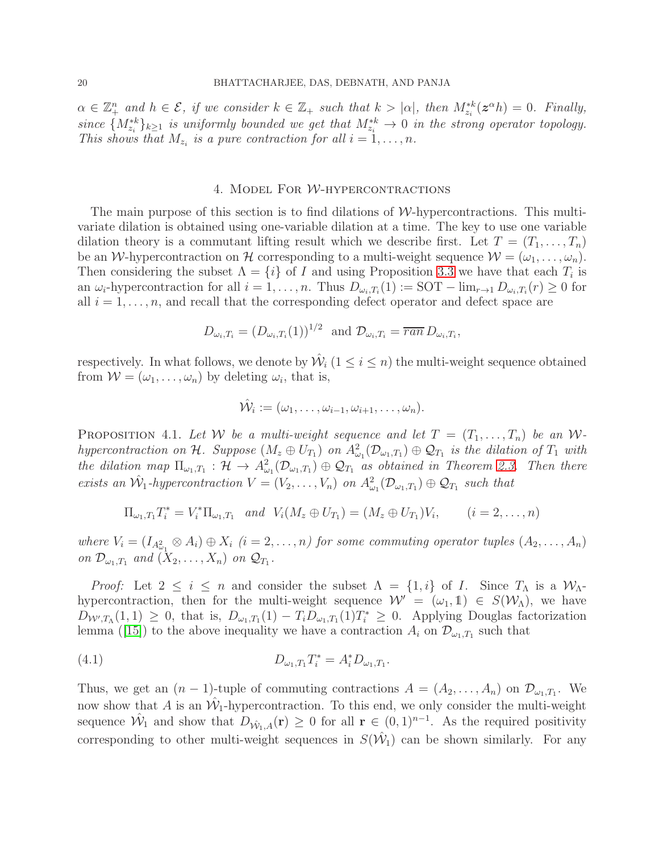$\alpha \in \mathbb{Z}_+^n$  and  $h \in \mathcal{E}$ , if we consider  $k \in \mathbb{Z}_+$  such that  $k > |\alpha|$ , then  $M_{z_i}^{*k}(z^{\alpha}h) = 0$ . Finally,  $since \{M_{z_i}^{*k}\}_{k\geq 1}$  *is uniformly bounded we get that*  $M_{z_i}^{*k} \to 0$  *in the strong operator topology.* This shows that  $M_{z_i}$  is a pure contraction for all  $i = 1, \ldots, n$ .

## 4. Model For W-hypercontractions

<span id="page-19-0"></span>The main purpose of this section is to find dilations of  $W$ -hypercontractions. This multivariate dilation is obtained using one-variable dilation at a time. The key to use one variable dilation theory is a commutant lifting result which we describe first. Let  $T = (T_1, \ldots, T_n)$ be an W-hypercontraction on H corresponding to a multi-weight sequence  $W = (\omega_1, \ldots, \omega_n)$ . Then considering the subset  $\Lambda = \{i\}$  of I and using Proposition [3.3](#page-13-1) we have that each  $T_i$  is an  $\omega_i$ -hypercontraction for all  $i = 1, ..., n$ . Thus  $D_{\omega_i, T_i}(1) := \text{SOT} - \lim_{r \to 1} D_{\omega_i, T_i}(r) \geq 0$  for all  $i = 1, \ldots, n$ , and recall that the corresponding defect operator and defect space are

$$
D_{\omega_i,T_i} = (D_{\omega_i,T_i}(1))^{1/2} \text{ and } \mathcal{D}_{\omega_i,T_i} = \overline{ran} \ D_{\omega_i,T_i},
$$

respectively. In what follows, we denote by  $\hat{\mathcal{W}}_i$   $(1 \leq i \leq n)$  the multi-weight sequence obtained from  $W = (\omega_1, \dots, \omega_n)$  by deleting  $\omega_i$ , that is,

$$
\hat{\mathcal{W}}_i := (\omega_1, \ldots, \omega_{i-1}, \omega_{i+1}, \ldots, \omega_n).
$$

<span id="page-19-1"></span>PROPOSITION 4.1. Let W be a multi-weight sequence and let  $T = (T_1, \ldots, T_n)$  be an W $hypercontraction on \mathcal{H}$ . Suppose  $(M_z \oplus U_{T_1})$  on  $A^2_{\omega_1}(\mathcal{D}_{\omega_1,T_1}) \oplus \mathcal{Q}_{T_1}$  is the dilation of  $T_1$  with *the dilation map*  $\Pi_{\omega_1,T_1}$  :  $\mathcal{H} \to A^2_{\omega_1}(\mathcal{D}_{\omega_1,T_1}) \oplus \mathcal{Q}_{T_1}$  as obtained in Theorem [2.3.](#page-6-0) Then there *exists an*  $\hat{W}_1$ -hypercontraction  $V = (V_2, \ldots, V_n)$  on  $A^2_{\omega_1}(\mathcal{D}_{\omega_1,T_1}) \oplus \mathcal{Q}_{T_1}$  such that

$$
\Pi_{\omega_1,T_1} T_i^* = V_i^* \Pi_{\omega_1,T_1}
$$
 and  $V_i(M_z \oplus U_{T_1}) = (M_z \oplus U_{T_1}) V_i$ ,  $(i = 2,...,n)$ 

where  $V_i = (I_{A_{\omega_1}^2} \otimes A_i) \oplus X_i$   $(i = 2, ..., n)$  for some commuting operator tuples  $(A_2, ..., A_n)$ *on*  $\mathcal{D}_{\omega_1,T_1}$  *and*  $(X_2,\ldots,X_n)$  *on*  $\mathcal{Q}_{T_1}$ *.* 

*Proof:* Let  $2 \leq i \leq n$  and consider the subset  $\Lambda = \{1, i\}$  of I. Since  $T_{\Lambda}$  is a  $W_{\Lambda}$ hypercontraction, then for the multi-weight sequence  $\mathcal{W}' = (\omega_1, 1) \in S(\mathcal{W}_\Lambda)$ , we have  $D_{W',T_\Lambda}(1,1) \geq 0$ , that is,  $D_{\omega_1,T_1}(1) - T_i D_{\omega_1,T_1}(1)T_i^* \geq 0$ . Applying Douglas factorization lemma([\[15\]](#page-29-16)) to the above inequality we have a contraction  $A_i$  on  $\mathcal{D}_{\omega_1,T_1}$  such that

<span id="page-19-2"></span>(4.1) 
$$
D_{\omega_1,T_1}T_i^* = A_i^* D_{\omega_1,T_1}.
$$

Thus, we get an  $(n-1)$ -tuple of commuting contractions  $A = (A_2, \ldots, A_n)$  on  $\mathcal{D}_{\omega_1,T_1}$ . We now show that A is an  $\hat{W}_1$ -hypercontraction. To this end, we only consider the multi-weight sequence  $\hat{W}_1$  and show that  $D_{\hat{W}_1,A}(\mathbf{r}) \geq 0$  for all  $\mathbf{r} \in (0,1)^{n-1}$ . As the required positivity corresponding to other multi-weight sequences in  $S(\hat{W}_1)$  can be shown similarly. For any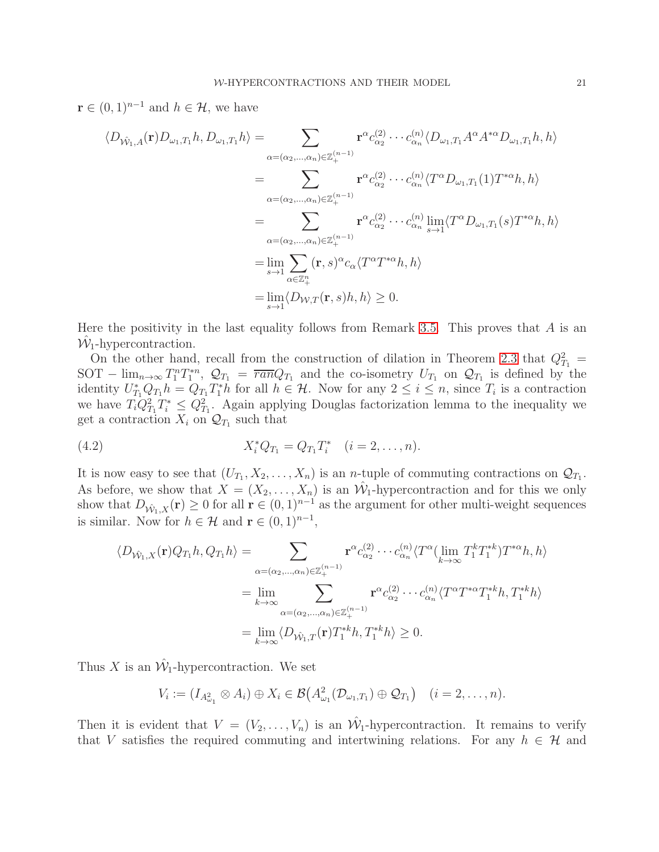$\mathbf{r} \in (0,1)^{n-1}$  and  $h \in \mathcal{H}$ , we have

$$
\langle D_{\hat{\mathcal{W}}_{1},A}(\mathbf{r})D_{\omega_{1},T_{1}}h, D_{\omega_{1},T_{1}}h \rangle = \sum_{\alpha=(\alpha_{2},\dots,\alpha_{n}) \in \mathbb{Z}_{+}^{(n-1)}} \mathbf{r}^{\alpha} c_{\alpha_{2}}^{(2)} \cdots c_{\alpha_{n}}^{(n)} \langle D_{\omega_{1},T_{1}}A^{\alpha} A^{*\alpha} D_{\omega_{1},T_{1}}h, h \rangle
$$
  
\n
$$
= \sum_{\alpha=(\alpha_{2},\dots,\alpha_{n}) \in \mathbb{Z}_{+}^{(n-1)}} \mathbf{r}^{\alpha} c_{\alpha_{2}}^{(2)} \cdots c_{\alpha_{n}}^{(n)} \langle T^{\alpha} D_{\omega_{1},T_{1}}(1) T^{*\alpha} h, h \rangle
$$
  
\n
$$
= \sum_{\alpha=(\alpha_{2},\dots,\alpha_{n}) \in \mathbb{Z}_{+}^{(n-1)}} \mathbf{r}^{\alpha} c_{\alpha_{2}}^{(2)} \cdots c_{\alpha_{n}}^{(n)} \lim_{s \to 1} \langle T^{\alpha} D_{\omega_{1},T_{1}}(s) T^{*\alpha} h, h \rangle
$$
  
\n
$$
= \lim_{s \to 1} \sum_{\alpha \in \mathbb{Z}_{+}^{n}} (\mathbf{r}, s)^{\alpha} c_{\alpha} \langle T^{\alpha} T^{*\alpha} h, h \rangle
$$
  
\n
$$
= \lim_{s \to 1} \langle D_{\mathcal{W},T}(\mathbf{r}, s)h, h \rangle \geq 0.
$$

Here the positivity in the last equality follows from Remark [3.5.](#page-14-0) This proves that  $A$  is an  $\hat{\mathcal{W}}_1$ -hypercontraction.

On the other hand, recall from the construction of dilation in Theorem [2.3](#page-6-0) that  $Q_{T_1}^2$  = SOT –  $\lim_{n\to\infty} T_1^n T_1^{*n}$ ,  $\mathcal{Q}_{T_1} = \overline{ran} Q_{T_1}$  and the co-isometry  $U_{T_1}$  on  $\mathcal{Q}_{T_1}$  is defined by the identity  $U_{T_1}^* Q_{T_1} h = Q_{T_1} T_1^* h$  for all  $h \in \mathcal{H}$ . Now for any  $2 \leq i \leq n$ , since  $T_i$  is a contraction we have  $T_i Q_{T_1}^2 T_i^* \leq Q_{T_1}^2$ . Again applying Douglas factorization lemma to the inequality we get a contraction  $X_i$  on  $\mathcal{Q}_{T_1}$  such that

(4.2) 
$$
X_i^* Q_{T_1} = Q_{T_1} T_i^* \quad (i = 2, ..., n).
$$

It is now easy to see that  $(U_{T_1}, X_2, \ldots, X_n)$  is an *n*-tuple of commuting contractions on  $\mathcal{Q}_{T_1}$ . As before, we show that  $X = (X_2, \ldots, X_n)$  is an  $\hat{W}_1$ -hypercontraction and for this we only show that  $D_{\hat{W}_1,X}(\mathbf{r}) \geq 0$  for all  $\mathbf{r} \in (0,1)^{n-1}$  as the argument for other multi-weight sequences is similar. Now for  $h \in \mathcal{H}$  and  $\mathbf{r} \in (0,1)^{n-1}$ ,

<span id="page-20-0"></span>
$$
\langle D_{\hat{W}_1,X}(\mathbf{r})Q_{T_1}h, Q_{T_1}h \rangle = \sum_{\substack{\alpha = (\alpha_2, \dots, \alpha_n) \in \mathbb{Z}_+^{(n-1)} \\ \alpha = (\alpha_2, \dots, \alpha_n) \in \mathbb{Z}_+^{(n-1)}}} \mathbf{r}^{\alpha} c_{\alpha_2}^{(2)} \cdots c_{\alpha_n}^{(n)} \langle T^{\alpha} (\lim_{k \to \infty} T_1^k T_1^{*k}) T^{* \alpha} h, h \rangle
$$

$$
= \lim_{k \to \infty} \sum_{\substack{\alpha = (\alpha_2, \dots, \alpha_n) \in \mathbb{Z}_+^{(n-1)} \\ \beta = \lim_{k \to \infty}}} \mathbf{r}^{\alpha} c_{\alpha_2}^{(2)} \cdots c_{\alpha_n}^{(n)} \langle T^{\alpha} T^{* \alpha} T_1^{*k} h, T_1^{*k} h \rangle
$$

$$
= 0.
$$

Thus X is an  $\hat{\mathcal{W}}_1$ -hypercontraction. We set

$$
V_i := (I_{A_{\omega_1}^2} \otimes A_i) \oplus X_i \in \mathcal{B}(A_{\omega_1}^2(\mathcal{D}_{\omega_1,T_1}) \oplus \mathcal{Q}_{T_1}) \quad (i = 2,\ldots,n).
$$

Then it is evident that  $V = (V_2, \ldots, V_n)$  is an  $\hat{W}_1$ -hypercontraction. It remains to verify that V satisfies the required commuting and intertwining relations. For any  $h \in \mathcal{H}$  and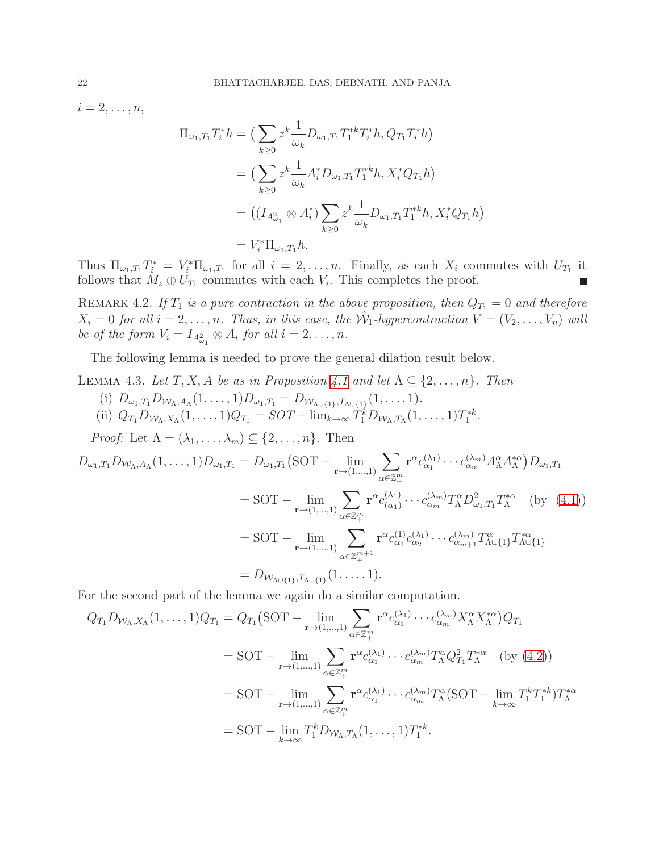$i=2,\ldots,n,$ 

$$
\Pi_{\omega_1, T_1} T_i^* h = \left( \sum_{k \ge 0} z^k \frac{1}{\omega_k} D_{\omega_1, T_1} T_1^{*k} T_i^* h, Q_{T_1} T_i^* h \right)
$$
  
\n
$$
= \left( \sum_{k \ge 0} z^k \frac{1}{\omega_k} A_i^* D_{\omega_1, T_1} T_1^{*k} h, X_i^* Q_{T_1} h \right)
$$
  
\n
$$
= \left( \left( I_{A_{\omega_1}^2} \otimes A_i^* \right) \sum_{k \ge 0} z^k \frac{1}{\omega_k} D_{\omega_1, T_1} T_1^{*k} h, X_i^* Q_{T_1} h \right)
$$
  
\n
$$
= V_i^* \Pi_{\omega_1, T_1} h.
$$

Thus  $\Pi_{\omega_1,T_1}T_i^* = V_i^* \Pi_{\omega_1,T_1}$  for all  $i = 2,\ldots,n$ . Finally, as each  $X_i$  commutes with  $U_{T_1}$  it follows that  $M_z \oplus U_{T_1}$  commutes with each  $V_i$ . This completes the proof.

<span id="page-21-0"></span>REMARK 4.2. If  $T_1$  is a pure contraction in the above proposition, then  $Q_{T_1} = 0$  and therefore  $X_i = 0$  *for all*  $i = 2, \ldots, n$ . Thus, in this case, the  $\hat{W}_1$ -hypercontraction  $V = (V_2, \ldots, V_n)$  *will* be of the form  $V_i = I_{A_{\omega_1}^2} \otimes A_i$  for all  $i = 2, \ldots, n$ .

The following lemma is needed to prove the general dilation result below.

<span id="page-21-1"></span>LEMMA 4.3. Let  $T, X, A$  be as in Proposition [4.1](#page-19-1) and let  $\Lambda \subseteq \{2, \ldots, n\}$ . Then

- (i)  $D_{\omega_1,T_1}D_{\mathcal{W}_{\Lambda},A_{\Lambda}}(1,\ldots,1)D_{\omega_1,T_1}=D_{\mathcal{W}_{\Lambda\cup\{1\}},T_{\Lambda\cup\{1\}}}(1,\ldots,1).$
- (ii)  $Q_{T_1} D_{W_{\Lambda}, X_{\Lambda}} (1, \ldots, 1) Q_{T_1} = SOT \lim_{k \to \infty} T_1^k D_{W_{\Lambda}, T_{\Lambda}} (1, \ldots, 1) T_1^{*k}.$

*Proof:* Let  $\Lambda = (\lambda_1, \ldots, \lambda_m) \subseteq \{2, \ldots, n\}$ . Then

$$
D_{\omega_1, T_1} D_{\mathcal{W}_{\Lambda}, A_{\Lambda}}(1, ..., 1) D_{\omega_1, T_1} = D_{\omega_1, T_1} (SOT - \lim_{\mathbf{r} \to (1, ..., 1)} \sum_{\alpha \in \mathbb{Z}_+^m} \mathbf{r}^{\alpha} c_{\alpha_1}^{(\lambda_1)} \cdots c_{\alpha_m}^{(\lambda_m)} A_{\Lambda}^{\alpha} A_{\Lambda}^{*\alpha}) D_{\omega_1, T_1}
$$
  
\n
$$
= SOT - \lim_{\mathbf{r} \to (1, ..., 1)} \sum_{\alpha \in \mathbb{Z}_+^m} \mathbf{r}^{\alpha} c_{(\alpha_1)}^{(\lambda_1)} \cdots c_{\alpha_m}^{(\lambda_m)} T_{\Lambda}^{\alpha} D_{\omega_1, T_1}^{\alpha} T_{\Lambda}^{*\alpha} \quad \text{(by (4.1))}
$$
  
\n
$$
= SOT - \lim_{\mathbf{r} \to (1, ..., 1)} \sum_{\alpha \in \mathbb{Z}_+^{m+1}} \mathbf{r}^{\alpha} c_{\alpha_1}^{(1)} c_{\alpha_2}^{(\lambda_1)} \cdots c_{\alpha_{m+1}}^{(\lambda_m)} T_{\Lambda \cup \{1\}}^{\alpha} T_{\Lambda \cup \{1\}}^{*\alpha}
$$
  
\n
$$
= D_{\mathcal{W}_{\Lambda \cup \{1\}}, T_{\Lambda \cup \{1\}}} (1, ..., 1).
$$

For the second part of the lemma we again do a similar computation.

$$
Q_{T_1} D_{W_{\Lambda}, X_{\Lambda}}(1, ..., 1) Q_{T_1} = Q_{T_1} (SOT - \lim_{\mathbf{r} \to (1, ..., 1)} \sum_{\alpha \in \mathbb{Z}_+^m} \mathbf{r}^{\alpha} c_{\alpha_1}^{(\lambda_1)} \cdots c_{\alpha_m}^{(\lambda_m)} X_{\Lambda}^{\alpha} X_{\Lambda}^{*\alpha}) Q_{T_1}
$$
  
=  $SOT - \lim_{\mathbf{r} \to (1, ..., 1)} \sum_{\alpha \in \mathbb{Z}_+^m} \mathbf{r}^{\alpha} c_{\alpha_1}^{(\lambda_1)} \cdots c_{\alpha_m}^{(\lambda_m)} T_{\Lambda}^{\alpha} Q_{T_1}^2 T_{\Lambda}^{*\alpha} \quad \text{(by (4.2))}$   
=  $SOT - \lim_{\mathbf{r} \to (1, ..., 1)} \sum_{\alpha \in \mathbb{Z}_+^m} \mathbf{r}^{\alpha} c_{\alpha_1}^{(\lambda_1)} \cdots c_{\alpha_m}^{(\lambda_m)} T_{\Lambda}^{\alpha} (SOT - \lim_{k \to \infty} T_1^k T_1^{*k}) T_{\Lambda}^{*\alpha}$   
=  $SOT - \lim_{k \to \infty} T_1^k D_{W_{\Lambda}, T_{\Lambda}} (1, ..., 1) T_1^{*k}.$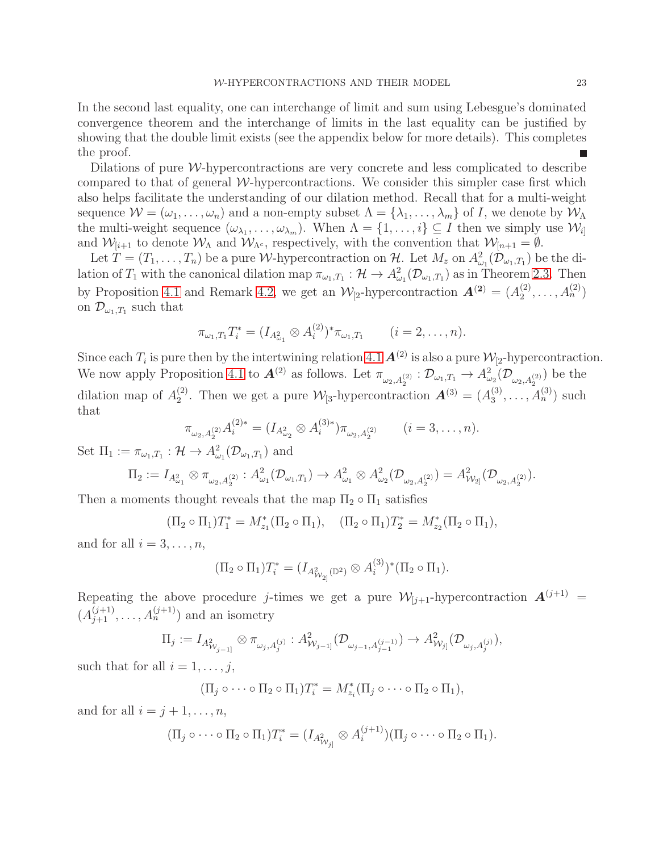In the second last equality, one can interchange of limit and sum using Lebesgue's dominated convergence theorem and the interchange of limits in the last equality can be justified by showing that the double limit exists (see the appendix below for more details). This completes the proof.

Dilations of pure  $W$ -hypercontractions are very concrete and less complicated to describe compared to that of general W-hypercontractions. We consider this simpler case first which also helps facilitate the understanding of our dilation method. Recall that for a multi-weight sequence  $W = (\omega_1, \ldots, \omega_n)$  and a non-empty subset  $\Lambda = {\lambda_1, \ldots, \lambda_m}$  of I, we denote by  $W_{\Lambda}$ the multi-weight sequence  $(\omega_{\lambda_1}, \ldots, \omega_{\lambda_m})$ . When  $\Lambda = \{1, \ldots, i\} \subseteq I$  then we simply use  $\mathcal{W}_{i}$ and  $W_{[i+1]}$  to denote  $W_{\Lambda}$  and  $W_{\Lambda^c}$ , respectively, with the convention that  $W_{[n+1]} = \emptyset$ .

Let  $T=(T_1,\ldots,T_n)$  be a pure *W*-hypercontraction on H. Let  $M_z$  on  $A_{\omega_1}^2(\mathcal{D}_{\omega_1,T_1})$  be the dilation of  $T_1$  with the canonical dilation map  $\pi_{\omega_1,T_1}: \mathcal{H} \to A^2_{\omega_1}(\mathcal{D}_{\omega_1,T_1})$  as in Theorem [2.3.](#page-6-0) Then by Proposition [4.1](#page-19-1) and Remark [4.2,](#page-21-0) we get an  $\mathcal{W}_{[2]}$ -hypercontraction  $\mathbf{A}^{(2)} = (A_2^{(2)})^T$  $\binom{2}{2},\ldots,\binom{A_n^{(2)}}{n}$ on  $\mathcal{D}_{\omega_1,T_1}$  such that

$$
\pi_{\omega_1,T_1}T_i^* = (I_{A_{\omega_1}^2} \otimes A_i^{(2)})^* \pi_{\omega_1,T_1} \qquad (i=2,\ldots,n).
$$

Since each  $T_i$  is pure then by the intertwining relation [4.1](#page-19-2)  $\mathbf{A}^{(2)}$  is also a pure  $\mathcal{W}_{[2]}$ -hypercontraction. We now apply Proposition [4.1](#page-19-1) to  $\mathbf{A}^{(2)}$  as follows. Let  $\pi_{\omega_2, A_2^{(2)}} : \mathcal{D}_{\omega_1, T_1} \to A^2_{\omega_2}(\mathcal{D}_{\omega_2, A_2^{(2)}})$  be the dilation map of  $A_2^{(2)}$ <sup>(2)</sup>. Then we get a pure  $\mathcal{W}_{[3]}$ -hypercontraction  $\mathbf{A}^{(3)} = (A_3^{(3)})$  $a_3^{(3)}, \ldots, A_n^{(3)}$  such that

$$
\pi_{\omega_2, A_2^{(2)}} A_i^{(2)*} = (I_{A_{\omega_2}^2} \otimes A_i^{(3)*}) \pi_{\omega_2, A_2^{(2)}} \qquad (i = 3, \dots, n).
$$

Set  $\Pi_1 := \pi_{\omega_1,T_1} : \mathcal{H} \to A^2_{\omega_1}(\mathcal{D}_{\omega_1,T_1})$  and

$$
\Pi_2 := I_{A^2_{\omega_1}} \otimes \pi_{\omega_2, A_2^{(2)}} : A^2_{\omega_1}(\mathcal{D}_{\omega_1, T_1}) \to A^2_{\omega_1} \otimes A^2_{\omega_2}(\mathcal{D}_{\omega_2, A_2^{(2)}}) = A^2_{\mathcal{W}_{2}}(\mathcal{D}_{\omega_2, A_2^{(2)}}).
$$

Then a moments thought reveals that the map  $\Pi_2 \circ \Pi_1$  satisfies

$$
(\Pi_2 \circ \Pi_1)T_1^* = M_{z_1}^*(\Pi_2 \circ \Pi_1), \quad (\Pi_2 \circ \Pi_1)T_2^* = M_{z_2}^*(\Pi_2 \circ \Pi_1),
$$

and for all  $i = 3, \ldots, n$ ,

$$
(\Pi_2 \circ \Pi_1) T_i^* = (I_{A_{\mathcal{W}_2}^2(\mathbb{D}^2)} \otimes A_i^{(3)})^* (\Pi_2 \circ \Pi_1).
$$

Repeating the above procedure j-times we get a pure  $\mathcal{W}_{[j+1]}$ -hypercontraction  $\mathbf{A}^{(j+1)}$  =  $(A_{j+1}^{(j+1)},..., A_n^{(j+1)})$  and an isometry

$$
\Pi_j := I_{A_{W_{j-1}]}^2} \otimes \pi_{\omega_j, A_j^{(j)}} : A_{W_{j-1}]}^2(\mathcal{D}_{\omega_{j-1}, A_{j-1}^{(j-1)}}) \to A_{W_{j}]}^2(\mathcal{D}_{\omega_j, A_j^{(j)}}),
$$

such that for all  $i = 1, \ldots, j$ ,

$$
(\Pi_j \circ \cdots \circ \Pi_2 \circ \Pi_1) T_i^* = M_{z_i}^* (\Pi_j \circ \cdots \circ \Pi_2 \circ \Pi_1),
$$

and for all  $i = j + 1, \ldots, n$ ,

$$
(\Pi_j \circ \cdots \circ \Pi_2 \circ \Pi_1) T_i^* = (I_{A_{W_{j_1}}^2} \otimes A_i^{(j+1)}) (\Pi_j \circ \cdots \circ \Pi_2 \circ \Pi_1).
$$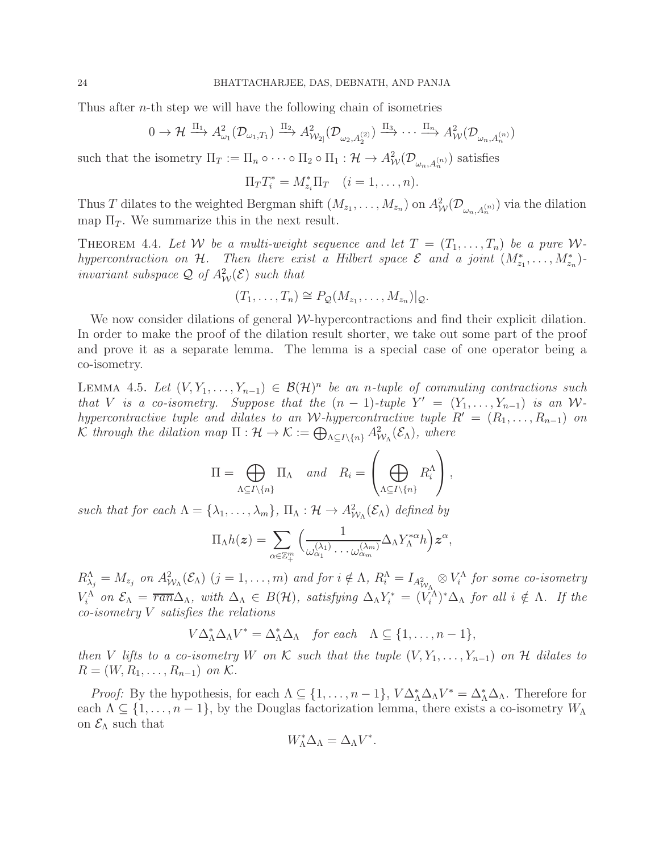Thus after *n*-th step we will have the following chain of isometries

$$
0 \to \mathcal{H} \xrightarrow{\Pi_1} A^2_{\omega_1}(\mathcal{D}_{\omega_1,T_1}) \xrightarrow{\Pi_2} A^2_{\mathcal{W}_{2]}(\mathcal{D}_{\omega_2,A_2^{(2)}}) \xrightarrow{\Pi_3} \cdots \xrightarrow{\Pi_n} A^2_{\mathcal{W}}(\mathcal{D}_{\omega_n,A_n^{(n)}})
$$

such that the isometry  $\Pi_T := \Pi_n \circ \cdots \circ \Pi_2 \circ \Pi_1 : \mathcal{H} \to A^2_{\mathcal{W}}(\mathcal{D}_{\omega_n, A_n^{(n)}})$  satisfies

$$
\Pi_T T_i^* = M_{z_i}^* \Pi_T \quad (i = 1, \dots, n).
$$

Thus T dilates to the weighted Bergman shift  $(M_{z_1},...,M_{z_n})$  on  $A^2_W(\mathcal{D}_{\omega_n,A_n^{(n)}})$  via the dilation map  $\Pi_T$ . We summarize this in the next result.

<span id="page-23-0"></span>THEOREM 4.4. Let W be a multi-weight sequence and let  $T = (T_1, \ldots, T_n)$  be a pure W*hypercontraction on*  $H$ . Then there exist a Hilbert space  $\mathcal{E}$  and a joint  $(M^*_{z_1},...,M^*_{z_n})$ *invariant subspace*  $\mathcal{Q}$  *of*  $A^2_{\mathcal{W}}(\mathcal{E})$  *such that* 

$$
(T_1,\ldots,T_n)\cong P_{\mathcal{Q}}(M_{z_1},\ldots,M_{z_n})|_{\mathcal{Q}}.
$$

We now consider dilations of general W-hypercontractions and find their explicit dilation. In order to make the proof of the dilation result shorter, we take out some part of the proof and prove it as a separate lemma. The lemma is a special case of one operator being a co-isometry.

<span id="page-23-1"></span>LEMMA 4.5. Let  $(V, Y_1, ..., Y_{n-1})$  ∈  $\mathcal{B}(\mathcal{H})^n$  be an *n*-tuple of commuting contractions such *that V is a co-isometry.* Suppose that the  $(n-1)$ -tuple  $Y' = (Y_1, \ldots, Y_{n-1})$  is an W*hypercontractive tuple and dilates to an W*-*hypercontractive tuple*  $R' = (R_1, \ldots, R_{n-1})$  *on*  $\mathcal K$  through the dilation map  $\Pi: \mathcal H \to \mathcal K := \bigoplus_{\Lambda \subseteq I \setminus \{n\}} A^2_{\mathcal W_{\Lambda}}(\mathcal E_{\Lambda})$ , where

$$
\Pi = \bigoplus_{\Lambda \subseteq I \setminus \{n\}} \Pi_{\Lambda} \quad and \quad R_i = \left(\bigoplus_{\Lambda \subseteq I \setminus \{n\}} R_i^{\Lambda}\right),
$$

such that for each  $\Lambda = {\lambda_1, ..., \lambda_m}$ ,  $\Pi_{\Lambda} : \mathcal{H} \to A_{\mathcal{W}_{\Lambda}}^2(\mathcal{E}_{\Lambda})$  defined by

$$
\Pi_\Lambda h(\boldsymbol{z}) = \sum_{\alpha \in \mathbb{Z}_+^m} \Big( \frac{1}{\omega_{\alpha_1}^{(\lambda_1)} \cdots \omega_{\alpha_m}^{(\lambda_m)}} \Delta_\Lambda Y_\Lambda^{*\alpha} h \Big) \boldsymbol{z}^\alpha,
$$

 $R^{\Lambda}_{\lambda_j}=M_{z_j}$  on  $A^2_{\mathcal{W}_{\Lambda}}(\mathcal{E}_{\Lambda})$   $(j=1,\ldots,m)$  and for  $i \notin \Lambda$ ,  $R^{\Lambda}_i=I_{A^2_{\mathcal{W}_{\Lambda}}} \otimes V^{\Lambda}_i$  for some co-isometry  $V_i^{\Lambda}$  on  $\mathcal{E}_{\Lambda} = \overline{ran} \Delta_{\Lambda}$ , with  $\Delta_{\Lambda} \in B(\mathcal{H})$ , satisfying  $\Delta_{\Lambda} Y_i^* = (V_i^{\Lambda})^* \Delta_{\Lambda}$  for all  $i \notin \Lambda$ . If the *co-isometry* V *satisfies the relations*

$$
V\Delta_{\Lambda}^*\Delta_{\Lambda}V^* = \Delta_{\Lambda}^*\Delta_{\Lambda} \quad \text{for each} \quad \Lambda \subseteq \{1, \ldots, n-1\},
$$

*then* V *lifts to a co-isometry* W *on* K *such that the tuple*  $(V, Y_1, \ldots, Y_{n-1})$  *on* H *dilates to*  $R = (W, R_1, \ldots, R_{n-1})$  *on* K.

*Proof:* By the hypothesis, for each  $\Lambda \subseteq \{1, \ldots, n-1\}$ ,  $V\Delta_{\Lambda}^* \Delta_{\Lambda} V^* = \Delta_{\Lambda}^* \Delta_{\Lambda}$ . Therefore for each  $\Lambda \subseteq \{1, \ldots, n-1\}$ , by the Douglas factorization lemma, there exists a co-isometry  $W_{\Lambda}$ on  $\mathcal{E}_{\Lambda}$  such that

$$
W_{\Lambda}^*\Delta_{\Lambda}=\Delta_{\Lambda}V^*.
$$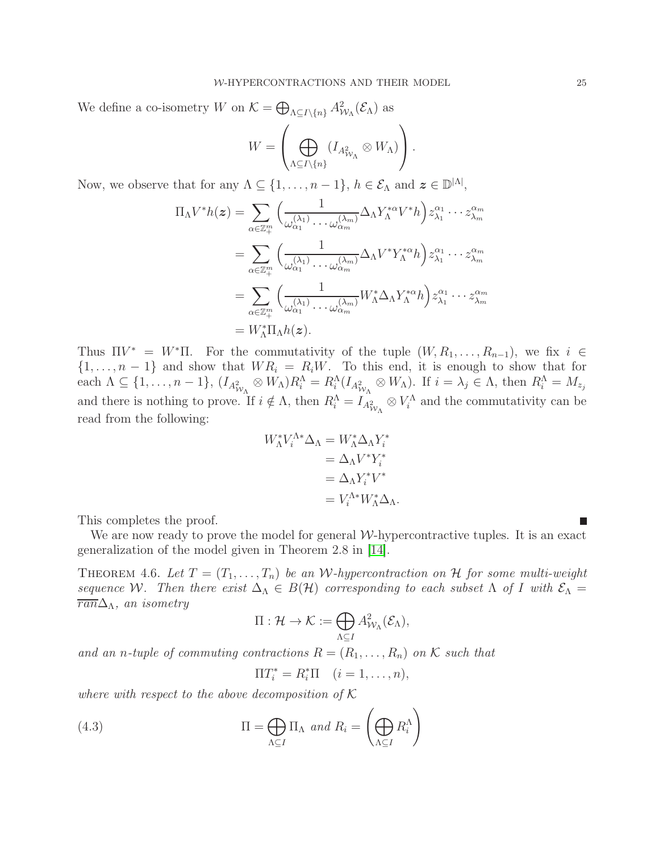We define a co-isometry W on  $\mathcal{K} = \bigoplus_{\Lambda \subseteq I \setminus \{n\}} A_{\mathcal{W}_{\Lambda}}^2(\mathcal{E}_{\Lambda})$  as

$$
W = \left(\bigoplus_{\Lambda \subseteq I \setminus \{n\}} (I_{A^2_{\mathcal{W}_{\Lambda}}} \otimes W_{\Lambda})\right).
$$

Now, we observe that for any  $\Lambda \subseteq \{1, ..., n-1\}$ ,  $h \in \mathcal{E}_{\Lambda}$  and  $\boldsymbol{z} \in \mathbb{D}^{|\Lambda|}$ ,

$$
\Pi_{\Lambda}V^{*}h(z) = \sum_{\alpha \in \mathbb{Z}_{+}^{m}} \Big( \frac{1}{\omega_{\alpha_{1}}^{(\lambda_{1})}\cdots\omega_{\alpha_{m}}^{(\lambda_{m})}} \Delta_{\Lambda}Y_{\Lambda}^{* \alpha}V^{*}h \Big) z_{\lambda_{1}}^{\alpha_{1}}\cdots z_{\lambda_{m}}^{\alpha_{m}}
$$
  
\n
$$
= \sum_{\alpha \in \mathbb{Z}_{+}^{m}} \Big( \frac{1}{\omega_{\alpha_{1}}^{(\lambda_{1})}\cdots\omega_{\alpha_{m}}^{(\lambda_{m})}} \Delta_{\Lambda}V^{*}Y_{\Lambda}^{* \alpha}h \Big) z_{\lambda_{1}}^{\alpha_{1}}\cdots z_{\lambda_{m}}^{\alpha_{m}}
$$
  
\n
$$
= \sum_{\alpha \in \mathbb{Z}_{+}^{m}} \Big( \frac{1}{\omega_{\alpha_{1}}^{(\lambda_{1})}\cdots\omega_{\alpha_{m}}^{(\lambda_{m})}} W_{\Lambda}^{*}\Delta_{\Lambda}Y_{\Lambda}^{* \alpha}h \Big) z_{\lambda_{1}}^{\alpha_{1}}\cdots z_{\lambda_{m}}^{\alpha_{m}}
$$
  
\n
$$
= W_{\Lambda}^{*}\Pi_{\Lambda}h(z).
$$

Thus  $\Pi V^* = W^* \Pi$ . For the commutativity of the tuple  $(W, R_1, \ldots, R_{n-1})$ , we fix  $i \in$  $\{1, \ldots, n-1\}$  and show that  $WR_i = R_iW$ . To this end, it is enough to show that for each  $\Lambda \subseteq \{1, \ldots, n-1\}$ ,  $(I_{A_{\mathcal{W}_{\Lambda}}^2} \otimes W_{\Lambda})R_i^{\Lambda} = R_i^{\Lambda}(I_{A_{\mathcal{W}_{\Lambda}}^2} \otimes W_{\Lambda})$ . If  $i = \lambda_j \in \Lambda$ , then  $R_i^{\Lambda} = M_{z_j}$ and there is nothing to prove. If  $i \notin \Lambda$ , then  $R_i^{\Lambda} = I_{A_{\mathcal{W}_{\Lambda}}^2} \otimes V_i^{\Lambda}$  and the commutativity can be read from the following:

$$
W_{\Lambda}^* V_i^{\Lambda *} \Delta_{\Lambda} = W_{\Lambda}^* \Delta_{\Lambda} Y_i^*
$$
  
=  $\Delta_{\Lambda} V^* Y_i^*$   
=  $\Delta_{\Lambda} Y_i^* V^*$   
=  $V_i^{\Lambda *} W_{\Lambda}^* \Delta_{\Lambda}.$ 

This completes the proof.

We are now ready to prove the model for general  $W$ -hypercontractive tuples. It is an exact generalization of the model given in Theorem 2.8 in [\[14\]](#page-29-1).

<span id="page-24-0"></span>THEOREM 4.6. Let  $T = (T_1, \ldots, T_n)$  be an W-hypercontraction on H for some multi-weight *sequence* W. Then there exist  $\Delta_{\Lambda} \in B(H)$  corresponding to each subset  $\Lambda$  of I with  $\mathcal{E}_{\Lambda} =$ ran∆Λ*, an isometry*

$$
\Pi: \mathcal{H} \to \mathcal{K} := \bigoplus_{\Lambda \subseteq I} A^2_{\mathcal{W}_{\Lambda}}(\mathcal{E}_{\Lambda}),
$$

and an *n*-tuple of commuting contractions  $R = (R_1, \ldots, R_n)$  on K such that

<span id="page-24-1"></span>
$$
\Pi T_i^* = R_i^* \Pi \quad (i = 1, \dots, n),
$$

*where with respect to the above decomposition of* K

(4.3) 
$$
\Pi = \bigoplus_{\Lambda \subseteq I} \Pi_{\Lambda} \text{ and } R_i = \left(\bigoplus_{\Lambda \subseteq I} R_i^{\Lambda}\right)
$$

П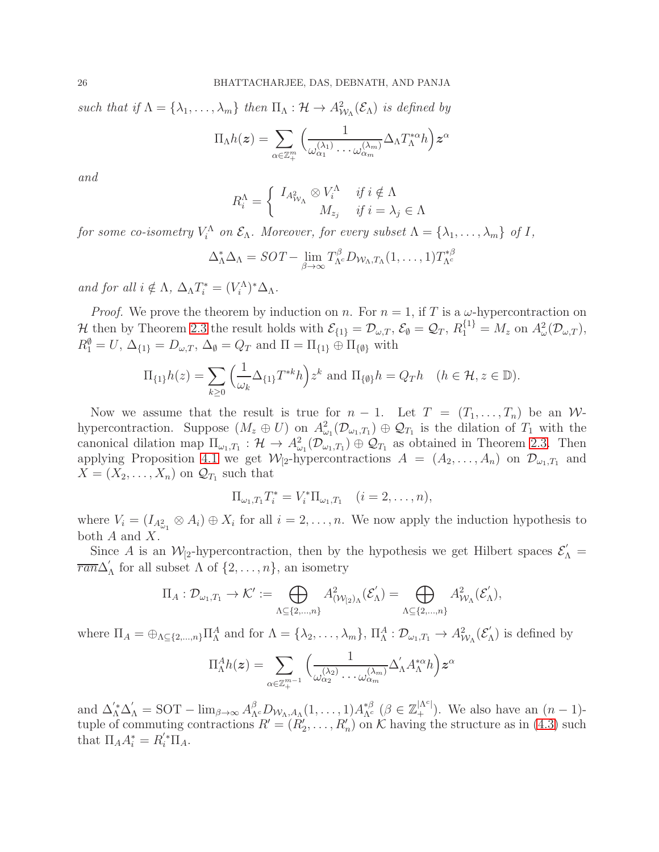such that if  $\Lambda = \{\lambda_1, \ldots, \lambda_m\}$  then  $\Pi_{\Lambda}: \mathcal{H} \to A_{\mathcal{W}_{\Lambda}}^2(\mathcal{E}_{\Lambda})$  is defined by  $\Pi_\Lambda h(\boldsymbol{z}) = \sum$  $\alpha \in \mathbb{Z}_{+}^{m}$  $\left(\frac{1}{\cdots}\right)$  $\omega_{\alpha_1}^{(\lambda_1)} \cdots \omega_{\alpha_m}^{(\lambda_m)}$  $\Delta_\Lambda T^*_\Lambda{}^\alpha h\Big)\bm{z}^\alpha$ 

*and*

$$
R_i^{\Lambda} = \begin{cases} I_{A_{\mathcal{W}_{\Lambda}}^2} \otimes V_i^{\Lambda} & \text{if } i \notin \Lambda \\ M_{z_j} & \text{if } i = \lambda_j \in \Lambda \end{cases}
$$

*for some co-isometry*  $V_i^{\Lambda}$  *on*  $\mathcal{E}_{\Lambda}$ *. Moreover, for every subset*  $\Lambda = {\lambda_1, ..., \lambda_m}$  *of I*,

+

$$
\Delta_{\Lambda}^* \Delta_{\Lambda} = SOT - \lim_{\beta \to \infty} T_{\Lambda^c}^{\beta} D_{\mathcal{W}_{\Lambda}, T_{\Lambda}} (1, \ldots, 1) T_{\Lambda^c}^{*\beta}
$$

*and for all*  $i \notin \Lambda$ ,  $\Delta_{\Lambda} T_i^* = (V_i^{\Lambda})^* \Delta_{\Lambda}$ .

*Proof.* We prove the theorem by induction on n. For  $n = 1$ , if T is a  $\omega$ -hypercontraction on  $\mathcal{H}$  then by Theorem [2.3](#page-6-0) the result holds with  $\mathcal{E}_{\{1\}} = \mathcal{D}_{\omega,T}$ ,  $\mathcal{E}_{\emptyset} = \mathcal{Q}_T$ ,  $R_1^{\{1\}} = M_z$  on  $A^2_{\omega}(\mathcal{D}_{\omega,T})$ ,  $R_1^{\emptyset} = U$ ,  $\Delta_{\{1\}} = D_{\omega,T}$ ,  $\Delta_{\emptyset} = Q_T$  and  $\Pi = \Pi_{\{1\}} \oplus \Pi_{\{\emptyset\}}$  with

$$
\Pi_{\{1\}}h(z) = \sum_{k\geq 0} \left(\frac{1}{\omega_k} \Delta_{\{1\}} T^{*k} h\right) z^k \text{ and } \Pi_{\{\emptyset\}} h = Q_T h \quad (h \in \mathcal{H}, z \in \mathbb{D}).
$$

Now we assume that the result is true for  $n-1$ . Let  $T = (T_1, \ldots, T_n)$  be an Whypercontraction. Suppose  $(M_z \oplus U)$  on  $A^2_{\omega_1}(\mathcal{D}_{\omega_1,T_1}) \oplus \mathcal{Q}_{T_1}$  is the dilation of  $T_1$  with the canonical dilation map  $\Pi_{\omega_1,T_1} : \mathcal{H} \to A^2_{\omega_1}(\mathcal{D}_{\omega_1,T_1}) \oplus \mathcal{Q}_{T_1}$  as obtained in Theorem [2.3.](#page-6-0) Then applying Proposition [4.1](#page-19-1) we get  $\mathcal{W}_{[2]}$ -hypercontractions  $A = (A_2, \ldots, A_n)$  on  $\mathcal{D}_{\omega_1,T_1}$  and  $X = (X_2, \ldots, X_n)$  on  $\mathcal{Q}_{T_1}$  such that

$$
\Pi_{\omega_1,T_1} T_i^* = V_i^* \Pi_{\omega_1,T_1} \quad (i = 2,\ldots,n),
$$

where  $V_i = (I_{A_{\omega_1}^2} \otimes A_i) \oplus X_i$  for all  $i = 2, \ldots, n$ . We now apply the induction hypothesis to both A and X.

Since A is an  $\mathcal{W}_{[2]}$ -hypercontraction, then by the hypothesis we get Hilbert spaces  $\mathcal{E}'_{\Lambda}$  =  $\overline{ran} \Delta'$  $\Lambda$  for all subset  $\Lambda$  of  $\{2, \ldots, n\}$ , an isometry

$$
\Pi_A: \mathcal{D}_{\omega_1,T_1} \to \mathcal{K}' := \bigoplus_{\Lambda \subseteq \{2,\ldots,n\}} A^2_{(\mathcal{W}_{[2})_\Lambda}(\mathcal{E}'_{\Lambda}) = \bigoplus_{\Lambda \subseteq \{2,\ldots,n\}} A^2_{\mathcal{W}_{\Lambda}}(\mathcal{E}'_{\Lambda}),
$$

where  $\Pi_A = \bigoplus_{\Lambda \subseteq \{2,\ldots,n\}} \Pi_A^A$  and for  $\Lambda = \{\lambda_2,\ldots,\lambda_m\}, \Pi_A^A : \mathcal{D}_{\omega_1,T_1} \to A_{\mathcal{W}_{\Lambda}}^2(\mathcal{E}_{\Lambda})$  $\int_{\Lambda}$ ) is defined by

$$
\Pi^A_\Lambda h(\boldsymbol{z}) = \sum_{\alpha \in \mathbb{Z}_+^{m-1}} \Big( \frac{1}{\omega_{\alpha_2}^{(\lambda_2)} \cdots \omega_{\alpha_m}^{(\lambda_m)}} \Delta'_\Lambda A_\Lambda^{*\alpha} h \Big) \boldsymbol{z}^\alpha
$$

and  $\Delta'_{\Lambda} \Delta'_{\Lambda} = \text{SOT} - \lim_{\beta \to \infty} A^{\beta}_{\Lambda^c} D_{\mathcal{W}_{\Lambda}, A_{\Lambda}} (1, \ldots, 1) A^{\ast \beta}_{\Lambda^c} (\beta \in \mathbb{Z}_{+}^{|\Lambda^c|})$ . We also have an  $(n-1)$ tuple of commuting contractions  $R' = (R'_2, \ldots, R'_n)$  on K having the structure as in [\(4.3\)](#page-24-1) such that  $\Pi_A A_i^* = R_i^{'*} \Pi_A$ .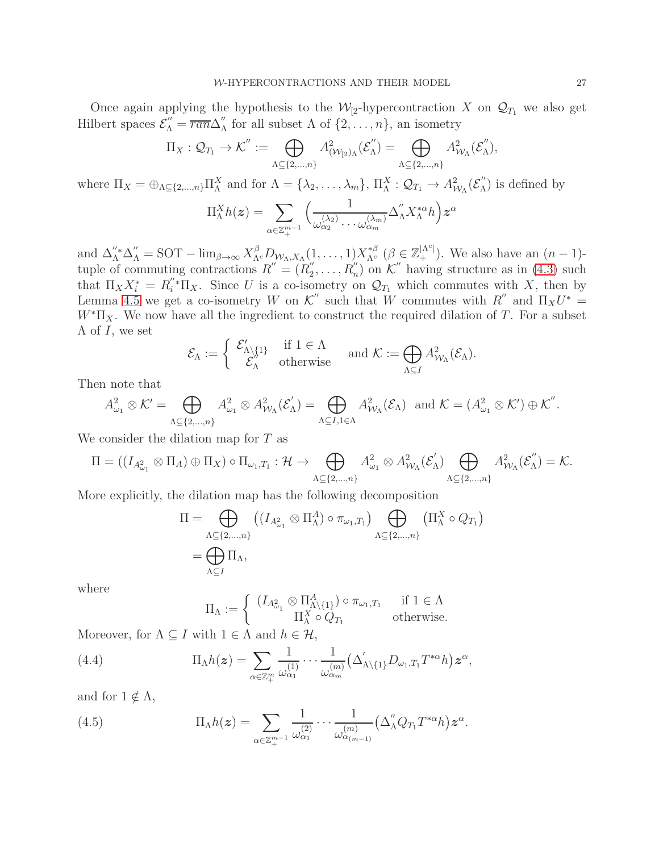Once again applying the hypothesis to the  $\mathcal{W}_{2}$ -hypercontraction X on  $\mathcal{Q}_{T_1}$  we also get Hilbert spaces  $\mathcal{E}_{\Lambda}'' = \overline{ran} \Delta_{\Lambda}''$  $\Lambda$  for all subset  $\Lambda$  of  $\{2, \ldots, n\}$ , an isometry

$$
\Pi_X: \mathcal{Q}_{T_1} \to \mathcal{K}'':=\bigoplus_{\Lambda \subseteq \{2,\ldots,n\}} A^2_{(\mathcal{W}_{[2})_\Lambda}(\mathcal{E}''_\Lambda)=\bigoplus_{\Lambda \subseteq \{2,\ldots,n\}} A^2_{\mathcal{W}_\Lambda}(\mathcal{E}''_\Lambda),
$$

where  $\Pi_X = \bigoplus_{\Lambda \subseteq \{2,\ldots,n\}} \Pi_\Lambda^X$  and for  $\Lambda = \{\lambda_2,\ldots,\lambda_m\},\ \Pi_\Lambda^X : \mathcal{Q}_{T_1} \to A_{\mathcal{W}_{\Lambda}}^2(\mathcal{E}_{\Lambda}^{\prime\prime})$  $\binom{m}{\Lambda}$  is defined by

$$
\Pi_{\Lambda}^{X}h(z) = \sum_{\alpha \in \mathbb{Z}_{+}^{m-1}} \Big( \frac{1}{\omega_{\alpha_2}^{(\lambda_2)} \cdots \omega_{\alpha_m}^{(\lambda_m)}} \Delta_{\Lambda}^{''} X_{\Lambda}^{*\alpha} h \Big) z^{\alpha}
$$

and  $\Delta''_A^* \Delta''_A = \text{SOT} - \lim_{\beta \to \infty} X_{\Lambda^c}^{\beta} D_{\mathcal{W}_{\Lambda}, X_{\Lambda}}(1, \ldots, 1) X_{\Lambda^c}^{*\beta} (\beta \in \mathbb{Z}_{+}^{|\Lambda^c|}).$  We also have an  $(n-1)$ tuple of commuting contractions  $R'' = (R_2'')$  $Z_2', \ldots, R_n''$  on K'' having structure as in [\(4.3\)](#page-24-1) such that  $\Pi_X X_i^* = R_i''^* \Pi_X$ . Since U is a co-isometry on  $\mathcal{Q}_{T_1}$  which commutes with X, then by Lemma [4.5](#page-23-1) we get a co-isometry W on K'' such that W commutes with  $R''$  and  $\Pi_X U^* =$  $W^*\Pi_X$ . We now have all the ingredient to construct the required dilation of T. For a subset  $\Lambda$  of I, we set

$$
\mathcal{E}_{\Lambda} := \left\{ \begin{array}{ll} \mathcal{E}'_{\Lambda \setminus \{1\}} & \text{if } 1 \in \Lambda \\ \mathcal{E}''_{\Lambda} & \text{otherwise} \end{array} \right. \quad \text{and } \mathcal{K} := \bigoplus_{\Lambda \subseteq I} A^2_{\mathcal{W}_{\Lambda}}(\mathcal{E}_{\Lambda}).
$$

Then note that

$$
A_{\omega_1}^2 \otimes \mathcal{K}' = \bigoplus_{\Lambda \subseteq \{2,\ldots,n\}} A_{\omega_1}^2 \otimes A_{\mathcal{W}_{\Lambda}}^2(\mathcal{E}_{\Lambda}') = \bigoplus_{\Lambda \subseteq I, 1 \in \Lambda} A_{\mathcal{W}_{\Lambda}}^2(\mathcal{E}_{\Lambda}) \text{ and } \mathcal{K} = (A_{\omega_1}^2 \otimes \mathcal{K}') \oplus \mathcal{K}''.
$$

We consider the dilation map for T as

$$
\Pi = ((I_{A_{\omega_1}^2} \otimes \Pi_A) \oplus \Pi_X) \circ \Pi_{\omega_1, T_1} : \mathcal{H} \to \bigoplus_{\Lambda \subseteq \{2, \dots, n\}} A_{\omega_1}^2 \otimes A_{\mathcal{W}_{\Lambda}}^2(\mathcal{E}_{\Lambda}') \bigoplus_{\Lambda \subseteq \{2, \dots, n\}} A_{\mathcal{W}_{\Lambda}}^2(\mathcal{E}_{\Lambda}'') = \mathcal{K}.
$$

More explicitly, the dilation map has the following decomposition

$$
\Pi = \bigoplus_{\Lambda \subseteq \{2,\ldots,n\}} \left( (I_{A_{\omega_1}^2} \otimes \Pi_{\Lambda}^A) \circ \pi_{\omega_1,T_1} \right) \bigoplus_{\Lambda \subseteq \{2,\ldots,n\}} \left( \Pi_{\Lambda}^X \circ Q_{T_1} \right)
$$

$$
= \bigoplus_{\Lambda \subseteq I} \Pi_{\Lambda},
$$

where

$$
\Pi_{\Lambda} := \begin{cases} (I_{A_{\omega_1}^2} \otimes \Pi_{\Lambda \setminus \{1\}}^A) \circ \pi_{\omega_1, T_1} & \text{if } 1 \in \Lambda \\ \Pi_{\Lambda}^X \circ Q_{T_1} & \text{otherwise.} \end{cases}
$$

Moreover, for  $\Lambda \subseteq I$  with  $1 \in \Lambda$  and  $h \in \mathcal{H}$ ,

(4.4) 
$$
\Pi_{\Lambda}h(z) = \sum_{\alpha \in \mathbb{Z}_{+}^{m}} \frac{1}{\omega_{\alpha_{1}}^{(1)}} \cdots \frac{1}{\omega_{\alpha_{m}}^{(m)}} \left(\Delta'_{\Lambda \setminus \{1\}} D_{\omega_{1}, T_{1}} T^{*\alpha} h\right) z^{\alpha},
$$

and for  $1 \notin \Lambda$ ,

(4.5) 
$$
\Pi_{\Lambda}h(z) = \sum_{\alpha \in \mathbb{Z}_{+}^{m-1}} \frac{1}{\omega_{\alpha_1}^{(2)}} \cdots \frac{1}{\omega_{\alpha_{(m-1)}}^{(m)}} \left(\Delta_{\Lambda}^{''} Q_{T_1} T^{*\alpha} h\right) z^{\alpha}.
$$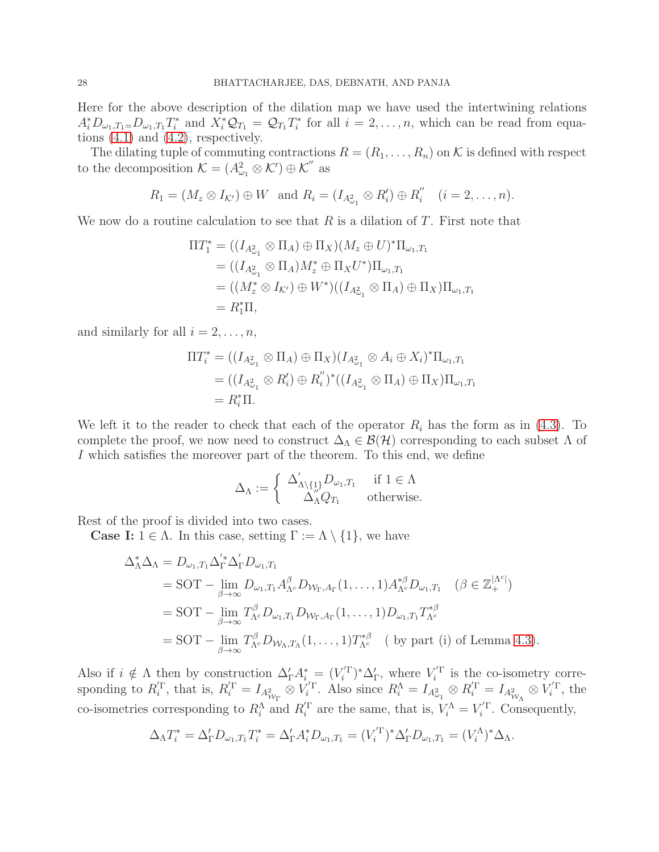Here for the above description of the dilation map we have used the intertwining relations  $A_i^* D_{\omega_1,T_1=}\__{\omega_1,T_1} T_i^*$  and  $X_i^* \mathcal{Q}_{T_1} = \mathcal{Q}_{T_1} T_i^*$  for all  $i=2,\ldots,n$ , which can be read from equations  $(4.1)$  and  $(4.2)$ , respectively.

The dilating tuple of commuting contractions  $R = (R_1, \ldots, R_n)$  on K is defined with respect to the decomposition  $\mathcal{K} = (A_{\omega_1}^2 \otimes \mathcal{K}') \oplus \mathcal{K}''$  as

$$
R_1 = (M_z \otimes I_{\mathcal{K}'}) \oplus W \text{ and } R_i = (I_{A_{\omega_1}^2} \otimes R'_i) \oplus R''_i \quad (i = 2, \ldots, n).
$$

We now do a routine calculation to see that R is a dilation of T. First note that

$$
\Pi T_1^* = ((I_{A_{\omega_1}^2} \otimes \Pi_A) \oplus \Pi_X)(M_z \oplus U)^* \Pi_{\omega_1, T_1}
$$
  
\n
$$
= ((I_{A_{\omega_1}^2} \otimes \Pi_A)M_z^* \oplus \Pi_X U^*) \Pi_{\omega_1, T_1}
$$
  
\n
$$
= ((M_z^* \otimes I_{K'}) \oplus W^*)( (I_{A_{\omega_1}^2} \otimes \Pi_A) \oplus \Pi_X) \Pi_{\omega_1, T_1}
$$
  
\n
$$
= R_1^* \Pi,
$$

and similarly for all  $i = 2, \ldots, n$ ,

$$
\Pi T_i^* = ((I_{A_{\omega_1}^2} \otimes \Pi_A) \oplus \Pi_X)(I_{A_{\omega_1}^2} \otimes A_i \oplus X_i)^* \Pi_{\omega_1, T_1}
$$
  
= 
$$
((I_{A_{\omega_1}^2} \otimes R_i') \oplus R_i'')^* ((I_{A_{\omega_1}^2} \otimes \Pi_A) \oplus \Pi_X) \Pi_{\omega_1, T_1}
$$
  
= 
$$
R_i^* \Pi.
$$

We left it to the reader to check that each of the operator  $R_i$  has the form as in [\(4.3\)](#page-24-1). To complete the proof, we now need to construct  $\Delta_{\Lambda} \in \mathcal{B}(\mathcal{H})$  corresponding to each subset  $\Lambda$  of I which satisfies the moreover part of the theorem. To this end, we define

$$
\Delta_\Lambda := \left\{ \begin{array}{cl} \Delta'_{\Lambda \backslash \{1\}} D_{\omega_1,T_1} & \text{ if } 1 \in \Lambda \\ \Delta''_{\Lambda} Q_{T_1} & \text{ otherwise. } \end{array} \right.
$$

Rest of the proof is divided into two cases.

**Case I:**  $1 \in \Lambda$ . In this case, setting  $\Gamma := \Lambda \setminus \{1\}$ , we have

$$
\Delta_{\Lambda}^{*} \Delta_{\Lambda} = D_{\omega_{1}, T_{1}} \Delta_{\Gamma}^{'*} \Delta_{\Gamma}^{'} D_{\omega_{1}, T_{1}} \n= \text{SOT} - \lim_{\beta \to \infty} D_{\omega_{1}, T_{1}} A_{\Lambda^{c}}^{\beta} D_{\mathcal{W}_{\Gamma}, A_{\Gamma}} (1, \dots, 1) A_{\Lambda^{c}}^{*\beta} D_{\omega_{1}, T_{1}} \quad (\beta \in \mathbb{Z}_{+}^{|\Lambda^{c}|}) \n= \text{SOT} - \lim_{\beta \to \infty} T_{\Lambda^{c}}^{\beta} D_{\omega_{1}, T_{1}} D_{\mathcal{W}_{\Gamma}, A_{\Gamma}} (1, \dots, 1) D_{\omega_{1}, T_{1}} T_{\Lambda^{c}}^{*\beta} \n= \text{SOT} - \lim_{\beta \to \infty} T_{\Lambda^{c}}^{\beta} D_{\mathcal{W}_{\Lambda}, T_{\Lambda}} (1, \dots, 1) T_{\Lambda^{c}}^{*\beta} \quad \text{(by part (i) of Lemma 4.3).}
$$

Also if  $i \notin \Lambda$  then by construction  $\Delta'_{\Gamma} A^*_{i} = (V'^{\Gamma})^* \Delta'_{\Gamma}$ , where  $V'^{\Gamma}_i$  is the co-isometry corresponding to  $R_i^{\prime\Gamma}$ , that is,  $R_i^{\prime\Gamma} = I_{A_{\mathcal{W}_{\Gamma}}^2} \otimes V_i^{\prime\Gamma}$ . Also since  $R_i^{\Lambda} = I_{A_{\omega_1}}^2 \otimes R_i^{\prime\Gamma} = I_{A_{\mathcal{W}_{\Lambda}}^2} \otimes V_i^{\prime\Gamma}$ , the co-isometries corresponding to  $R_i^{\Lambda}$  and  $R_i^{\prime \Gamma}$  are the same, that is,  $V_i^{\Lambda} = V_i^{\prime \Gamma}$ . Consequently,

$$
\Delta_{\Lambda}T_i^* = \Delta_{\Gamma}' D_{\omega_1,T_1} T_i^* = \Delta_{\Gamma}' A_i^* D_{\omega_1,T_1} = (V_i^{'\Gamma})^* \Delta_{\Gamma}' D_{\omega_1,T_1} = (V_i^{\Lambda})^* \Delta_{\Lambda}.
$$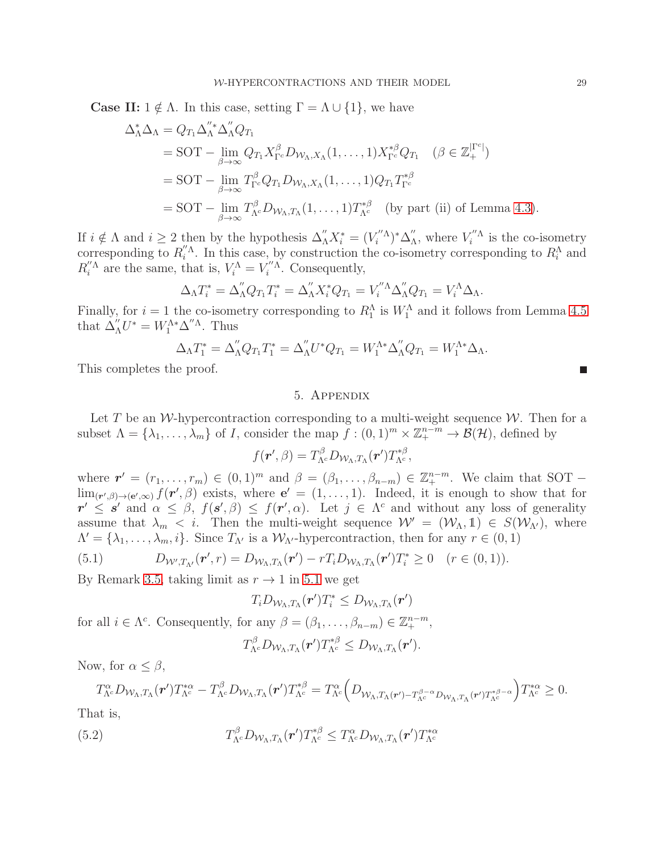**Case II:**  $1 \notin \Lambda$ . In this case, setting  $\Gamma = \Lambda \cup \{1\}$ , we have

$$
\Delta_{\Lambda}^{*} \Delta_{\Lambda} = Q_{T_1} \Delta_{\Lambda}^{"*} \Delta_{\Lambda}^{"} Q_{T_1}
$$
  
= SOT -  $\lim_{\beta \to \infty} Q_{T_1} X_{\Gamma^c}^{\beta} D_{W_{\Lambda}, X_{\Lambda}} (1, \dots, 1) X_{\Gamma^c}^{*\beta} Q_{T_1} \quad (\beta \in \mathbb{Z}_{+}^{|\Gamma^c|})$   
= SOT -  $\lim_{\beta \to \infty} T_{\Gamma^c}^{\beta} Q_{T_1} D_{W_{\Lambda}, X_{\Lambda}} (1, \dots, 1) Q_{T_1} T_{\Gamma^c}^{*\beta}$   
= SOT -  $\lim_{\beta \to \infty} T_{\Lambda^c}^{\beta} D_{W_{\Lambda}, T_{\Lambda}} (1, \dots, 1) T_{\Lambda^c}^{*\beta} \quad \text{(by part (ii) of Lemma 4.3).$ 

If  $i \notin \Lambda$  and  $i \geq 2$  then by the hypothesis  $\Delta''_{\Lambda} X_i^* = (V_i''^{\Lambda})^* \Delta''_{{\Lambda}}$  $\int_{\Lambda}^{\prime\prime}$ , where  $V_i^{\prime\prime\Lambda}$  is the co-isometry corresponding to  $R_i^{\prime\prime\Lambda}$ . In this case, by construction the co-isometry corresponding to  $R_i^{\Lambda}$  and  $R_i''^{\Lambda}$  are the same, that is,  $V_i^{\Lambda} = V_i''^{\Lambda}$ . Consequently,

$$
\Delta_{\Lambda}T_i^* = \Delta_{\Lambda}''Q_{T_1}T_i^* = \Delta_{\Lambda}''X_i^*Q_{T_1} = V_i''^{\Lambda}\Delta_{\Lambda}''Q_{T_1} = V_i^{\Lambda}\Delta_{\Lambda}.
$$

Finally, for  $i = 1$  the co-isometry corresponding to  $R_1^{\Lambda}$  is  $W_1^{\Lambda}$  and it follows from Lemma [4.5](#page-23-1) that  $\Delta''_A U^* = W_1^{\Lambda*} \Delta''^{\Lambda}$ . Thus

$$
\Delta_{\Lambda}T_1^* = \Delta''_{\Lambda}Q_{T_1}T_1^* = \Delta''_{\Lambda}U^*Q_{T_1} = W_1^{\Lambda*}\Delta''_{\Lambda}Q_{T_1} = W_1^{\Lambda*}\Delta_{\Lambda}.
$$

This completes the proof.

## 5. Appendix

Let T be an W-hypercontraction corresponding to a multi-weight sequence  $W$ . Then for a subset  $\Lambda = \{\lambda_1, \ldots, \lambda_m\}$  of I, consider the map  $\tilde{f} : (0,1)^m \times \mathbb{Z}_+^{n-m} \to \mathcal{B}(\mathcal{H})$ , defined by

$$
f(\boldsymbol{r}',\beta) = T_{\Lambda^c}^{\beta} D_{\mathcal{W}_{\Lambda},T_{\Lambda}}(\boldsymbol{r}') T_{\Lambda^c}^{*\beta},
$$

where  $\mathbf{r}' = (r_1, \ldots, r_m) \in (0, 1)^m$  and  $\beta = (\beta_1, \ldots, \beta_{n-m}) \in \mathbb{Z}_+^{n-m}$ . We claim that SOT –  $\lim_{(\mathbf{r}',\beta)\to(\mathbf{e}',\infty)} f(\mathbf{r}',\beta)$  exists, where  $\mathbf{e}'=(1,\ldots,1)$ . Indeed, it is enough to show that for  $r' \leq s'$  and  $\alpha \leq \beta$ ,  $f(s', \beta) \leq f(r', \alpha)$ . Let  $j \in \Lambda^c$  and without any loss of generality assume that  $\lambda_m < i$ . Then the multi-weight sequence  $\mathcal{W}' = (\mathcal{W}_{\Lambda}, \mathbb{1}) \in S(\mathcal{W}_{\Lambda'})$ , where  $\Lambda' = \{\lambda_1, \ldots, \lambda_m, i\}.$  Since  $T_{\Lambda'}$  is a  $\mathcal{W}_{\Lambda'}$ -hypercontraction, then for any  $r \in (0, 1)$ 

<span id="page-28-0"></span>(5.1) 
$$
D_{\mathcal{W}',T_{\Lambda'}}(\mathbf{r}',r)=D_{\mathcal{W}_{\Lambda},T_{\Lambda}}(\mathbf{r}')-rT_iD_{\mathcal{W}_{\Lambda},T_{\Lambda}}(\mathbf{r}')T_i^*\geq 0 \quad (r\in(0,1)).
$$

By Remark [3.5,](#page-14-0) taking limit as  $r \to 1$  in [5.1](#page-28-0) we get

$$
T_i D_{\mathcal{W}_{\Lambda},T_{\Lambda}}(\boldsymbol{r}')T_i^* \leq D_{\mathcal{W}_{\Lambda},T_{\Lambda}}(\boldsymbol{r}')
$$

for all  $i \in \Lambda^c$ . Consequently, for any  $\beta = (\beta_1, \ldots, \beta_{n-m}) \in \mathbb{Z}_+^{n-m}$ ,

$$
T^{\beta}_{\Lambda^c}D_{\mathcal{W}_{\Lambda},T_{\Lambda}}(\boldsymbol{r}')T^{\ast\beta}_{\Lambda^c}\leq D_{\mathcal{W}_{\Lambda},T_{\Lambda}}(\boldsymbol{r}').
$$

Now, for  $\alpha \leq \beta$ ,

$$
T^{\alpha}_{\Lambda^c}D_{\mathcal{W}_{\Lambda},T_{\Lambda}}(\boldsymbol{r}')T^{\ast \alpha}_{\Lambda^c}-T^{\beta}_{\Lambda^c}D_{\mathcal{W}_{\Lambda},T_{\Lambda}}(\boldsymbol{r}')T^{\ast \beta}_{\Lambda^c}=T^{\alpha}_{\Lambda^c}\Big(D_{\mathcal{W}_{\Lambda},T_{\Lambda}(\boldsymbol{r}')-T^{\beta-\alpha}_{\Lambda^c}D_{\mathcal{W}_{\Lambda},T_{\Lambda}}(\boldsymbol{r}')T^{\ast \beta-\alpha}_{\Lambda^c}}\Big)T^{\ast \alpha}_{\Lambda^c}\geq 0.
$$

That is,

<span id="page-28-1"></span>(5.2) 
$$
T^{\beta}_{\Lambda^c}D_{\mathcal{W}_{\Lambda},T_{\Lambda}}(\boldsymbol{r}')T^{\ast\beta}_{\Lambda^c} \leq T^{\alpha}_{\Lambda^c}D_{\mathcal{W}_{\Lambda},T_{\Lambda}}(\boldsymbol{r}')T^{\ast\alpha}_{\Lambda^c}
$$

П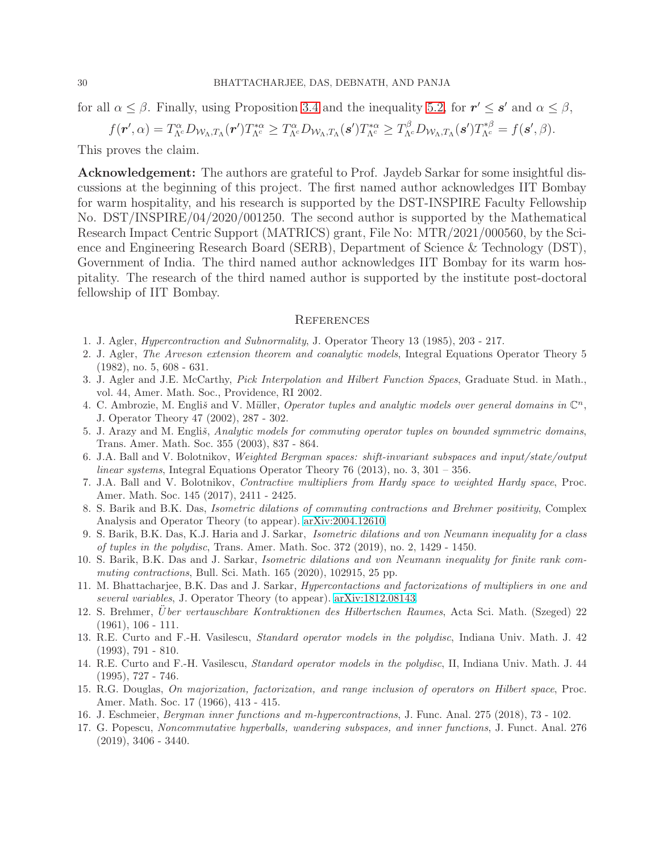for all  $\alpha \leq \beta$ . Finally, using Proposition [3.4](#page-13-0) and the inequality [5.2,](#page-28-1) for  $r' \leq s'$  and  $\alpha \leq \beta$ ,

$$
f(\mathbf{r}',\alpha)=T^{\alpha}_{\Lambda^c}D_{\mathcal{W}_{\Lambda},T_{\Lambda}}(\mathbf{r}')T^{\ast\alpha}_{\Lambda^c}\geq T^{\alpha}_{\Lambda^c}D_{\mathcal{W}_{\Lambda},T_{\Lambda}}(\mathbf{s}')T^{\ast\alpha}_{\Lambda^c}\geq T^{\beta}_{\Lambda^c}D_{\mathcal{W}_{\Lambda},T_{\Lambda}}(\mathbf{s}')T^{\ast\beta}_{\Lambda^c}=f(\mathbf{s}',\beta).
$$

This proves the claim.

Acknowledgement: The authors are grateful to Prof. Jaydeb Sarkar for some insightful discussions at the beginning of this project. The first named author acknowledges IIT Bombay for warm hospitality, and his research is supported by the DST-INSPIRE Faculty Fellowship No. DST/INSPIRE/04/2020/001250. The second author is supported by the Mathematical Research Impact Centric Support (MATRICS) grant, File No: MTR/2021/000560, by the Science and Engineering Research Board (SERB), Department of Science & Technology (DST), Government of India. The third named author acknowledges IIT Bombay for its warm hospitality. The research of the third named author is supported by the institute post-doctoral fellowship of IIT Bombay.

#### **REFERENCES**

- <span id="page-29-13"></span><span id="page-29-2"></span>1. J. Agler, *Hypercontraction and Subnormality*, J. Operator Theory 13 (1985), 203 - 217.
- 2. J. Agler, *The Arveson extension theorem and coanalytic models*, Integral Equations Operator Theory 5 (1982), no. 5, 608 - 631.
- <span id="page-29-14"></span>3. J. Agler and J.E. McCarthy, *Pick Interpolation and Hilbert Function Spaces*, Graduate Stud. in Math., vol. 44, Amer. Math. Soc., Providence, RI 2002.
- <span id="page-29-3"></span>4. C. Ambrozie, M. Engliš and V. Müller, *Operator tuples and analytic models over general domains in*  $\mathbb{C}^n$ , J. Operator Theory 47 (2002), 287 - 302.
- <span id="page-29-4"></span>5. J. Arazy and M. Englis, *Analytic models for commuting operator tuples on bounded symmetric domains*, Trans. Amer. Math. Soc. 355 (2003), 837 - 864.
- <span id="page-29-8"></span>6. J.A. Ball and V. Bolotnikov, *Weighted Bergman spaces: shift-invariant subspaces and input/state/output linear systems*, Integral Equations Operator Theory 76 (2013), no. 3, 301 – 356.
- <span id="page-29-11"></span>7. J.A. Ball and V. Bolotnikov, *Contractive multipliers from Hardy space to weighted Hardy space*, Proc. Amer. Math. Soc. 145 (2017), 2411 - 2425.
- <span id="page-29-7"></span>8. S. Barik and B.K. Das, *Isometric dilations of commuting contractions and Brehmer positivity*, Complex Analysis and Operator Theory (to appear). [arXiv:2004.12610.](http://arxiv.org/abs/2004.12610)
- <span id="page-29-5"></span>9. S. Barik, B.K. Das, K.J. Haria and J. Sarkar, *Isometric dilations and von Neumann inequality for a class of tuples in the polydisc*, Trans. Amer. Math. Soc. 372 (2019), no. 2, 1429 - 1450.
- <span id="page-29-6"></span>10. S. Barik, B.K. Das and J. Sarkar, *Isometric dilations and von Neumann inequality for finite rank commuting contractions*, Bull. Sci. Math. 165 (2020), 102915, 25 pp.
- <span id="page-29-9"></span>11. M. Bhattacharjee, B.K. Das and J. Sarkar, *Hypercontactions and factorizations of multipliers in one and several variables*, J. Operator Theory (to appear). [arXiv:1812.08143.](http://arxiv.org/abs/1812.08143)
- <span id="page-29-15"></span>12. S. Brehmer, U¨*ber vertauschbare Kontraktionen des Hilbertschen Raumes*, Acta Sci. Math. (Szeged) 22  $(1961), 106 - 111.$
- <span id="page-29-0"></span>13. R.E. Curto and F.-H. Vasilescu, *Standard operator models in the polydisc*, Indiana Univ. Math. J. 42 (1993), 791 - 810.
- <span id="page-29-1"></span>14. R.E. Curto and F.-H. Vasilescu, *Standard operator models in the polydisc*, II, Indiana Univ. Math. J. 44 (1995), 727 - 746.
- <span id="page-29-16"></span>15. R.G. Douglas, *On majorization, factorization, and range inclusion of operators on Hilbert space*, Proc. Amer. Math. Soc. 17 (1966), 413 - 415.
- <span id="page-29-12"></span><span id="page-29-10"></span>16. J. Eschmeier, *Bergman inner functions and m-hypercontractions*, J. Func. Anal. 275 (2018), 73 - 102.
- 17. G. Popescu, *Noncommutative hyperballs, wandering subspaces, and inner functions*, J. Funct. Anal. 276  $(2019), 3406 - 3440.$